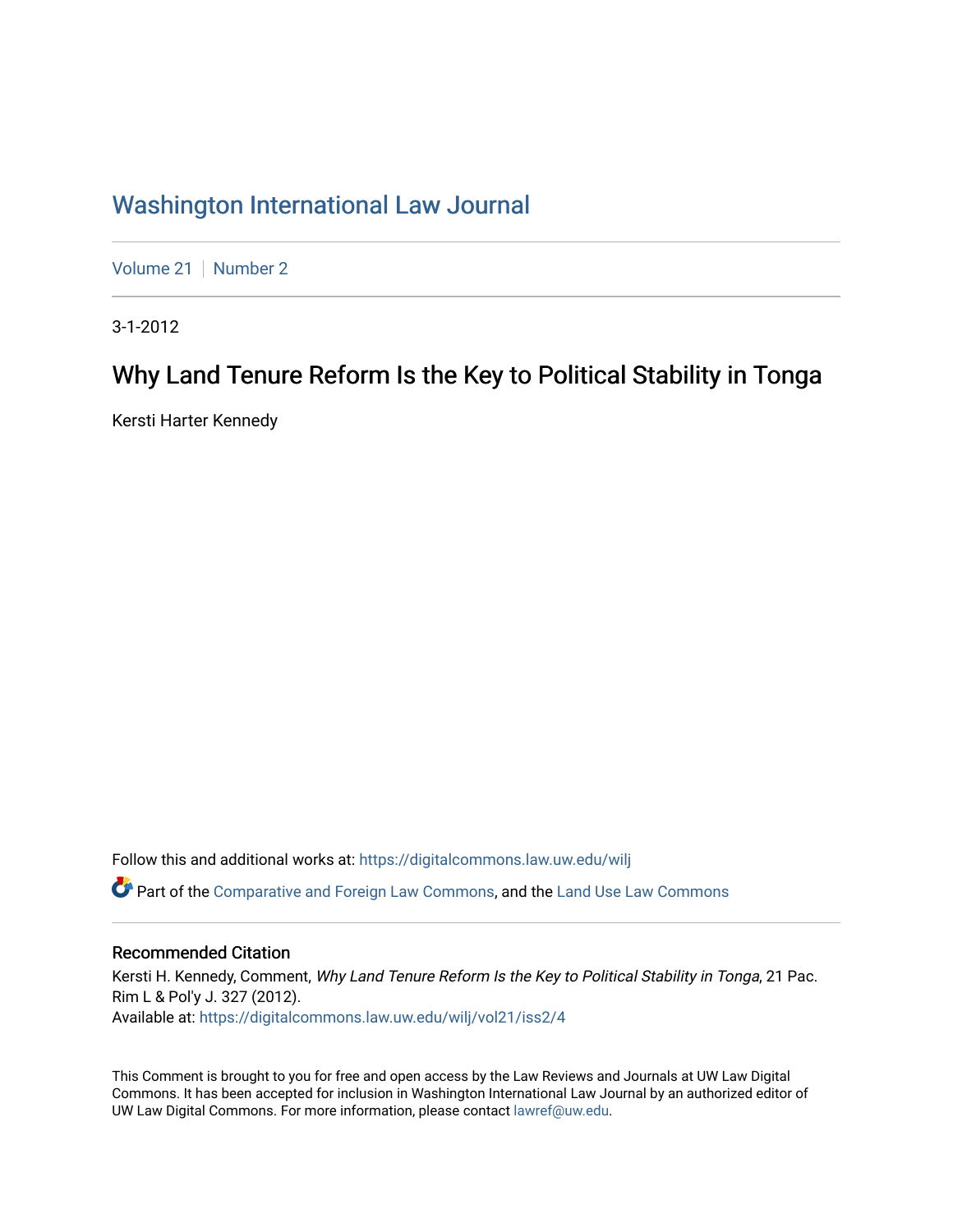## [Washington International Law Journal](https://digitalcommons.law.uw.edu/wilj)

[Volume 21](https://digitalcommons.law.uw.edu/wilj/vol21) | [Number 2](https://digitalcommons.law.uw.edu/wilj/vol21/iss2)

3-1-2012

# Why Land Tenure Reform Is the Key to Political Stability in Tonga

Kersti Harter Kennedy

Follow this and additional works at: [https://digitalcommons.law.uw.edu/wilj](https://digitalcommons.law.uw.edu/wilj?utm_source=digitalcommons.law.uw.edu%2Fwilj%2Fvol21%2Fiss2%2F4&utm_medium=PDF&utm_campaign=PDFCoverPages) 

**C** Part of the [Comparative and Foreign Law Commons,](http://network.bepress.com/hgg/discipline/836?utm_source=digitalcommons.law.uw.edu%2Fwilj%2Fvol21%2Fiss2%2F4&utm_medium=PDF&utm_campaign=PDFCoverPages) and the Land Use Law Commons

### Recommended Citation

Kersti H. Kennedy, Comment, Why Land Tenure Reform Is the Key to Political Stability in Tonga, 21 Pac. Rim L & Pol'y J. 327 (2012). Available at: [https://digitalcommons.law.uw.edu/wilj/vol21/iss2/4](https://digitalcommons.law.uw.edu/wilj/vol21/iss2/4?utm_source=digitalcommons.law.uw.edu%2Fwilj%2Fvol21%2Fiss2%2F4&utm_medium=PDF&utm_campaign=PDFCoverPages) 

This Comment is brought to you for free and open access by the Law Reviews and Journals at UW Law Digital Commons. It has been accepted for inclusion in Washington International Law Journal by an authorized editor of UW Law Digital Commons. For more information, please contact [lawref@uw.edu](mailto:lawref@uw.edu).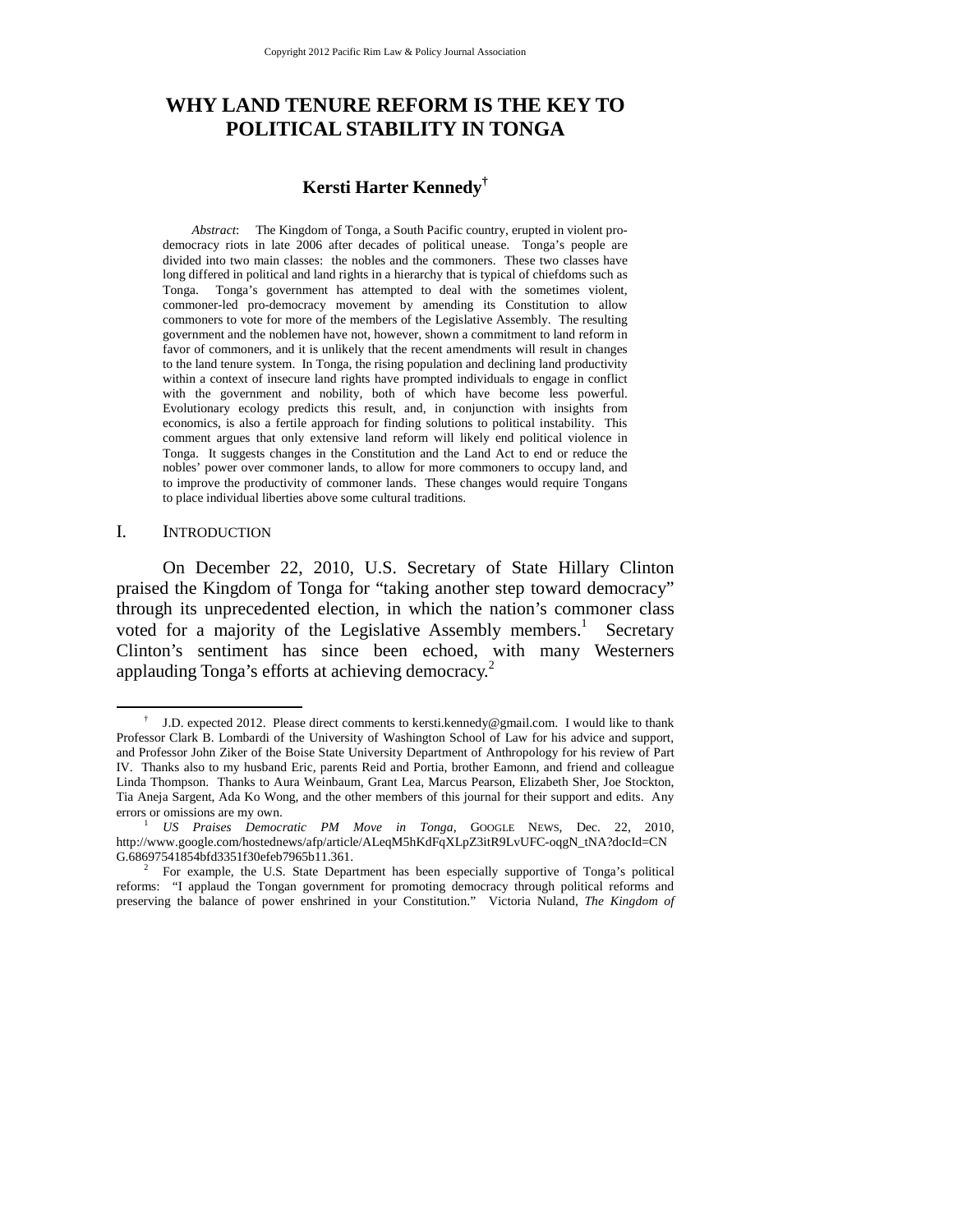## **WHY LAND TENURE REFORM IS THE KEY TO POLITICAL STABILITY IN TONGA**

## **Kersti Harter Kennedy†**

*Abstract*: The Kingdom of Tonga, a South Pacific country, erupted in violent prodemocracy riots in late 2006 after decades of political unease. Tonga's people are divided into two main classes: the nobles and the commoners. These two classes have long differed in political and land rights in a hierarchy that is typical of chiefdoms such as Tonga. Tonga's government has attempted to deal with the sometimes violent, commoner-led pro-democracy movement by amending its Constitution to allow commoners to vote for more of the members of the Legislative Assembly. The resulting government and the noblemen have not, however, shown a commitment to land reform in favor of commoners, and it is unlikely that the recent amendments will result in changes to the land tenure system. In Tonga, the rising population and declining land productivity within a context of insecure land rights have prompted individuals to engage in conflict with the government and nobility, both of which have become less powerful. Evolutionary ecology predicts this result, and, in conjunction with insights from economics, is also a fertile approach for finding solutions to political instability. This comment argues that only extensive land reform will likely end political violence in Tonga. It suggests changes in the Constitution and the Land Act to end or reduce the nobles' power over commoner lands, to allow for more commoners to occupy land, and to improve the productivity of commoner lands. These changes would require Tongans to place individual liberties above some cultural traditions.

#### I. INTRODUCTION

On December 22, 2010, U.S. Secretary of State Hillary Clinton praised the Kingdom of Tonga for "taking another step toward democracy" through its unprecedented election, in which the nation's commoner class voted for a majority of the Legislative Assembly members.<sup>1</sup> Secretary Clinton's sentiment has since been echoed, with many Westerners applauding Tonga's efforts at achieving democracy.<sup>2</sup>

 <sup>†</sup> J.D. expected 2012. Please direct comments to kersti.kennedy@gmail.com. I would like to thank Professor Clark B. Lombardi of the University of Washington School of Law for his advice and support, and Professor John Ziker of the Boise State University Department of Anthropology for his review of Part IV. Thanks also to my husband Eric, parents Reid and Portia, brother Eamonn, and friend and colleague Linda Thompson. Thanks to Aura Weinbaum, Grant Lea, Marcus Pearson, Elizabeth Sher, Joe Stockton, Tia Aneja Sargent, Ada Ko Wong, and the other members of this journal for their support and edits. Any errors or omissions are my own. 1 *US Praises Democratic PM Move in Tonga*, GOOGLE NEWS, Dec. 22, 2010,

http://www.google.com/hostednews/afp/article/ALeqM5hKdFqXLpZ3itR9LvUFC-oqgN\_tNA?docId=CN G.68697541854bfd3351f30efeb7965b11.361. 2

For example, the U.S. State Department has been especially supportive of Tonga's political reforms: "I applaud the Tongan government for promoting democracy through political reforms and preserving the balance of power enshrined in your Constitution." Victoria Nuland, *The Kingdom of*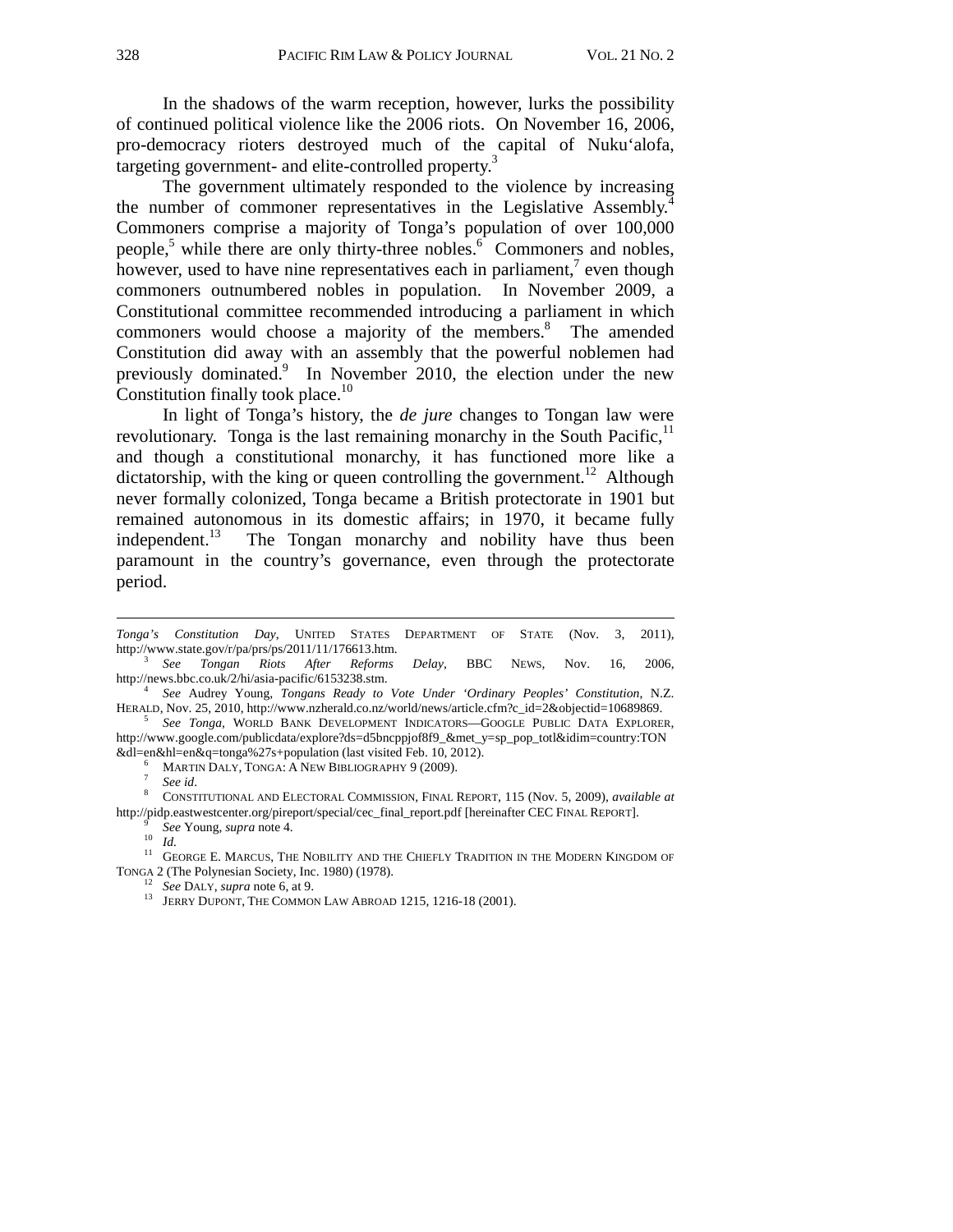In the shadows of the warm reception, however, lurks the possibility of continued political violence like the 2006 riots. On November 16, 2006, pro-democracy rioters destroyed much of the capital of Nuku'alofa, targeting government- and elite-controlled property.<sup>3</sup>

The government ultimately responded to the violence by increasing the number of commoner representatives in the Legislative Assembly.<sup>4</sup> Commoners comprise a majority of Tonga's population of over 100,000 people,<sup>5</sup> while there are only thirty-three nobles.<sup>6</sup> Commoners and nobles, however, used to have nine representatives each in parliament,<sup>7</sup> even though commoners outnumbered nobles in population. In November 2009, a Constitutional committee recommended introducing a parliament in which commoners would choose a majority of the members.<sup>8</sup> The amended Constitution did away with an assembly that the powerful noblemen had previously dominated.<sup>9</sup> In November 2010, the election under the new Constitution finally took place.<sup>10</sup>

 In light of Tonga's history, the *de jure* changes to Tongan law were revolutionary. Tonga is the last remaining monarchy in the South Pacific, $<sup>11</sup>$ </sup> and though a constitutional monarchy, it has functioned more like a dictatorship, with the king or queen controlling the government.<sup>12</sup> Although never formally colonized, Tonga became a British protectorate in 1901 but remained autonomous in its domestic affairs; in 1970, it became fully independent.<sup>13</sup> The Tongan monarchy and nobility have thus been paramount in the country's governance, even through the protectorate period.

MARTIN DALY, TONGA: A NEW BIBLIOGRAPHY 9 (2009).<br>See id.

 $\overline{a}$ 

<sup>7</sup> See id.<br><sup>8</sup> CONSTITUTIONAL AND ELECTORAL COMMISSION, FINAL REPORT, 115 (Nov. 5, 2009), *available at* http://pidp.eastwestcenter.org/pireport/special/cec\_final\_report.pdf [hereinafter CEC FINAL REPORT].<br>
<sup>9</sup> See Young, *supra* note 4.<br>
<sup>10</sup> Id.

<sup>11</sup> GEORGE E. MARCUS, THE NOBILITY AND THE CHIEFLY TRADITION IN THE MODERN KINGDOM OF TONGA 2 (The Polynesian Society, Inc. 1980) (1978).

*Tonga's Constitution Day*, UNITED STATES DEPARTMENT OF STATE (Nov. 3, 2011), http://www.state.gov/r/pa/prs/ps/2011/11/176613.htm. 3

*See Tongan Riots After Reforms Delay*, BBC NEWS, Nov. 16, 2006, http://news.bbc.co.uk/2/hi/asia-pacific/6153238.stm. 4

*See* Audrey Young, *Tongans Ready to Vote Under 'Ordinary Peoples' Constitution*, N.Z. HERALD, Nov. 25, 2010, http://www.nzherald.co.nz/world/news/article.cfm?c\_id=2&objectid=10689869. 5

*See Tonga,* WORLD BANK DEVELOPMENT INDICATORS—GOOGLE PUBLIC DATA EXPLORER*,*  http://www.google.com/publicdata/explore?ds=d5bncppjof8f9\_&met\_y=sp\_pop\_totl&idim=country:TON &dl=en&hl=en&q=tonga%27s+population (last visited Feb. 10, 2012). 6

<sup>&</sup>lt;sup>12</sup> See DALY, *supra* note 6, at 9.<br><sup>13</sup> JERRY DUPONT, THE COMMON LAW ABROAD 1215, 1216-18 (2001).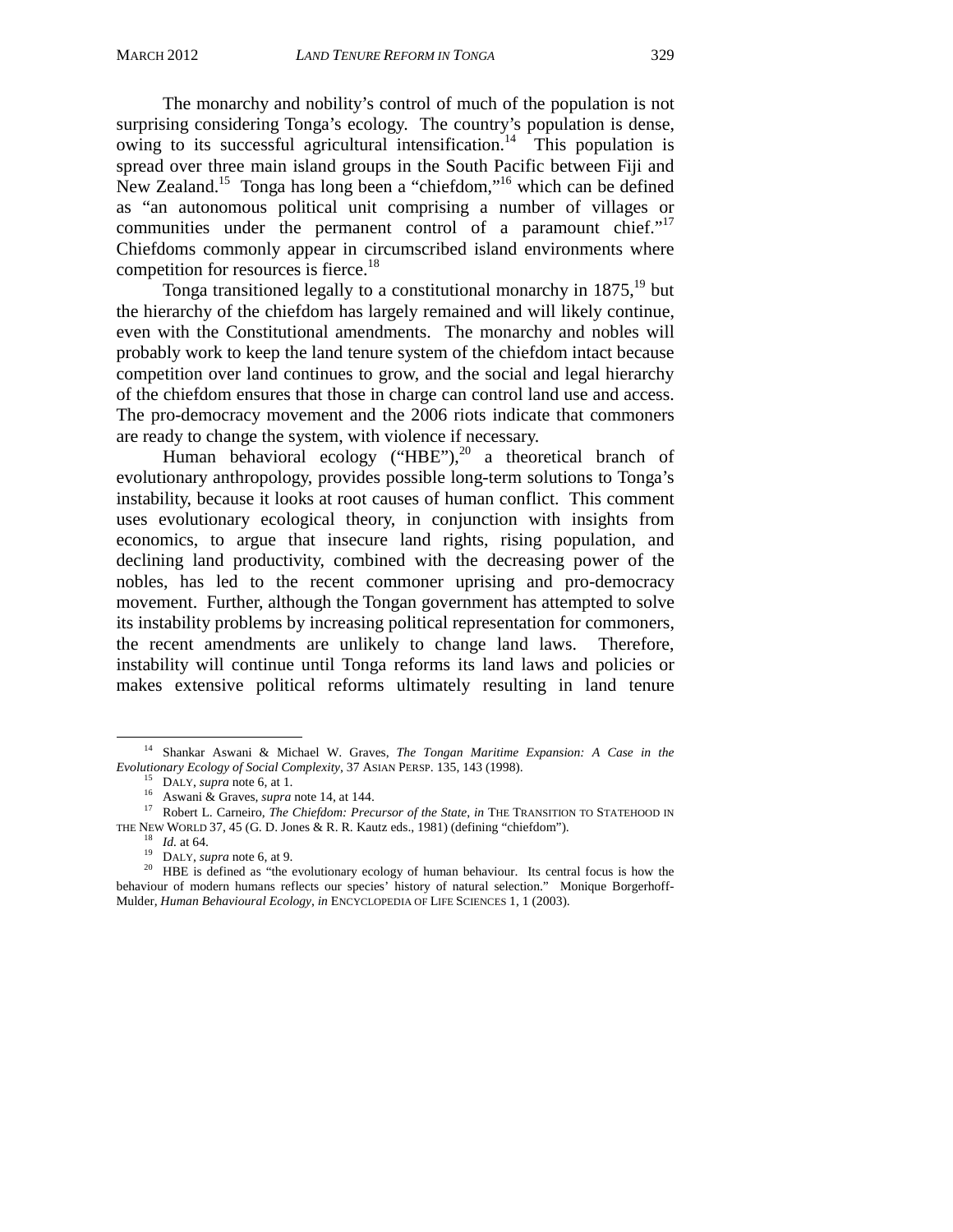The monarchy and nobility's control of much of the population is not surprising considering Tonga's ecology. The country's population is dense, owing to its successful agricultural intensification.<sup>14</sup> This population is spread over three main island groups in the South Pacific between Fiji and New Zealand.15 Tonga has long been a "chiefdom,"16 which can be defined as "an autonomous political unit comprising a number of villages or communities under the permanent control of a paramount chief."<sup>17</sup> Chiefdoms commonly appear in circumscribed island environments where competition for resources is fierce.<sup>18</sup>

Tonga transitioned legally to a constitutional monarchy in  $1875$ ,<sup>19</sup> but the hierarchy of the chiefdom has largely remained and will likely continue, even with the Constitutional amendments. The monarchy and nobles will probably work to keep the land tenure system of the chiefdom intact because competition over land continues to grow, and the social and legal hierarchy of the chiefdom ensures that those in charge can control land use and access. The pro-democracy movement and the 2006 riots indicate that commoners are ready to change the system, with violence if necessary.

Human behavioral ecology ("HBE"), $^{20}$  a theoretical branch of evolutionary anthropology, provides possible long-term solutions to Tonga's instability, because it looks at root causes of human conflict. This comment uses evolutionary ecological theory, in conjunction with insights from economics, to argue that insecure land rights, rising population, and declining land productivity, combined with the decreasing power of the nobles, has led to the recent commoner uprising and pro-democracy movement. Further, although the Tongan government has attempted to solve its instability problems by increasing political representation for commoners, the recent amendments are unlikely to change land laws. Therefore, instability will continue until Tonga reforms its land laws and policies or makes extensive political reforms ultimately resulting in land tenure

 <sup>14</sup> Shankar Aswani & Michael W. Graves, *The Tongan Maritime Expansion: A Case in the* 

Evolutionary Ecology of Social Complexity, 37 ASIAN PERSP. 135, 143 (1998).<br><sup>15</sup> DALY, *supra* note 6, at 1.<br><sup>16</sup> Aswani & Graves, *supra* note 14, at 144.<br><sup>17</sup> Robert L. Carneiro, *The Chiefdom: Precursor of the State*,

<sup>&</sup>lt;sup>18</sup> *Id.* at 64.<br><sup>19</sup> DALY, *supra* note 6, at 9.<br><sup>20</sup> HBE is defined as "the evolutionary ecology of human behaviour. Its central focus is how the behaviour of modern humans reflects our species' history of natural selection." Monique Borgerhoff-Mulder, *Human Behavioural Ecology*, *in* ENCYCLOPEDIA OF LIFE SCIENCES 1, 1 (2003).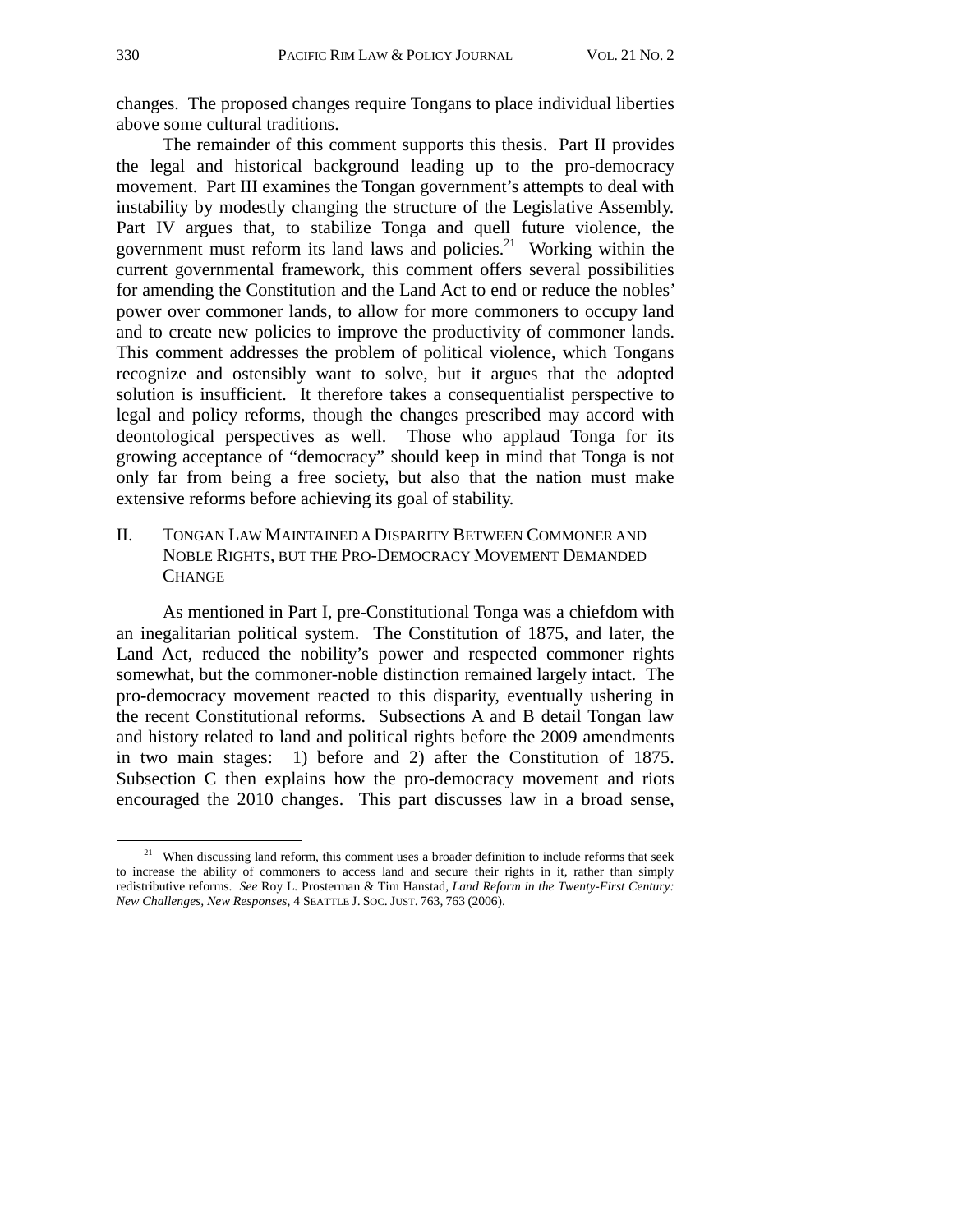changes. The proposed changes require Tongans to place individual liberties above some cultural traditions.

The remainder of this comment supports this thesis. Part II provides the legal and historical background leading up to the pro-democracy movement. Part III examines the Tongan government's attempts to deal with instability by modestly changing the structure of the Legislative Assembly. Part IV argues that, to stabilize Tonga and quell future violence, the government must reform its land laws and policies. $21$  Working within the current governmental framework, this comment offers several possibilities for amending the Constitution and the Land Act to end or reduce the nobles' power over commoner lands, to allow for more commoners to occupy land and to create new policies to improve the productivity of commoner lands. This comment addresses the problem of political violence, which Tongans recognize and ostensibly want to solve, but it argues that the adopted solution is insufficient. It therefore takes a consequentialist perspective to legal and policy reforms, though the changes prescribed may accord with deontological perspectives as well. Those who applaud Tonga for its growing acceptance of "democracy" should keep in mind that Tonga is not only far from being a free society, but also that the nation must make extensive reforms before achieving its goal of stability.

II. TONGAN LAW MAINTAINED A DISPARITY BETWEEN COMMONER AND NOBLE RIGHTS, BUT THE PRO-DEMOCRACY MOVEMENT DEMANDED **CHANGE** 

As mentioned in Part I, pre-Constitutional Tonga was a chiefdom with an inegalitarian political system. The Constitution of 1875, and later, the Land Act, reduced the nobility's power and respected commoner rights somewhat, but the commoner-noble distinction remained largely intact. The pro-democracy movement reacted to this disparity, eventually ushering in the recent Constitutional reforms. Subsections A and B detail Tongan law and history related to land and political rights before the 2009 amendments in two main stages: 1) before and 2) after the Constitution of 1875. Subsection C then explains how the pro-democracy movement and riots encouraged the 2010 changes. This part discusses law in a broad sense,

 $21$  When discussing land reform, this comment uses a broader definition to include reforms that seek to increase the ability of commoners to access land and secure their rights in it, rather than simply redistributive reforms. *See* Roy L. Prosterman & Tim Hanstad, *Land Reform in the Twenty-First Century: New Challenges, New Responses*, 4 SEATTLE J. SOC. JUST. 763, 763 (2006).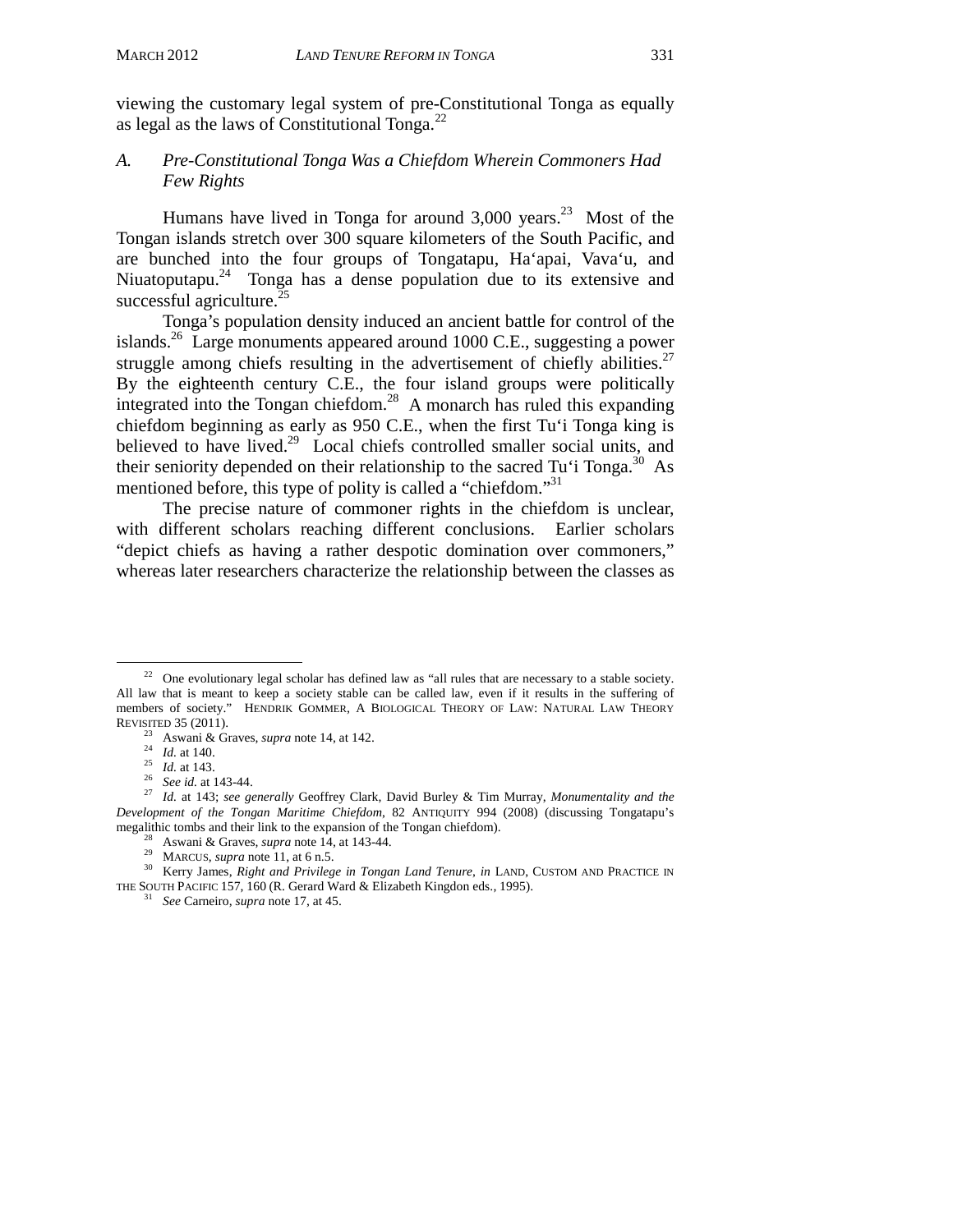viewing the customary legal system of pre-Constitutional Tonga as equally as legal as the laws of Constitutional Tonga. $^{22}$ 

### *A. Pre-Constitutional Tonga Was a Chiefdom Wherein Commoners Had Few Rights*

Humans have lived in Tonga for around  $3,000$  years.<sup>23</sup> Most of the Tongan islands stretch over 300 square kilometers of the South Pacific, and are bunched into the four groups of Tongatapu, Ha'apai, Vava'u, and Niuatoputapu.<sup>24</sup> Tonga has a dense population due to its extensive and successful agriculture. $^{25}$ 

Tonga's population density induced an ancient battle for control of the islands.26 Large monuments appeared around 1000 C.E., suggesting a power struggle among chiefs resulting in the advertisement of chiefly abilities.<sup>27</sup> By the eighteenth century C.E., the four island groups were politically integrated into the Tongan chiefdom.<sup>28</sup> A monarch has ruled this expanding chiefdom beginning as early as 950 C.E., when the first Tu'i Tonga king is believed to have lived.<sup>29</sup> Local chiefs controlled smaller social units, and their seniority depended on their relationship to the sacred Tu'i Tonga.<sup>30</sup> As mentioned before, this type of polity is called a "chiefdom."<sup>31</sup>

The precise nature of commoner rights in the chiefdom is unclear, with different scholars reaching different conclusions. Earlier scholars "depict chiefs as having a rather despotic domination over commoners," whereas later researchers characterize the relationship between the classes as

 $22$  One evolutionary legal scholar has defined law as "all rules that are necessary to a stable society. All law that is meant to keep a society stable can be called law, even if it results in the suffering of members of society." HENDRIK GOMMER, A BIOLOGICAL THEORY OF LAW: NATURAL LAW THEORY

REVISITED 35 (2011).<br>
<sup>23</sup> Aswani & Graves, *supra* note 14, at 142.<br>
<sup>24</sup> Id. at 140.<br>
<sup>25</sup> Id. at 143.<br>
<sup>26</sup> See id. at 143-44.<br>
<sup>27</sup> Id. at 143; *see generally* Geoffrey Clark, David Burley & Tim Murray, *Monumentality Development of the Tongan Maritime Chiefdom*, 82 ANTIQUITY 994 (2008) (discussing Tongatapu's megalithic tombs and their link to the expansion of the Tongan chiefdom).

<sup>&</sup>lt;sup>28</sup> Aswani & Graves, *supra* note 14, at 143-44.<br><sup>29</sup> MARCUS, *supra* note 11, at 6 n.5.<br><sup>30</sup> Kerry James, *Right and Privilege in Tongan Land Tenure*, *in* LAND, CUSTOM AND PRACTICE IN THE SOUTH PACIFIC 157, 160 (R. Gerard Ward & Elizabeth Kingdon eds., 1995). 31 *See* Carneiro, *supra* note 17, at 45.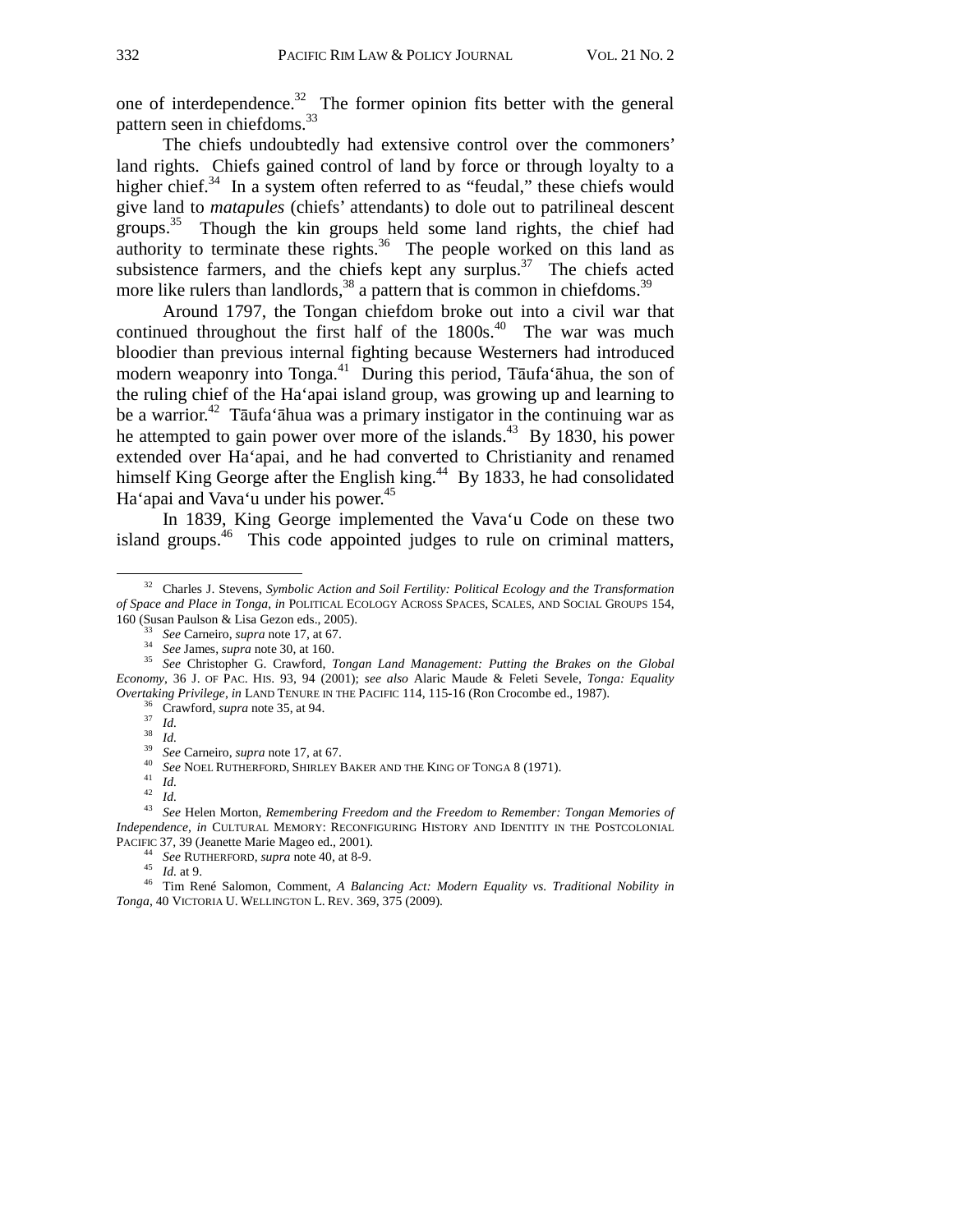one of interdependence. $32$  The former opinion fits better with the general pattern seen in chiefdoms.<sup>33</sup>

The chiefs undoubtedly had extensive control over the commoners' land rights. Chiefs gained control of land by force or through loyalty to a higher chief.<sup>34</sup> In a system often referred to as "feudal," these chiefs would give land to *matapules* (chiefs' attendants) to dole out to patrilineal descent groups.<sup>35</sup> Though the kin groups held some land rights, the chief had authority to terminate these rights.<sup>36</sup> The people worked on this land as subsistence farmers, and the chiefs kept any surplus.<sup>37</sup> The chiefs acted more like rulers than landlords,  $38$  a pattern that is common in chiefdoms.  $39$ 

Around 1797, the Tongan chiefdom broke out into a civil war that continued throughout the first half of the  $1800s<sup>40</sup>$ . The war was much bloodier than previous internal fighting because Westerners had introduced modern weaponry into Tonga.<sup>41</sup> During this period, Tāufa'āhua, the son of the ruling chief of the Ha'apai island group, was growing up and learning to be a warrior.<sup>42</sup> Tāufa'āhua was a primary instigator in the continuing war as he attempted to gain power over more of the islands.<sup>43</sup> By 1830, his power extended over Ha'apai, and he had converted to Christianity and renamed himself King George after the English king.<sup>44</sup> By 1833, he had consolidated Ha'apai and Vava'u under his power.<sup>45</sup>

In 1839, King George implemented the Vava'u Code on these two island groups.<sup>46</sup> This code appointed judges to rule on criminal matters,

*Independence*, *in* CULTURAL MEMORY: RECONFIGURING HISTORY AND IDENTITY IN THE POSTCOLONIAL

 <sup>32</sup> Charles J. Stevens, *Symbolic Action and Soil Fertility: Political Ecology and the Transformation of Space and Place in Tonga*, *in* POLITICAL ECOLOGY ACROSS SPACES, SCALES, AND SOCIAL GROUPS 154,

<sup>160 (</sup>Susan Paulson & Lisa Gezon eds., 2005).<br>
<sup>33</sup> See Carneiro, *supra* note 17, at 67.<br>
<sup>34</sup> See James, *supra* note 30, at 160.<br>
<sup>35</sup> See Christopher G. Crawford, *Tongan Land Management: Putting the Brakes on the Glob Economy*, 36 J. OF PAC. HIS. 93, 94 (2001); *see also* Alaric Maude & Feleti Sevele, *Tonga: Equality* Overtaking Privilege, in LAND TENURE IN THE PACIFIC 114, 115-16 (Ron Crocombe ed., 1987).<br>
<sup>36</sup> Crawford, *supra* note 35, at 94.<br>
<sup>37</sup> Id.<br>
<sup>39</sup> See Carneiro, *supra* note 17, at 67.<br>
<sup>40</sup> See NOEL RUTHERFORD, SHIRLEY BAK

PACIFIC 37, 39 (Jeanette Marie Mageo ed., 2001). 44 *See* RUTHERFORD, *supra* note 40, at 8-9. <br><sup>45</sup> *Id.* at 9. <br><sup>46</sup> Tim René Salomon, Comment, *A Balancing Act: Modern Equality vs. Traditional Nobility in Tonga*, 40 VICTORIA U. WELLINGTON L. REV. 369, 375 (2009).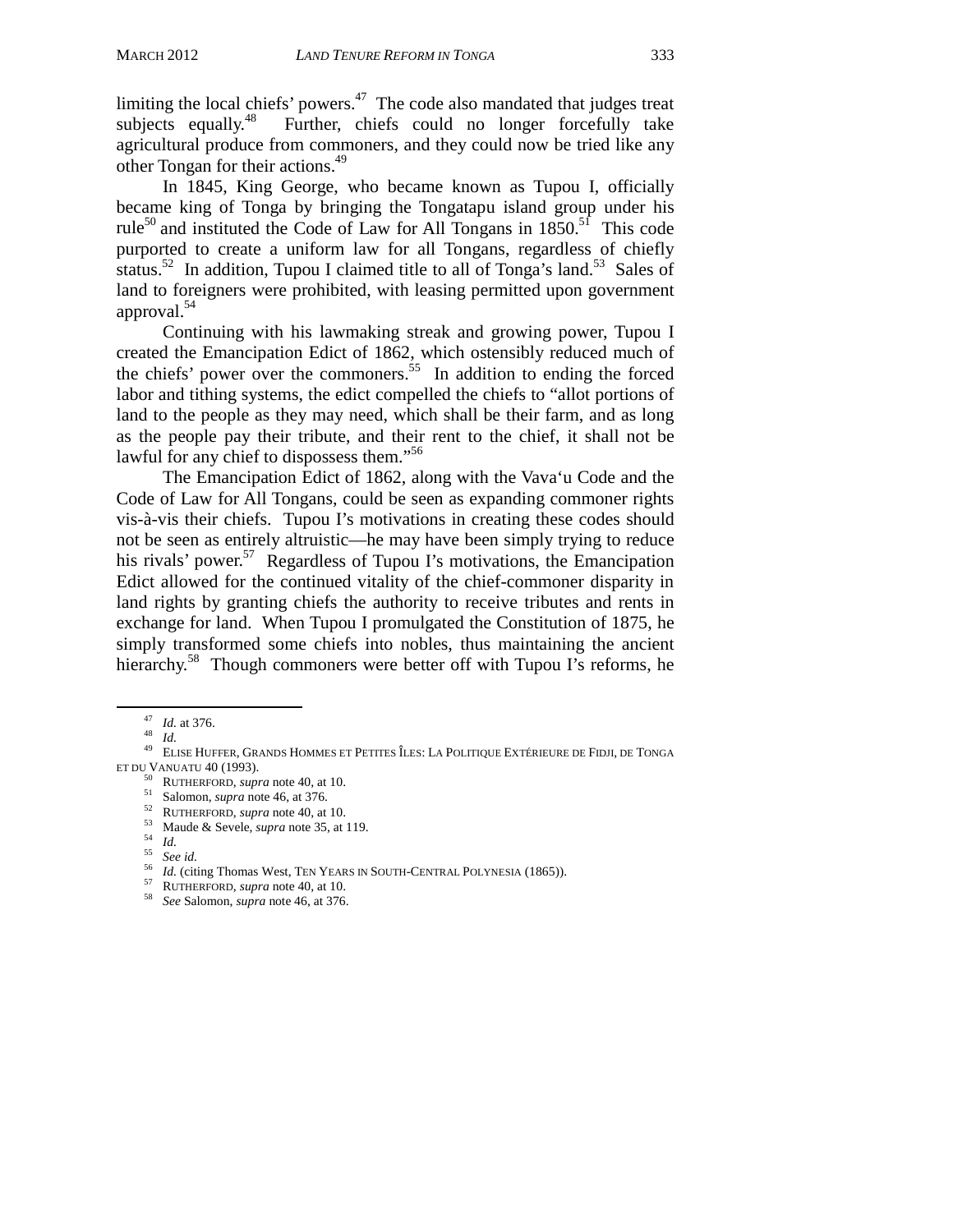limiting the local chiefs' powers.<sup>47</sup> The code also mandated that judges treat subjects equally.<sup>48</sup> Further, chiefs could no longer forcefully take Further, chiefs could no longer forcefully take agricultural produce from commoners, and they could now be tried like any other Tongan for their actions.<sup>49</sup>

 In 1845, King George, who became known as Tupou I, officially became king of Tonga by bringing the Tongatapu island group under his rule<sup>50</sup> and instituted the Code of Law for All Tongans in  $1850$ .<sup>51</sup> This code purported to create a uniform law for all Tongans, regardless of chiefly status.<sup>52</sup> In addition, Tupou I claimed title to all of Tonga's land.<sup>53</sup> Sales of land to foreigners were prohibited, with leasing permitted upon government approval.54

 Continuing with his lawmaking streak and growing power, Tupou I created the Emancipation Edict of 1862, which ostensibly reduced much of the chiefs' power over the commoners.<sup>55</sup> In addition to ending the forced labor and tithing systems, the edict compelled the chiefs to "allot portions of land to the people as they may need, which shall be their farm, and as long as the people pay their tribute, and their rent to the chief, it shall not be lawful for any chief to dispossess them."56

The Emancipation Edict of 1862, along with the Vava'u Code and the Code of Law for All Tongans, could be seen as expanding commoner rights vis-à-vis their chiefs. Tupou I's motivations in creating these codes should not be seen as entirely altruistic—he may have been simply trying to reduce his rivals' power.<sup>57</sup> Regardless of Tupou I's motivations, the Emancipation Edict allowed for the continued vitality of the chief-commoner disparity in land rights by granting chiefs the authority to receive tributes and rents in exchange for land. When Tupou I promulgated the Constitution of 1875, he simply transformed some chiefs into nobles, thus maintaining the ancient hierarchy.<sup>58</sup> Though commoners were better off with Tupou I's reforms, he

<sup>&</sup>lt;sup>47</sup>*Id.* at 376.<br><sup>48</sup> *Id.* 49 ELISE HUFFER, GRANDS HOMMES ET PETITES ÎLES: LA POLITIQUE EXTÉRIEURE DE FIDJI, DE TONGA<br>ET DU VANUATU 40 (1993).

<sup>&</sup>lt;sup>50</sup> RUTHERFORD, *supra* note 40, at 10.<br>
<sup>51</sup> Salomon, *supra* note 46, at 376.<br>
<sup>52</sup> RUTHERFORD, *supra* note 40, at 10.<br>
<sup>53</sup> Maude & Sevele, *supra* note 35, at 119.<br>
<sup>54</sup> *Id.*<br> *58 See id.*<br>
<sup>56</sup> *Id.* (citing Tho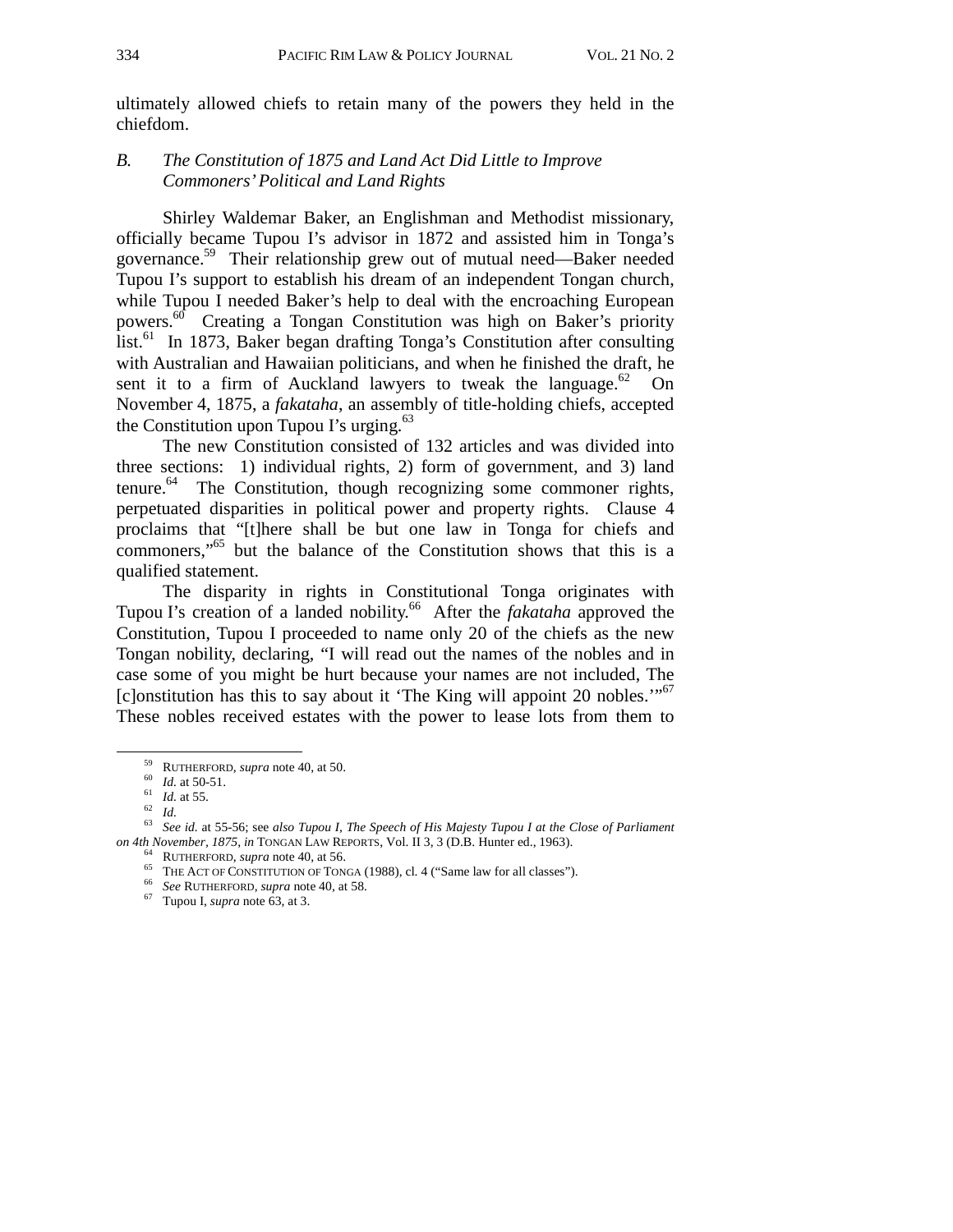ultimately allowed chiefs to retain many of the powers they held in the chiefdom.

### *B. The Constitution of 1875 and Land Act Did Little to Improve Commoners' Political and Land Rights*

Shirley Waldemar Baker, an Englishman and Methodist missionary, officially became Tupou I's advisor in 1872 and assisted him in Tonga's governance.59 Their relationship grew out of mutual need—Baker needed Tupou I's support to establish his dream of an independent Tongan church, while Tupou I needed Baker's help to deal with the encroaching European powers.60 Creating a Tongan Constitution was high on Baker's priority list.<sup>61</sup> In 1873, Baker began drafting Tonga's Constitution after consulting with Australian and Hawaiian politicians, and when he finished the draft, he sent it to a firm of Auckland lawyers to tweak the language.<sup>62</sup> On November 4, 1875, a *fakataha*, an assembly of title-holding chiefs, accepted the Constitution upon Tupou I's urging. $63$ 

The new Constitution consisted of 132 articles and was divided into three sections: 1) individual rights, 2) form of government, and 3) land tenure.<sup>64</sup> The Constitution, though recognizing some commoner rights, perpetuated disparities in political power and property rights. Clause 4 proclaims that "[t]here shall be but one law in Tonga for chiefs and commoners,"65 but the balance of the Constitution shows that this is a qualified statement.

The disparity in rights in Constitutional Tonga originates with Tupou I's creation of a landed nobility.<sup>66</sup> After the *fakataha* approved the Constitution, Tupou I proceeded to name only 20 of the chiefs as the new Tongan nobility, declaring, "I will read out the names of the nobles and in case some of you might be hurt because your names are not included, The [c]onstitution has this to say about it 'The King will appoint 20 nobles.'"<sup>67</sup> These nobles received estates with the power to lease lots from them to

<sup>&</sup>lt;sup>59</sup> RUTHERFORD, *supra* note 40, at 50.<br><sup>60</sup> *Id.* at 50-51.<br><sup>61</sup> *Id.* at 55.<br><sup>63</sup> *See id.* at 55-56; see *also Tupou I, The Speech of His Majesty Tupou I at the Close of Parliament*<br>*on 4th November, 1875, in* TONGAN L

<sup>&</sup>lt;sup>64</sup> RUTHERFORD, *supra* note 40, at 56.<br><sup>65</sup> THE ACT OF CONSTITUTION OF TONGA (1988), cl. 4 ("Same law for all classes").<br><sup>66</sup> See RUTHERFORD, *supra* note 40, at 58.<br><sup>67</sup> Tupou I, *supra* note 63, at 3.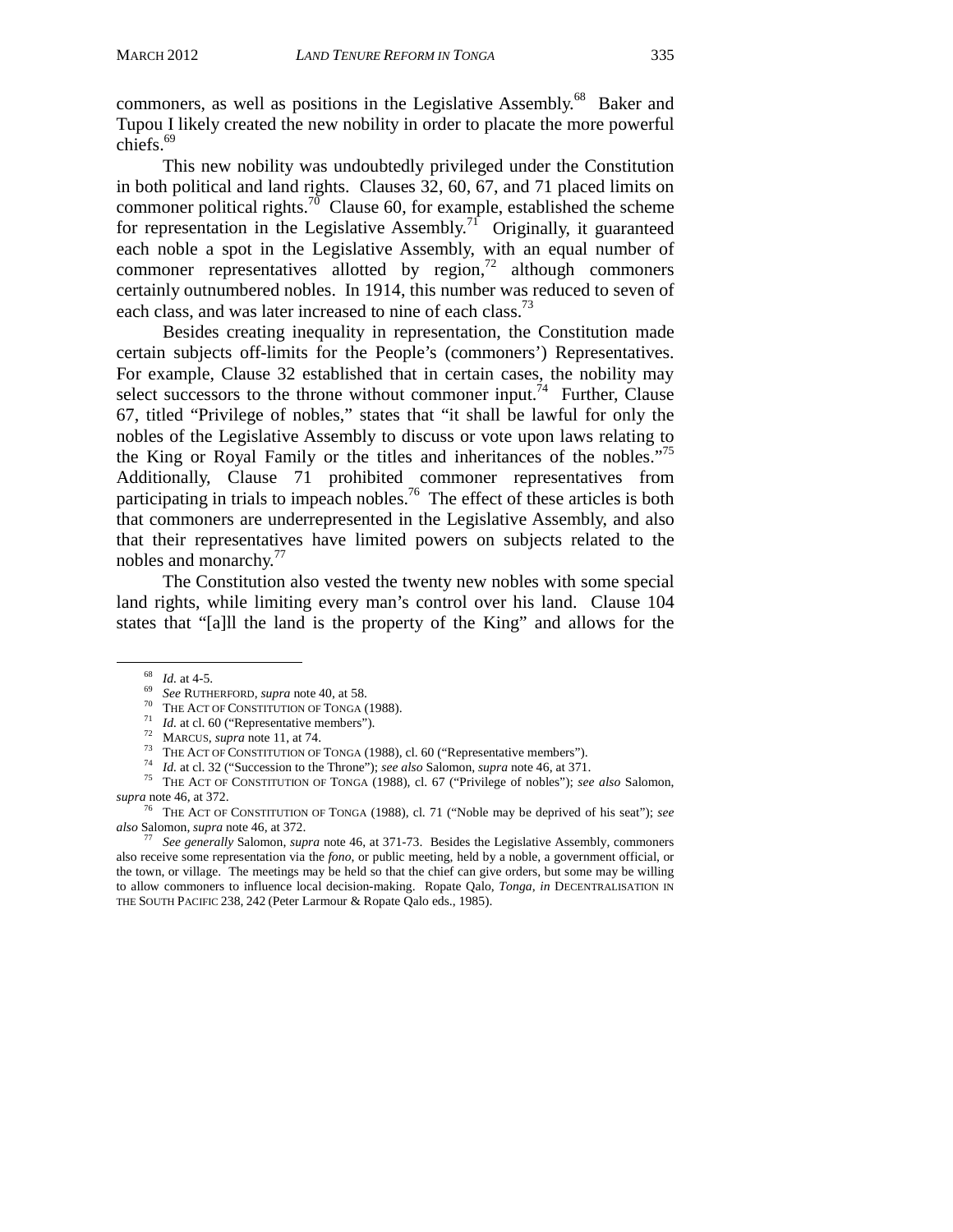commoners, as well as positions in the Legislative Assembly.<sup>68</sup> Baker and Tupou I likely created the new nobility in order to placate the more powerful chiefs.<sup>69</sup>

This new nobility was undoubtedly privileged under the Constitution in both political and land rights. Clauses 32, 60, 67, and 71 placed limits on commoner political rights.<sup>70</sup> Clause 60, for example, established the scheme for representation in the Legislative Assembly.<sup>71</sup> Originally, it guaranteed each noble a spot in the Legislative Assembly, with an equal number of commoner representatives allotted by region, $^{72}$  although commoners certainly outnumbered nobles. In 1914, this number was reduced to seven of each class, and was later increased to nine of each class.<sup>73</sup>

Besides creating inequality in representation, the Constitution made certain subjects off-limits for the People's (commoners') Representatives. For example, Clause 32 established that in certain cases, the nobility may select successors to the throne without commoner input.<sup>74</sup> Further, Clause 67, titled "Privilege of nobles," states that "it shall be lawful for only the nobles of the Legislative Assembly to discuss or vote upon laws relating to the King or Royal Family or the titles and inheritances of the nobles."75 Additionally, Clause 71 prohibited commoner representatives from participating in trials to impeach nobles.<sup>76</sup> The effect of these articles is both that commoners are underrepresented in the Legislative Assembly, and also that their representatives have limited powers on subjects related to the nobles and monarchy.<sup>77</sup>

The Constitution also vested the twenty new nobles with some special land rights, while limiting every man's control over his land. Clause 104 states that "[a]ll the land is the property of the King" and allows for the

<sup>&</sup>lt;sup>68</sup> *Id.* at 4-5.<br>
<sup>69</sup> *See* RUTHERFORD, *supra* note 40, at 58.<br>
<sup>70</sup> THE ACT OF CONSTITUTION OF TONGA (1988).<br>
<sup>71</sup> *Id.* at cl. 60 ("Representative members").<br>
<sup>72</sup> MARCUS, *supra* note 11, at 74.<br>
<sup>73</sup> THE ACT OF CO *supra* note 46, at 372.

<sup>76</sup> THE ACT OF CONSTITUTION OF TONGA (1988), cl. 71 ("Noble may be deprived of his seat"); *see also* Salomon, *supra* note 46, at 372. 77 *See generally* Salomon, *supra* note 46, at 371-73. Besides the Legislative Assembly, commoners

also receive some representation via the *fono*, or public meeting, held by a noble, a government official, or the town, or village. The meetings may be held so that the chief can give orders, but some may be willing to allow commoners to influence local decision-making. Ropate Qalo, *Tonga*, *in* DECENTRALISATION IN THE SOUTH PACIFIC 238, 242 (Peter Larmour & Ropate Qalo eds., 1985).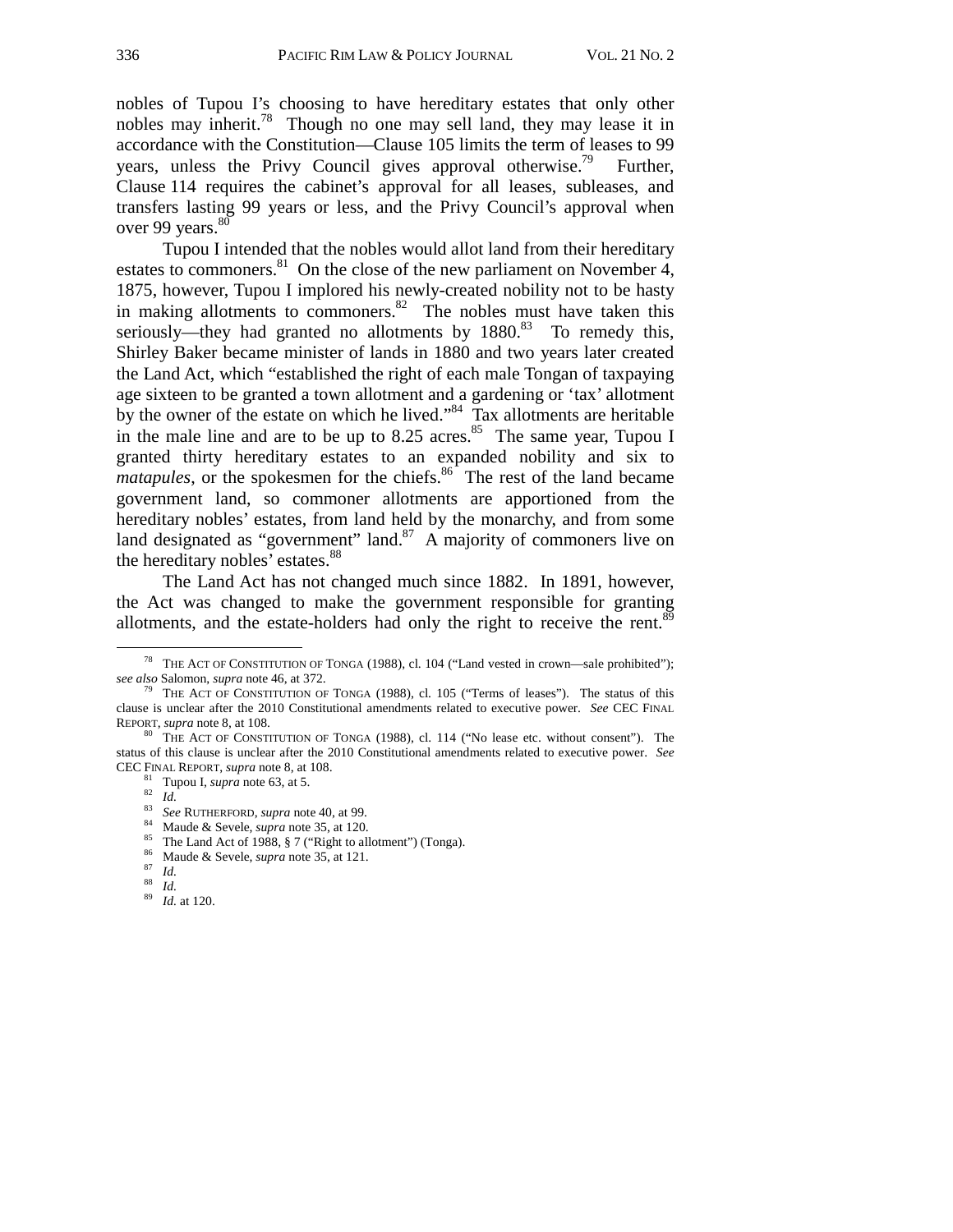nobles of Tupou I's choosing to have hereditary estates that only other nobles may inherit.<sup>78</sup> Though no one may sell land, they may lease it in accordance with the Constitution—Clause 105 limits the term of leases to 99 years, unless the Privy Council gives approval otherwise.<sup>79</sup> Further, Clause 114 requires the cabinet's approval for all leases, subleases, and transfers lasting 99 years or less, and the Privy Council's approval when over 99 years.<sup>80</sup>

Tupou I intended that the nobles would allot land from their hereditary estates to commoners. $81$  On the close of the new parliament on November 4, 1875, however, Tupou I implored his newly-created nobility not to be hasty in making allotments to commoners.<sup>82</sup> The nobles must have taken this seriously—they had granted no allotments by  $1880$ .<sup>83</sup> To remedy this, Shirley Baker became minister of lands in 1880 and two years later created the Land Act, which "established the right of each male Tongan of taxpaying age sixteen to be granted a town allotment and a gardening or 'tax' allotment by the owner of the estate on which he lived."<sup>84</sup> Tax allotments are heritable in the male line and are to be up to 8.25 acres.<sup>85</sup> The same year, Tupou I granted thirty hereditary estates to an expanded nobility and six to *matapules*, or the spokesmen for the chiefs.<sup>86</sup> The rest of the land became government land, so commoner allotments are apportioned from the hereditary nobles' estates, from land held by the monarchy, and from some land designated as "government" land.<sup>87</sup> A majority of commoners live on the hereditary nobles' estates.<sup>88</sup>

The Land Act has not changed much since 1882. In 1891, however, the Act was changed to make the government responsible for granting allotments, and the estate-holders had only the right to receive the rent.<sup>89</sup>

<sup>&</sup>lt;sup>78</sup> THE ACT OF CONSTITUTION OF TONGA (1988), cl. 104 ("Land vested in crown—sale prohibited"); *see also* Salomon, *supra* note 46, at 372.

<sup>&</sup>lt;sup>9</sup> THE ACT OF CONSTITUTION OF TONGA (1988), cl. 105 ("Terms of leases"). The status of this clause is unclear after the 2010 Constitutional amendments related to executive power. *See* CEC FINAL REPORT, *supra* note 8, at 108. **80** THE ACT OF CONSTITUTION OF TONGA (1988), cl. 114 ("No lease etc. without consent"). The

status of this clause is unclear after the 2010 Constitutional amendments related to executive power. *See*  CEC FINAL REPORT, *supra* note 8, at 108.<br><sup>81</sup> Tupou I, *supra* note 63, at 5.<br><sup>82</sup> Id.<br><sup>83</sup> See RUTHERFORD, *supra* note 40, at 99.<br><sup>84</sup> Maude & Sevele, *supra* note 35, at 120.<br><sup>85</sup> The Land Act of 1988, § 7 ("Right to

<sup>86</sup> Maude & Sevele, *supra* note 35, at 121. 87 *Id.* <sup>88</sup>*Id.* <sup>89</sup>*Id.* at 120.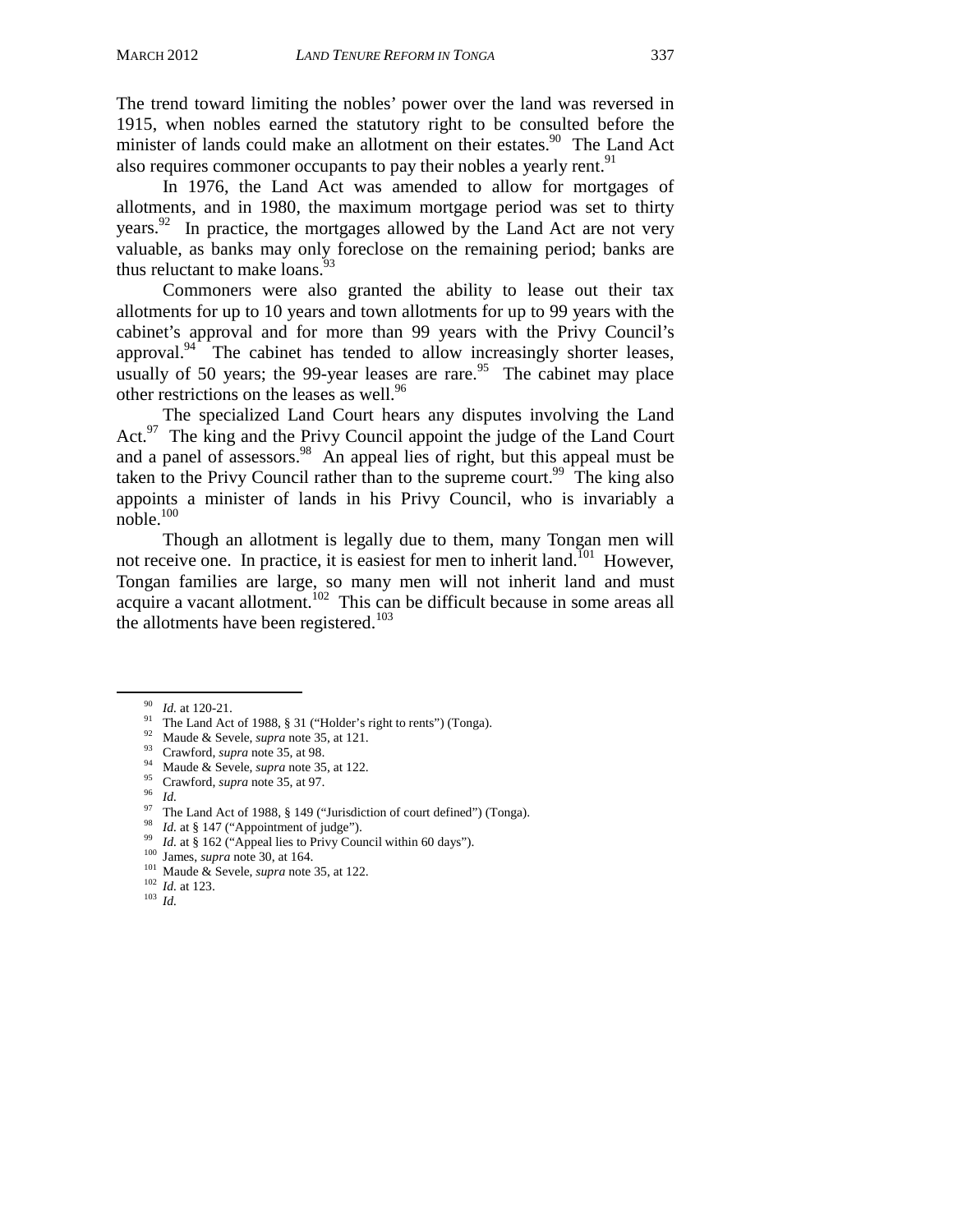The trend toward limiting the nobles' power over the land was reversed in 1915, when nobles earned the statutory right to be consulted before the minister of lands could make an allotment on their estates.<sup>90</sup> The Land Act also requires commoner occupants to pay their nobles a yearly rent.<sup>91</sup>

In 1976, the Land Act was amended to allow for mortgages of allotments, and in 1980, the maximum mortgage period was set to thirty years. $92$  In practice, the mortgages allowed by the Land Act are not very valuable, as banks may only foreclose on the remaining period; banks are thus reluctant to make loans. $93$ 

Commoners were also granted the ability to lease out their tax allotments for up to 10 years and town allotments for up to 99 years with the cabinet's approval and for more than 99 years with the Privy Council's approval.<sup>94</sup> The cabinet has tended to allow increasingly shorter leases, usually of 50 years; the 99-year leases are rare.<sup>95</sup> The cabinet may place other restrictions on the leases as well.<sup>96</sup>

 The specialized Land Court hears any disputes involving the Land Act.<sup>97</sup> The king and the Privy Council appoint the judge of the Land Court and a panel of assessors.<sup>98</sup> An appeal lies of right, but this appeal must be taken to the Privy Council rather than to the supreme court.<sup>99</sup> The king also appoints a minister of lands in his Privy Council, who is invariably a noble.100

 Though an allotment is legally due to them, many Tongan men will not receive one. In practice, it is easiest for men to inherit land.<sup>101</sup> However, Tongan families are large, so many men will not inherit land and must acquire a vacant allotment.<sup>102</sup> This can be difficult because in some areas all the allotments have been registered.<sup>103</sup>

<sup>&</sup>lt;sup>90</sup> *Id.* at 120-21.<br><sup>91</sup> The Land Act of 1988, § 31 ("Holder's right to rents") (Tonga).<br><sup>92</sup> Maude & Sevele, *supra* note 35, at 121.

<sup>&</sup>lt;sup>93</sup> Crawford, *supra* note 35, at 98.<br><sup>94</sup> Maude & Sevele, *supra* note 35, at 122.<br><sup>95</sup> Crawford, *supra* note 35, at 97.<br><sup>95</sup> Id.<br><sup>97</sup> The Land Act of 1988, § 149 ("Jurisdiction of court defined") (Tonga).<br><sup>98</sup> Id. at

<sup>&</sup>lt;sup>99</sup> *Id.* at § 162 ("Appeal lies to Privy Council within 60 days").<br><sup>100</sup> James, *supra* note 30, at 164.<br><sup>101</sup> Maude & Sevele, *supra* note 35, at 122.<br><sup>102</sup> *Id.* at 123.<br><sup>102</sup> *Id.* at 123.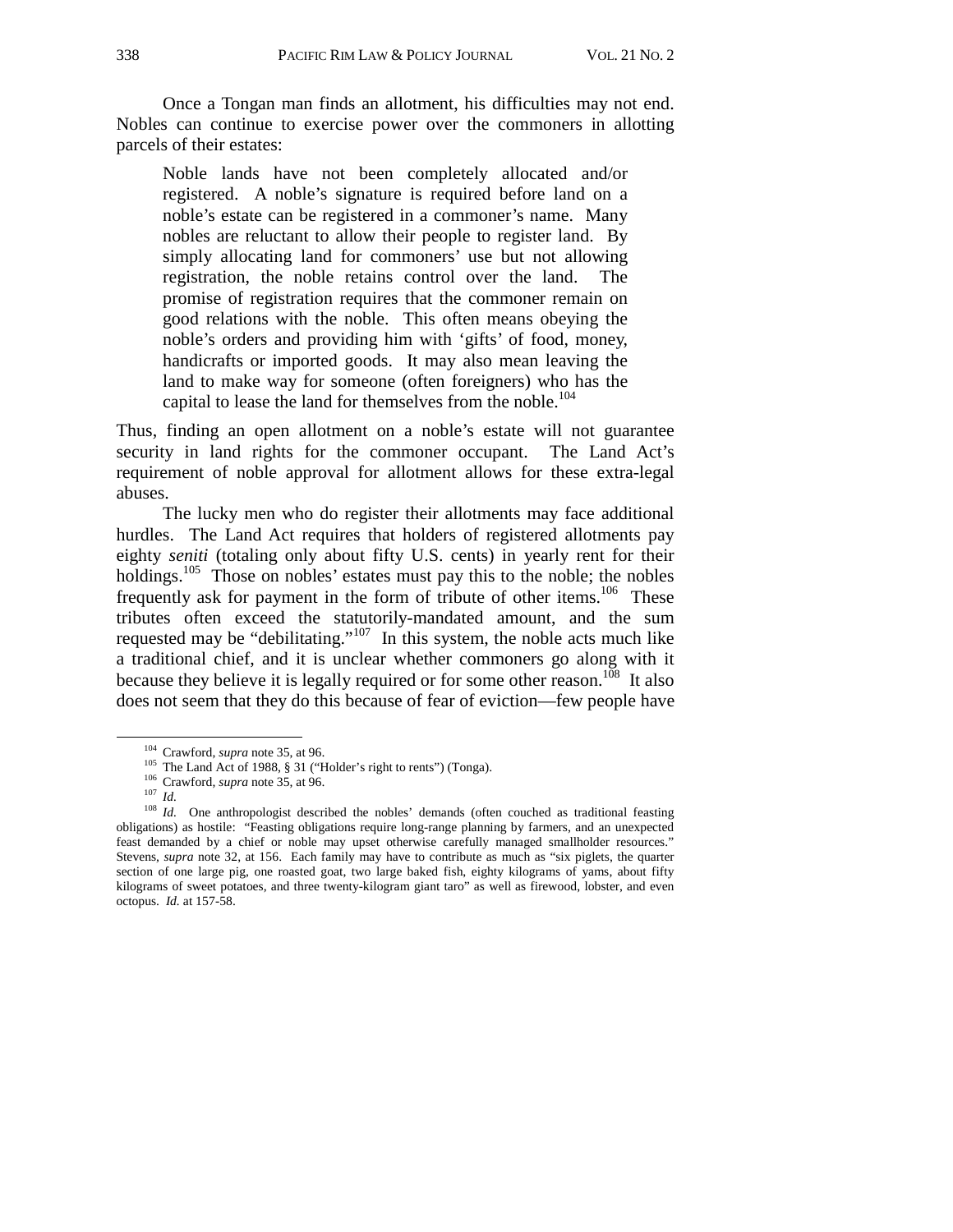Once a Tongan man finds an allotment, his difficulties may not end. Nobles can continue to exercise power over the commoners in allotting parcels of their estates:

Noble lands have not been completely allocated and/or registered. A noble's signature is required before land on a noble's estate can be registered in a commoner's name. Many nobles are reluctant to allow their people to register land. By simply allocating land for commoners' use but not allowing registration, the noble retains control over the land. The promise of registration requires that the commoner remain on good relations with the noble. This often means obeying the noble's orders and providing him with 'gifts' of food, money, handicrafts or imported goods. It may also mean leaving the land to make way for someone (often foreigners) who has the capital to lease the land for themselves from the noble.<sup>104</sup>

Thus, finding an open allotment on a noble's estate will not guarantee security in land rights for the commoner occupant. The Land Act's requirement of noble approval for allotment allows for these extra-legal abuses.

The lucky men who do register their allotments may face additional hurdles. The Land Act requires that holders of registered allotments pay eighty *seniti* (totaling only about fifty U.S. cents) in yearly rent for their holdings.<sup>105</sup> Those on nobles' estates must pay this to the noble; the nobles frequently ask for payment in the form of tribute of other items.<sup>106</sup> These tributes often exceed the statutorily-mandated amount, and the sum requested may be "debilitating."<sup>107</sup> In this system, the noble acts much like a traditional chief, and it is unclear whether commoners go along with it because they believe it is legally required or for some other reason.<sup>108</sup> It also does not seem that they do this because of fear of eviction—few people have

<sup>&</sup>lt;sup>104</sup> Crawford, *supra* note 35, at 96.<br><sup>105</sup> The Land Act of 1988, § 31 ("Holder's right to rents") (Tonga).<br><sup>106</sup> Crawford, *supra* note 35, at 96.<br><sup>107</sup> Id.<br><sup>108</sup> Id. One anthropologist described the nobles' demands (o obligations) as hostile: "Feasting obligations require long-range planning by farmers, and an unexpected feast demanded by a chief or noble may upset otherwise carefully managed smallholder resources." Stevens, *supra* note 32, at 156. Each family may have to contribute as much as "six piglets, the quarter section of one large pig, one roasted goat, two large baked fish, eighty kilograms of yams, about fifty kilograms of sweet potatoes, and three twenty-kilogram giant taro" as well as firewood, lobster, and even octopus. *Id.* at 157-58.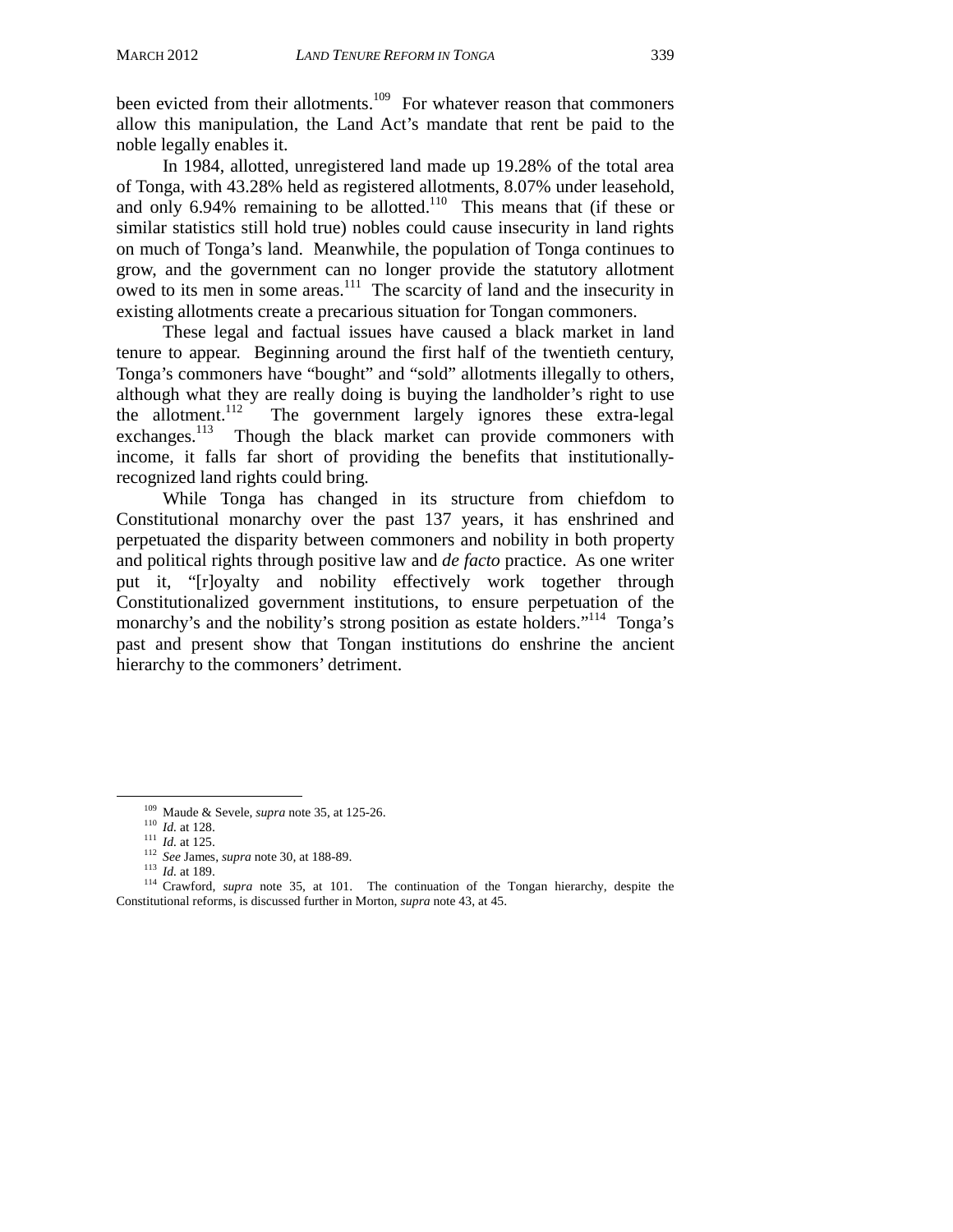been evicted from their allotments.<sup>109</sup> For whatever reason that commoners allow this manipulation, the Land Act's mandate that rent be paid to the noble legally enables it.

In 1984, allotted, unregistered land made up 19.28% of the total area of Tonga, with 43.28% held as registered allotments, 8.07% under leasehold, and only 6.94% remaining to be allotted.<sup>110</sup> This means that (if these or similar statistics still hold true) nobles could cause insecurity in land rights on much of Tonga's land. Meanwhile, the population of Tonga continues to grow, and the government can no longer provide the statutory allotment owed to its men in some areas. $111$  The scarcity of land and the insecurity in existing allotments create a precarious situation for Tongan commoners.

 These legal and factual issues have caused a black market in land tenure to appear. Beginning around the first half of the twentieth century, Tonga's commoners have "bought" and "sold" allotments illegally to others, although what they are really doing is buying the landholder's right to use the allotment.<sup>112</sup> The government largely ignores these extra-legal the allotment.<sup>112</sup> The government largely ignores these extra-legal exchanges.<sup>113</sup> Though the black market can provide commoners with Though the black market can provide commoners with income, it falls far short of providing the benefits that institutionallyrecognized land rights could bring.

While Tonga has changed in its structure from chiefdom to Constitutional monarchy over the past 137 years, it has enshrined and perpetuated the disparity between commoners and nobility in both property and political rights through positive law and *de facto* practice. As one writer put it, "[r]oyalty and nobility effectively work together through Constitutionalized government institutions, to ensure perpetuation of the monarchy's and the nobility's strong position as estate holders."<sup>114</sup> Tonga's past and present show that Tongan institutions do enshrine the ancient hierarchy to the commoners' detriment.

<sup>&</sup>lt;sup>109</sup> Maude & Sevele, *supra* note 35, at 125-26.<br><sup>110</sup> *Id.* at 128.<br><sup>111</sup> *Id.* at 125.<br><sup>112</sup> *See* James, *supra* note 30, at 188-89.<br><sup>113</sup> *Id.* at 189.<br><sup>113</sup> *Id.* at 189.<br><sup>114</sup> Crawford, *supra* note 35, at 101. The Constitutional reforms, is discussed further in Morton, *supra* note 43, at 45.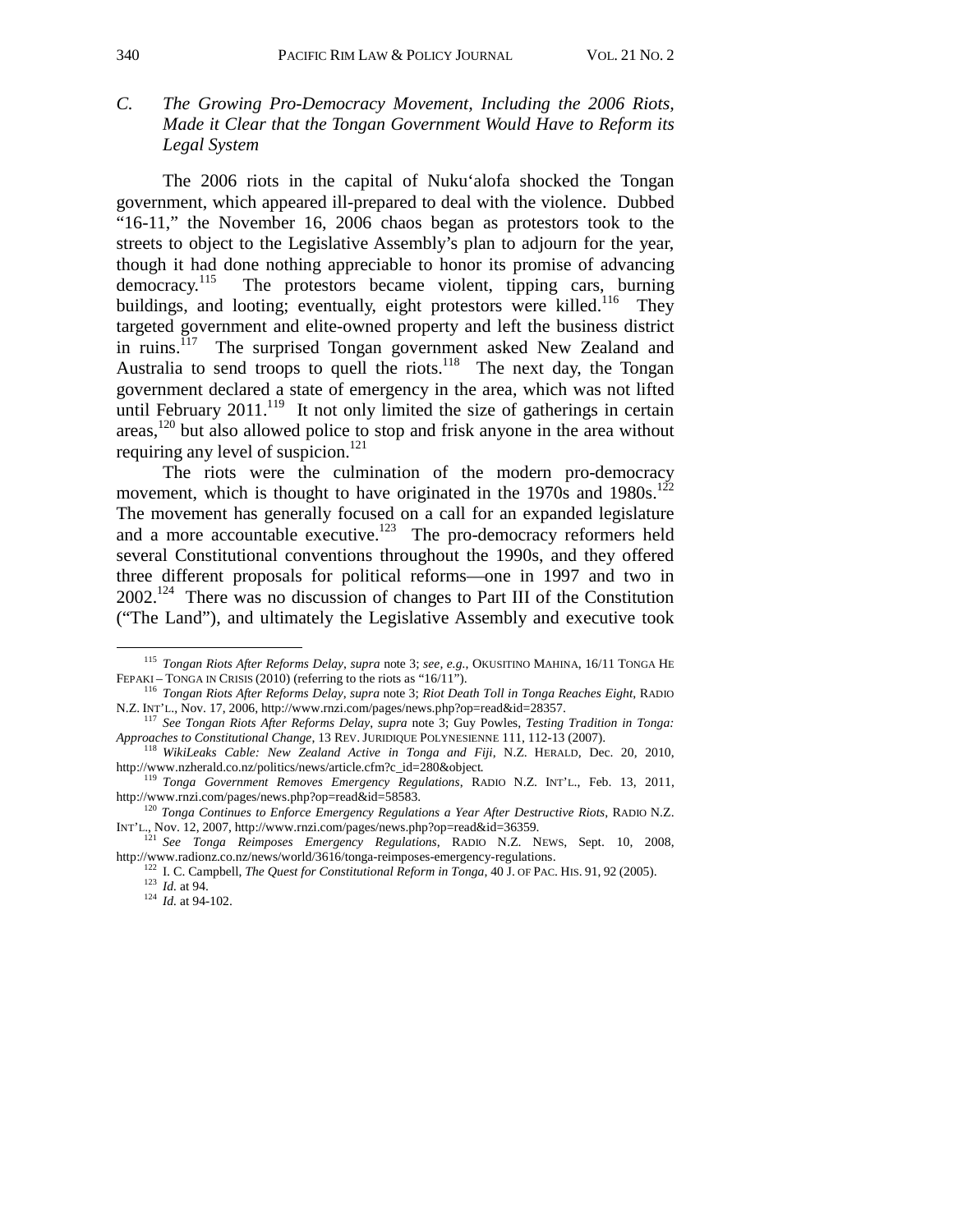*C. The Growing Pro-Democracy Movement, Including the 2006 Riots, Made it Clear that the Tongan Government Would Have to Reform its Legal System* 

The 2006 riots in the capital of Nuku'alofa shocked the Tongan government, which appeared ill-prepared to deal with the violence. Dubbed "16-11," the November 16, 2006 chaos began as protestors took to the streets to object to the Legislative Assembly's plan to adjourn for the year, though it had done nothing appreciable to honor its promise of advancing democracy.<sup>115</sup> The protestors became violent, tipping cars, burning buildings, and looting; eventually, eight protestors were killed.<sup>116</sup> They targeted government and elite-owned property and left the business district in ruins.<sup>117</sup> The surprised Tongan government asked New Zealand and Australia to send troops to quell the riots.<sup>118</sup> The next day, the Tongan government declared a state of emergency in the area, which was not lifted until February  $2011$ .<sup>119</sup> It not only limited the size of gatherings in certain areas,120 but also allowed police to stop and frisk anyone in the area without requiring any level of suspicion.<sup>121</sup>

The riots were the culmination of the modern pro-democracy movement, which is thought to have originated in the  $1970s$  and  $1980s$ .<sup>12</sup> The movement has generally focused on a call for an expanded legislature and a more accountable executive.<sup>123</sup> The pro-democracy reformers held several Constitutional conventions throughout the 1990s, and they offered three different proposals for political reforms—one in 1997 and two in  $2002$ <sup>124</sup> There was no discussion of changes to Part III of the Constitution ("The Land"), and ultimately the Legislative Assembly and executive took

<sup>&</sup>lt;sup>115</sup> *Tongan Riots After Reforms Delay, supra note 3; see, e.g.*, OKUSITINO MAHINA, 16/11 TONGA HE FEPAKI – TONGA IN CRISIS (2010) (referring to the riots as "16/11").

<sup>&</sup>lt;sup>116</sup> *Tongan Riots After Reforms Delay, supra* note 3; *Riot Death Toll in Tonga Reaches Eight*, RADIO N.Z. INT'L., Nov. 17, 2006, http://www.rnzi.com/pages/news.php?op=read&id=28357.

<sup>&</sup>lt;sup>117</sup> See Tongan Riots After Reforms Delay, *supra* note 3; Guy Powles, *Testing Tradition in Tonga*:

*Approaches to Constitutional Change*, 13 REV. JURIDIQUE POLYNESIENNE 111, 112-13 (2007).<br><sup>118</sup> *WikiLeaks Cable: New Zealand Active in Tonga and Fiji*, N.Z. HERALD, Dec. 20, 2010,<br>http://www.nzherald.co.nz/politics/news/a

<sup>&</sup>lt;sup>119</sup> Tonga Government Removes Emergency Regulations, RADIO N.Z. INT'L., Feb. 13, 2011, http://www.rnzi.com/pages/news.php?op=read&id=58583.

<sup>&</sup>lt;sup>120</sup> Tonga Continues to Enforce Emergency Regulations a Year After Destructive Riots, RADIO N.Z. INT'L., Nov. 12, 2007, http://www.rnzi.com/pages/news.php?op=read&id=36359.

<sup>121</sup> *See Tonga Reimposes Emergency Regulations*, RADIO N.Z. NEWS, Sept. 10, 2008,

http://www.radionz.co.nz/news/world/3616/tonga-reimposes-emergency-regulations.<br>
<sup>122</sup> I. C. Campbell, *The Quest for Constitutional Reform in Tonga*, 40 J. OF PAC. HIS. 91, 92 (2005).<br>
<sup>123</sup> Id. at 94.<br>
<sup>124</sup> Id. at 94-1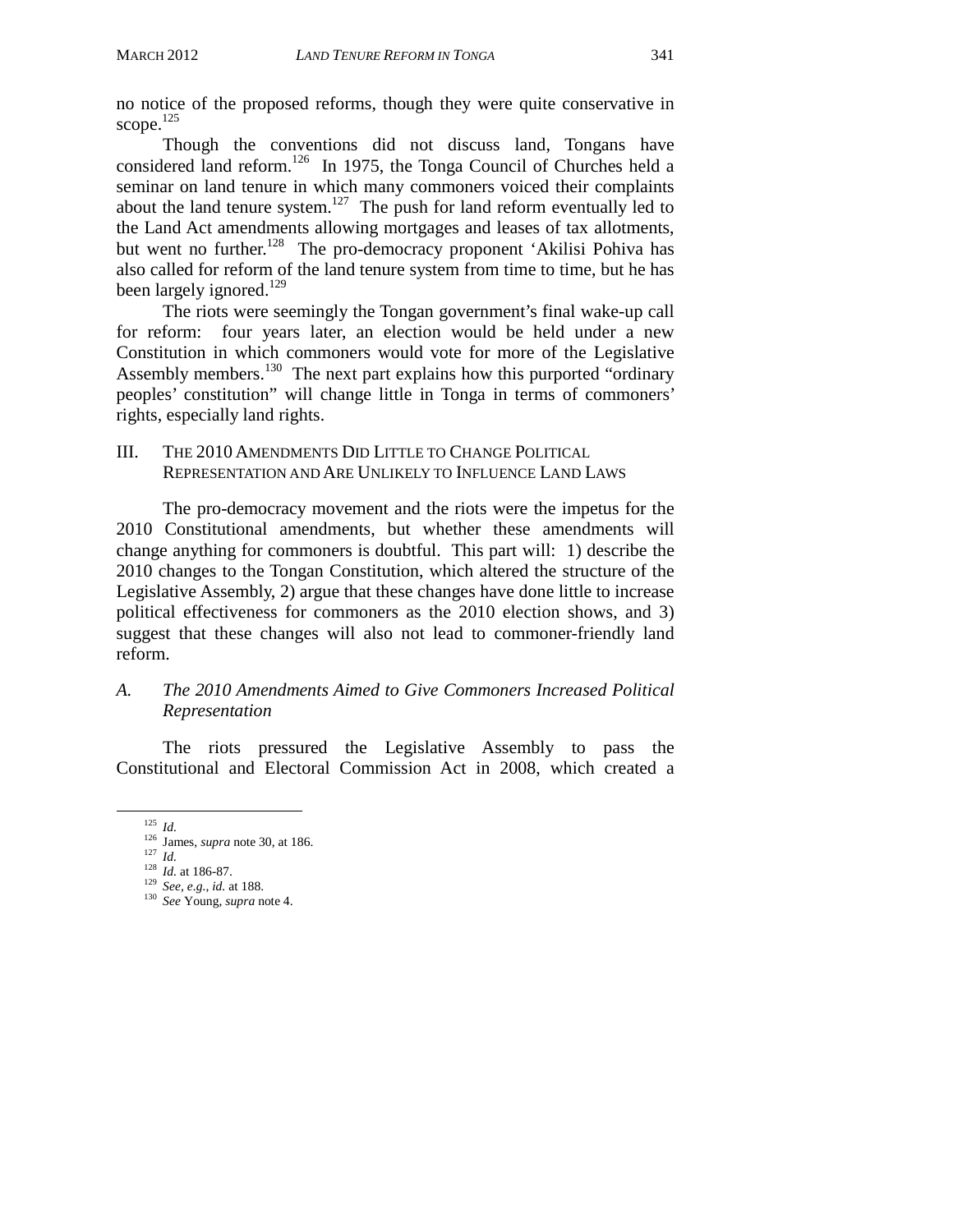no notice of the proposed reforms, though they were quite conservative in scope.<sup>125</sup>

Though the conventions did not discuss land, Tongans have considered land reform.126 In 1975, the Tonga Council of Churches held a seminar on land tenure in which many commoners voiced their complaints about the land tenure system.<sup>127</sup> The push for land reform eventually led to the Land Act amendments allowing mortgages and leases of tax allotments, but went no further.<sup>128</sup> The pro-democracy proponent 'Akilisi Pohiva has also called for reform of the land tenure system from time to time, but he has been largely ignored.<sup>129</sup>

The riots were seemingly the Tongan government's final wake-up call for reform: four years later, an election would be held under a new Constitution in which commoners would vote for more of the Legislative Assembly members.<sup>130</sup> The next part explains how this purported "ordinary" peoples' constitution" will change little in Tonga in terms of commoners' rights, especially land rights.

## III. THE 2010 AMENDMENTS DID LITTLE TO CHANGE POLITICAL REPRESENTATION AND ARE UNLIKELY TO INFLUENCE LAND LAWS

The pro-democracy movement and the riots were the impetus for the 2010 Constitutional amendments, but whether these amendments will change anything for commoners is doubtful. This part will: 1) describe the 2010 changes to the Tongan Constitution, which altered the structure of the Legislative Assembly, 2) argue that these changes have done little to increase political effectiveness for commoners as the 2010 election shows, and 3) suggest that these changes will also not lead to commoner-friendly land reform.

## *A. The 2010 Amendments Aimed to Give Commoners Increased Political Representation*

The riots pressured the Legislative Assembly to pass the Constitutional and Electoral Commission Act in 2008, which created a

<sup>125</sup>*Id.* 126 James, *supra* note 30, at 186. 127 *Id.* <sup>128</sup>*Id.* at 186-87. 129 *See, e.g.*, *id.* at 188. 130 *See* Young, *supra* note 4.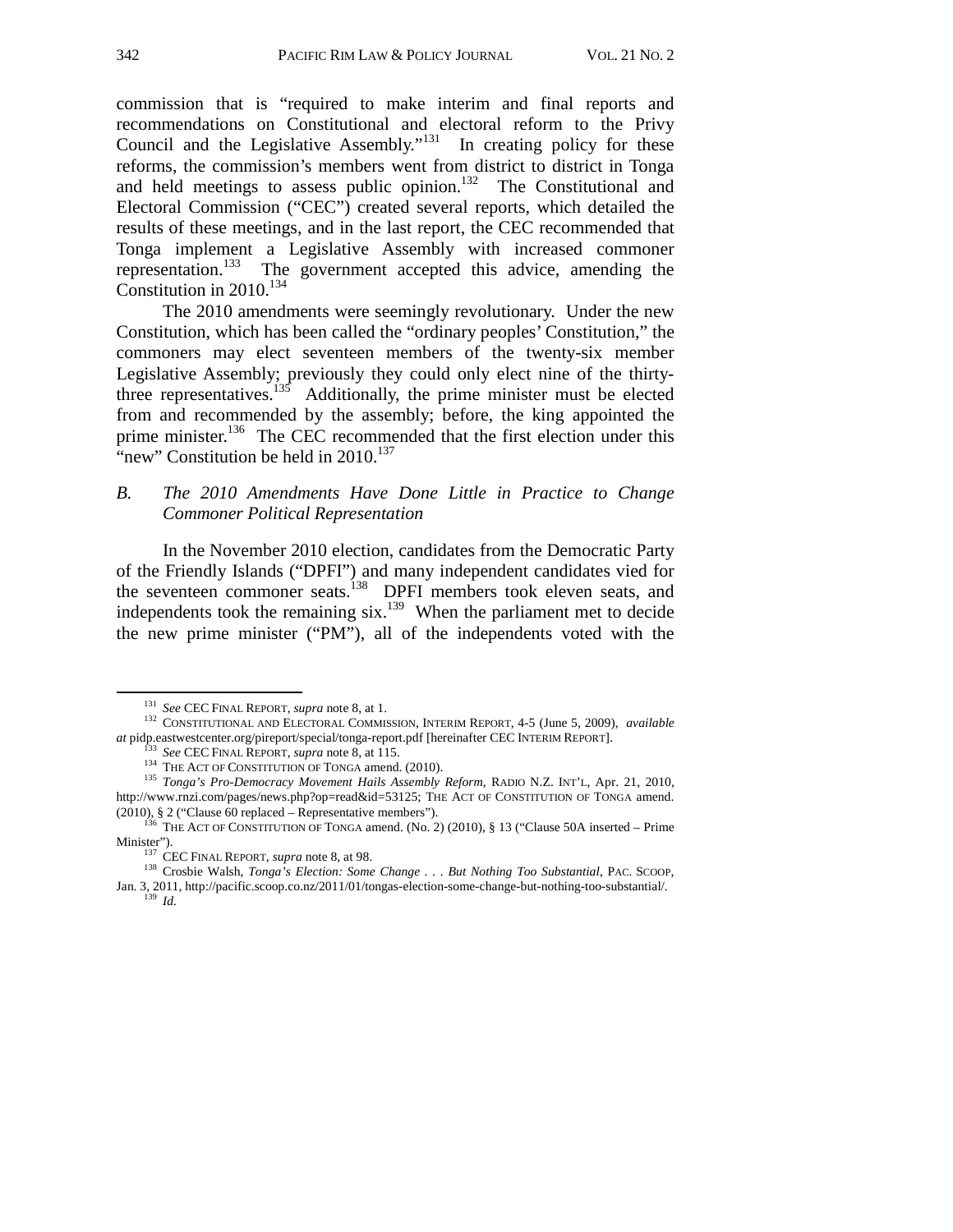commission that is "required to make interim and final reports and recommendations on Constitutional and electoral reform to the Privy Council and the Legislative Assembly."<sup>131</sup> In creating policy for these reforms, the commission's members went from district to district in Tonga and held meetings to assess public opinion.<sup>132</sup> The Constitutional and Electoral Commission ("CEC") created several reports, which detailed the results of these meetings, and in the last report, the CEC recommended that Tonga implement a Legislative Assembly with increased commoner representation.<sup>133</sup> The government accepted this advice, amending the Constitution in 2010.<sup>134</sup>

The 2010 amendments were seemingly revolutionary. Under the new Constitution, which has been called the "ordinary peoples' Constitution," the commoners may elect seventeen members of the twenty-six member Legislative Assembly; previously they could only elect nine of the thirtythree representatives.<sup>135</sup> Additionally, the prime minister must be elected from and recommended by the assembly; before, the king appointed the prime minister.<sup>136</sup> The CEC recommended that the first election under this "new" Constitution be held in  $2010$ <sup>137</sup>

### *B. The 2010 Amendments Have Done Little in Practice to Change Commoner Political Representation*

In the November 2010 election, candidates from the Democratic Party of the Friendly Islands ("DPFI") and many independent candidates vied for the seventeen commoner seats.<sup>138</sup> DPFI members took eleven seats, and independents took the remaining six.139 When the parliament met to decide the new prime minister ("PM"), all of the independents voted with the

<sup>131</sup>*See* CEC FINAL REPORT, *supra* note 8, at 1. 132 CONSTITUTIONAL AND ELECTORAL COMMISSION, INTERIM REPORT, 4-5 (June 5, 2009), *available at* pidp.eastwestcenter.org/pireport/special/tonga-report.pdf [hereinafter CEC INTERIM REPORT].<br>
<sup>133</sup> *See* CEC FINAL REPORT, *supra* note 8, at 115.<br>
<sup>134</sup> THE ACT OF CONSTITUTION OF TONGA amend. (2010).<br>
<sup>135</sup> *Tonga'* 

http://www.rnzi.com/pages/news.php?op=read&id=53125; THE ACT OF CONSTITUTION OF TONGA amend.

<sup>(2010), § 2 (&</sup>quot;Clause 60 replaced – Representative members").<br><sup>136</sup> THE ACT OF CONSTITUTION OF TONGA amend. (No. 2) (2010), § 13 ("Clause 50A inserted – Prime

Minister"). 137 CEC FINAL REPORT, *supra* note 8, at 98. 138 Crosbie Walsh, *Tonga's Election: Some Change . . . But Nothing Too Substantial*, PAC. SCOOP, Jan. 3, 2011, http://pacific.scoop.co.nz/2011/01/tongas-election-some-change-but-nothing-too-substantial/. 139 *Id.*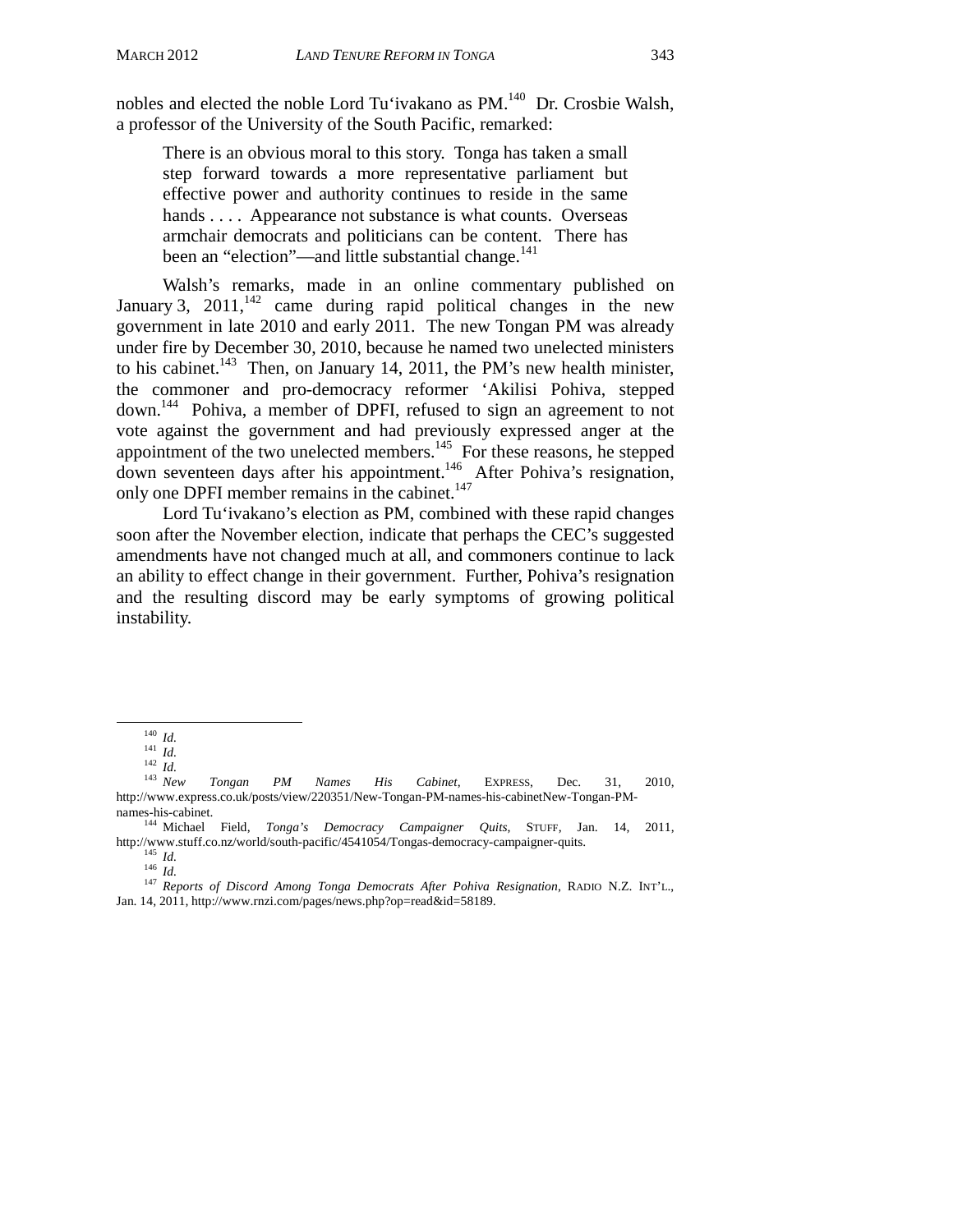nobles and elected the noble Lord Tu'ivakano as PM.<sup>140</sup> Dr. Crosbie Walsh, a professor of the University of the South Pacific, remarked:

There is an obvious moral to this story. Tonga has taken a small step forward towards a more representative parliament but effective power and authority continues to reside in the same hands . . . . Appearance not substance is what counts. Overseas armchair democrats and politicians can be content. There has been an "election"—and little substantial change.<sup>141</sup>

Walsh's remarks, made in an online commentary published on January 3, 2011, $\frac{1}{42}$  came during rapid political changes in the new government in late 2010 and early 2011. The new Tongan PM was already under fire by December 30, 2010, because he named two unelected ministers to his cabinet.<sup>143</sup> Then, on January 14, 2011, the PM's new health minister, the commoner and pro-democracy reformer 'Akilisi Pohiva, stepped down.144 Pohiva, a member of DPFI, refused to sign an agreement to not vote against the government and had previously expressed anger at the appointment of the two unelected members.<sup>145</sup> For these reasons, he stepped down seventeen days after his appointment.<sup>146</sup> After Pohiva's resignation, only one DPFI member remains in the cabinet.<sup>147</sup>

Lord Tu'ivakano's election as PM, combined with these rapid changes soon after the November election, indicate that perhaps the CEC's suggested amendments have not changed much at all, and commoners continue to lack an ability to effect change in their government. Further, Pohiva's resignation and the resulting discord may be early symptoms of growing political instability.

<sup>140</sup>*Id.* <sup>141</sup>*Id.* <sup>142</sup>*Id.* <sup>143</sup> *New Tongan PM Names His Cabinet*, EXPRESS, Dec. 31, 2010, <sup>143</sup> New Tongan PM Names His Cabinet, EXPRESS, Dec. 31,<br>http://www.express.co.uk/posts/view/220351/New-Tongan-PM-names-his-cabinetNew-Tongan-PM-

names-his-cabinet.<br><sup>144</sup> Michael Field, *Tonga's Democracy Campaigner Quits*, STUFF, Jan. 14, 2011,<br>http://www.stuff.co.nz/world/south-pacific/4541054/Tongas-democracy-campaigner-quits.

http://www.stuff.co.nz/world/south-pacific/45414147<br><sup>145</sup> *Id.* 147 *Reports of Discord Among Tonga Democrats After Pohiva Resignation*, RADIO N.Z. INT'L., Jan. 14, 2011, http://www.rnzi.com/pages/news.php?op=read&id=58189.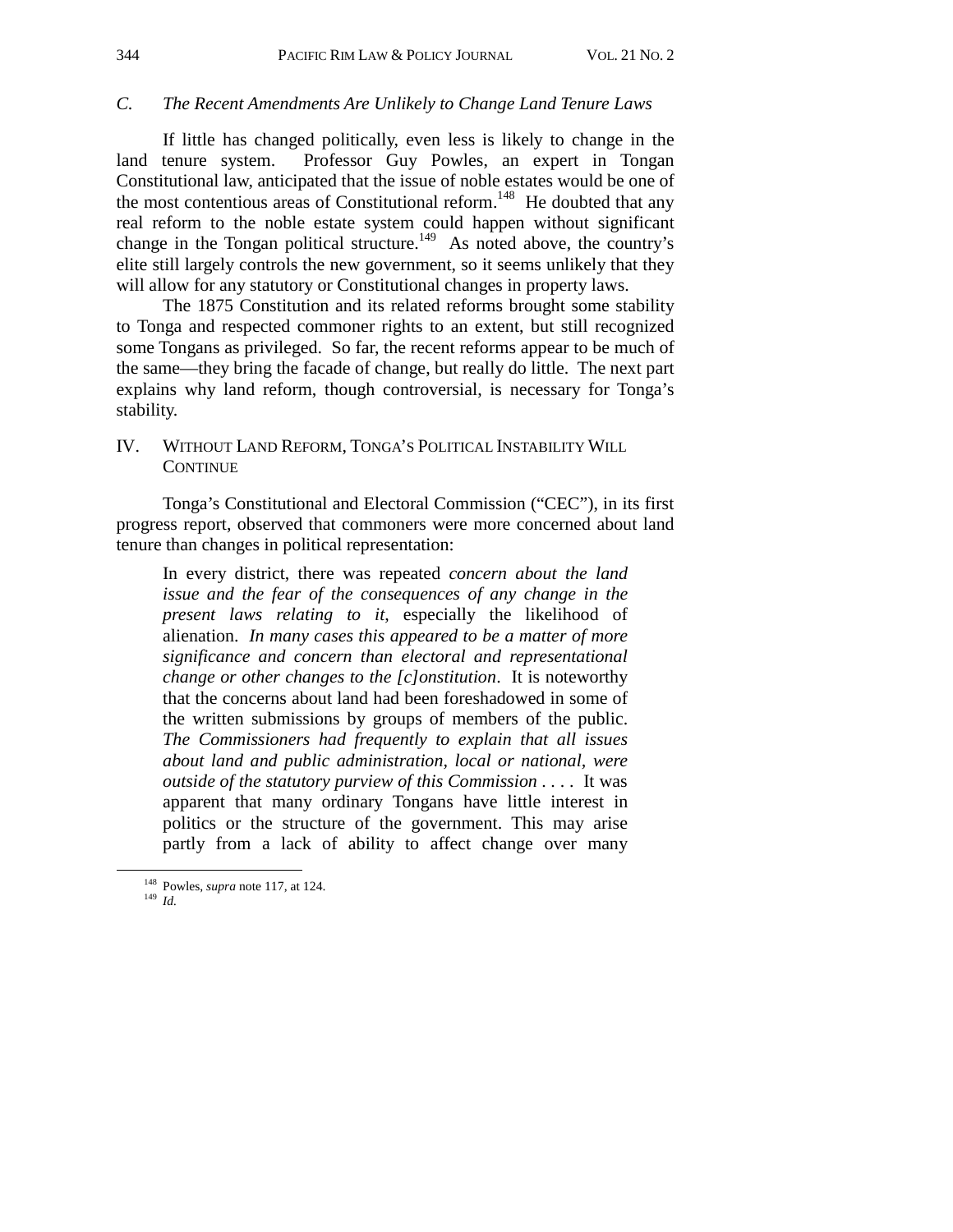#### *C. The Recent Amendments Are Unlikely to Change Land Tenure Laws*

If little has changed politically, even less is likely to change in the land tenure system. Professor Guy Powles, an expert in Tongan Constitutional law, anticipated that the issue of noble estates would be one of the most contentious areas of Constitutional reform.<sup>148</sup> He doubted that any real reform to the noble estate system could happen without significant change in the Tongan political structure.<sup>149</sup> As noted above, the country's elite still largely controls the new government, so it seems unlikely that they will allow for any statutory or Constitutional changes in property laws.

The 1875 Constitution and its related reforms brought some stability to Tonga and respected commoner rights to an extent, but still recognized some Tongans as privileged. So far, the recent reforms appear to be much of the same—they bring the facade of change, but really do little. The next part explains why land reform, though controversial, is necessary for Tonga's stability.

## IV. WITHOUT LAND REFORM, TONGA'S POLITICAL INSTABILITY WILL **CONTINUE**

Tonga's Constitutional and Electoral Commission ("CEC"), in its first progress report, observed that commoners were more concerned about land tenure than changes in political representation:

In every district, there was repeated *concern about the land issue and the fear of the consequences of any change in the present laws relating to it*, especially the likelihood of alienation. *In many cases this appeared to be a matter of more significance and concern than electoral and representational change or other changes to the [c]onstitution*. It is noteworthy that the concerns about land had been foreshadowed in some of the written submissions by groups of members of the public. *The Commissioners had frequently to explain that all issues about land and public administration, local or national, were outside of the statutory purview of this Commission* . . . . It was apparent that many ordinary Tongans have little interest in politics or the structure of the government. This may arise partly from a lack of ability to affect change over many

 <sup>148</sup> Powles, *supra* note 117, at 124. 149 *Id.*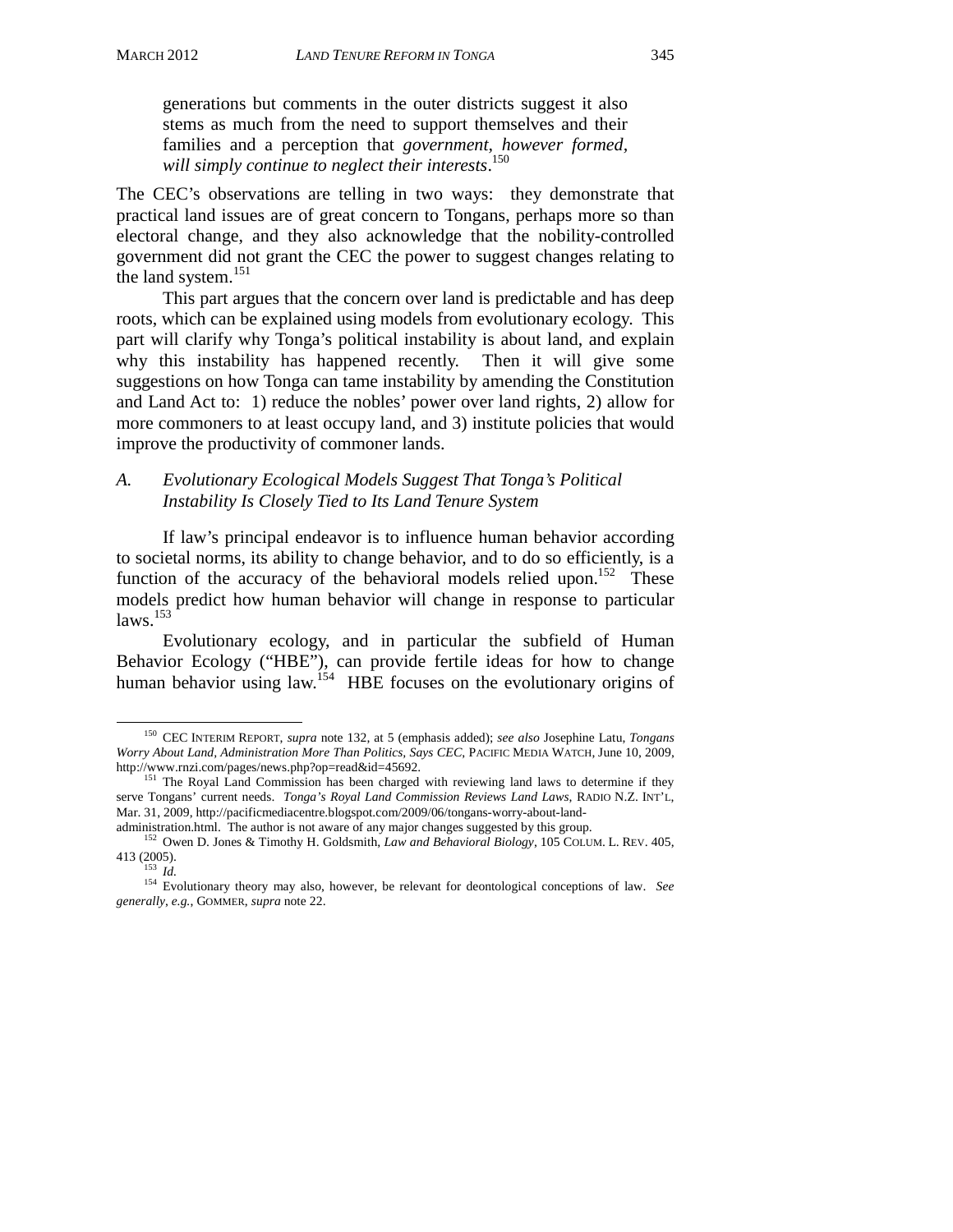generations but comments in the outer districts suggest it also stems as much from the need to support themselves and their families and a perception that *government, however formed, will simply continue to neglect their interests*. 150

The CEC's observations are telling in two ways: they demonstrate that practical land issues are of great concern to Tongans, perhaps more so than electoral change, and they also acknowledge that the nobility-controlled government did not grant the CEC the power to suggest changes relating to the land system.<sup>151</sup>

 This part argues that the concern over land is predictable and has deep roots, which can be explained using models from evolutionary ecology. This part will clarify why Tonga's political instability is about land, and explain why this instability has happened recently. Then it will give some suggestions on how Tonga can tame instability by amending the Constitution and Land Act to: 1) reduce the nobles' power over land rights, 2) allow for more commoners to at least occupy land, and 3) institute policies that would improve the productivity of commoner lands.

## *A. Evolutionary Ecological Models Suggest That Tonga's Political Instability Is Closely Tied to Its Land Tenure System*

 If law's principal endeavor is to influence human behavior according to societal norms, its ability to change behavior, and to do so efficiently, is a function of the accuracy of the behavioral models relied upon.<sup>152</sup> These models predict how human behavior will change in response to particular  $\mu$ laws.<sup>153</sup>

Evolutionary ecology, and in particular the subfield of Human Behavior Ecology ("HBE"), can provide fertile ideas for how to change human behavior using law.<sup>154</sup> HBE focuses on the evolutionary origins of

 <sup>150</sup> CEC INTERIM REPORT, *supra* note 132, at 5 (emphasis added); *see also* Josephine Latu, *Tongans Worry About Land, Administration More Than Politics, Says CEC*, PACIFIC MEDIA WATCH, June 10, 2009,

<sup>&</sup>lt;sup>151</sup> The Royal Land Commission has been charged with reviewing land laws to determine if they serve Tongans' current needs. *Tonga's Royal Land Commission Reviews Land Laws*, RADIO N.Z. INT'L, Mar. 31, 2009, http://pacificmediacentre.blogspot.com/2009/06/tongans-worry-about-land-<br>administration.html. The author is not aware of any major changes suggested by this group.

<sup>&</sup>lt;sup>152</sup> Owen D. Jones & Timothy H. Goldsmith, *Law and Behavioral Biology*, 105 COLUM. L. REV. 405, 413 (2005). 153 *Id.* 154 Evolutionary theory may also, however, be relevant for deontological conceptions of law. *See* 

*generally*, *e.g.*, GOMMER, *supra* note 22.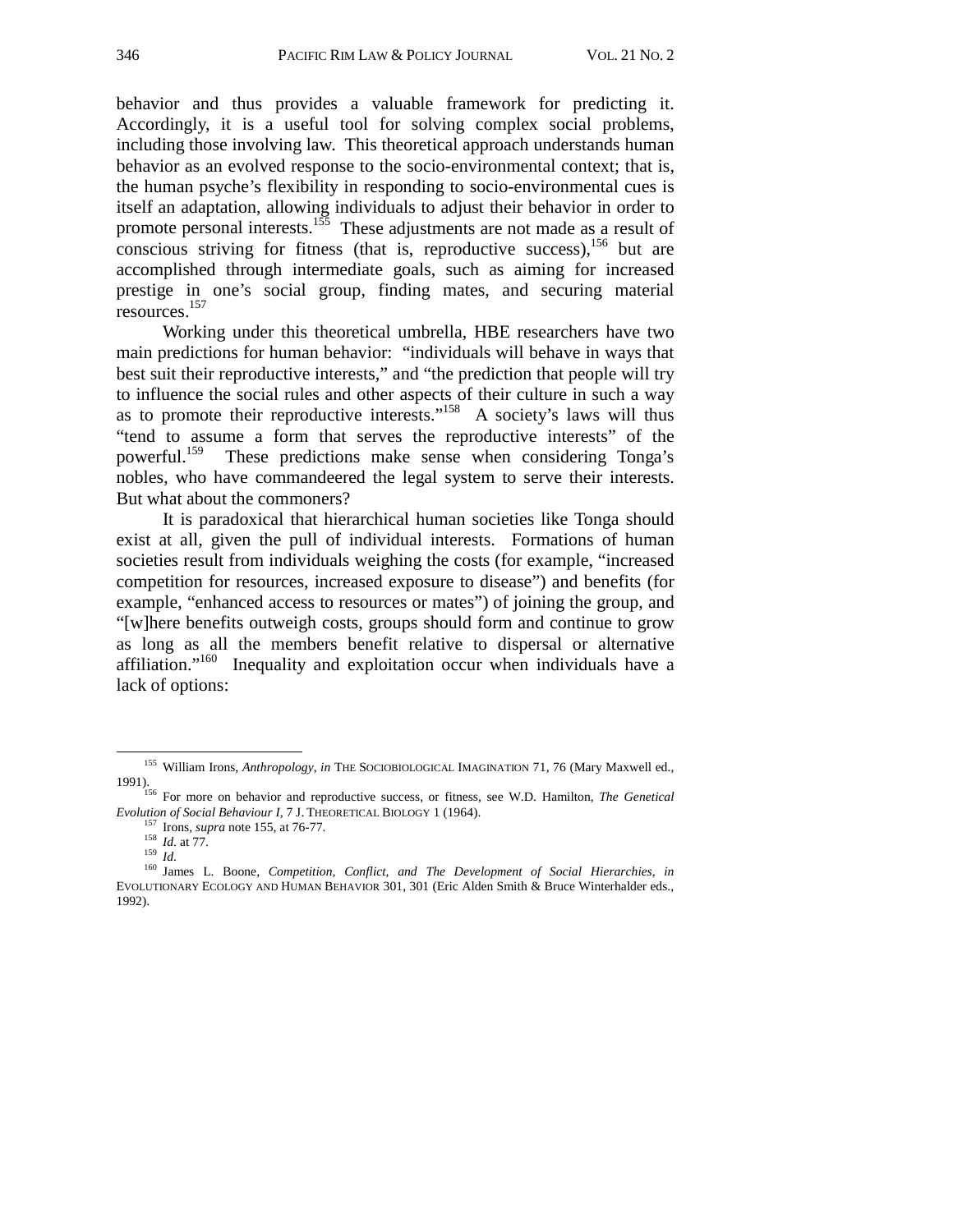behavior and thus provides a valuable framework for predicting it. Accordingly, it is a useful tool for solving complex social problems, including those involving law. This theoretical approach understands human behavior as an evolved response to the socio-environmental context; that is, the human psyche's flexibility in responding to socio-environmental cues is itself an adaptation, allowing individuals to adjust their behavior in order to promote personal interests.<sup>155</sup> These adjustments are not made as a result of conscious striving for fitness (that is, reproductive success), $156$  but are accomplished through intermediate goals, such as aiming for increased prestige in one's social group, finding mates, and securing material resources.157

Working under this theoretical umbrella, HBE researchers have two main predictions for human behavior: "individuals will behave in ways that best suit their reproductive interests," and "the prediction that people will try to influence the social rules and other aspects of their culture in such a way as to promote their reproductive interests."158 A society's laws will thus "tend to assume a form that serves the reproductive interests" of the powerful.159 These predictions make sense when considering Tonga's nobles, who have commandeered the legal system to serve their interests. But what about the commoners?

It is paradoxical that hierarchical human societies like Tonga should exist at all, given the pull of individual interests. Formations of human societies result from individuals weighing the costs (for example, "increased competition for resources, increased exposure to disease") and benefits (for example, "enhanced access to resources or mates") of joining the group, and "[w]here benefits outweigh costs, groups should form and continue to grow as long as all the members benefit relative to dispersal or alternative affiliation."160 Inequality and exploitation occur when individuals have a lack of options:

<sup>&</sup>lt;sup>155</sup> William Irons, *Anthropology*, *in* THE SOCIOBIOLOGICAL IMAGINATION 71, 76 (Mary Maxwell ed.,

<sup>1991).&</sup>lt;br><sup>156</sup> For more on behavior and reproductive success, or fitness, see W.D. Hamilton, *The Genetical Evolution of Social Behaviour I*, 7 J. THEORETICAL BIOLOGY 1 (1964).

<sup>&</sup>lt;sup>157</sup> Irons, *supra* note 155, at 76-77.<br><sup>158</sup> *Id.* at 77.<br><sup>159</sup> *Id.*<br><sup>159</sup> *Id.*<br><sup>160</sup> James L. Boone, *Competition, Conflict, and The Development of Social Hierarchies, in* EVOLUTIONARY ECOLOGY AND HUMAN BEHAVIOR 301, 301 (Eric Alden Smith & Bruce Winterhalder eds., 1992).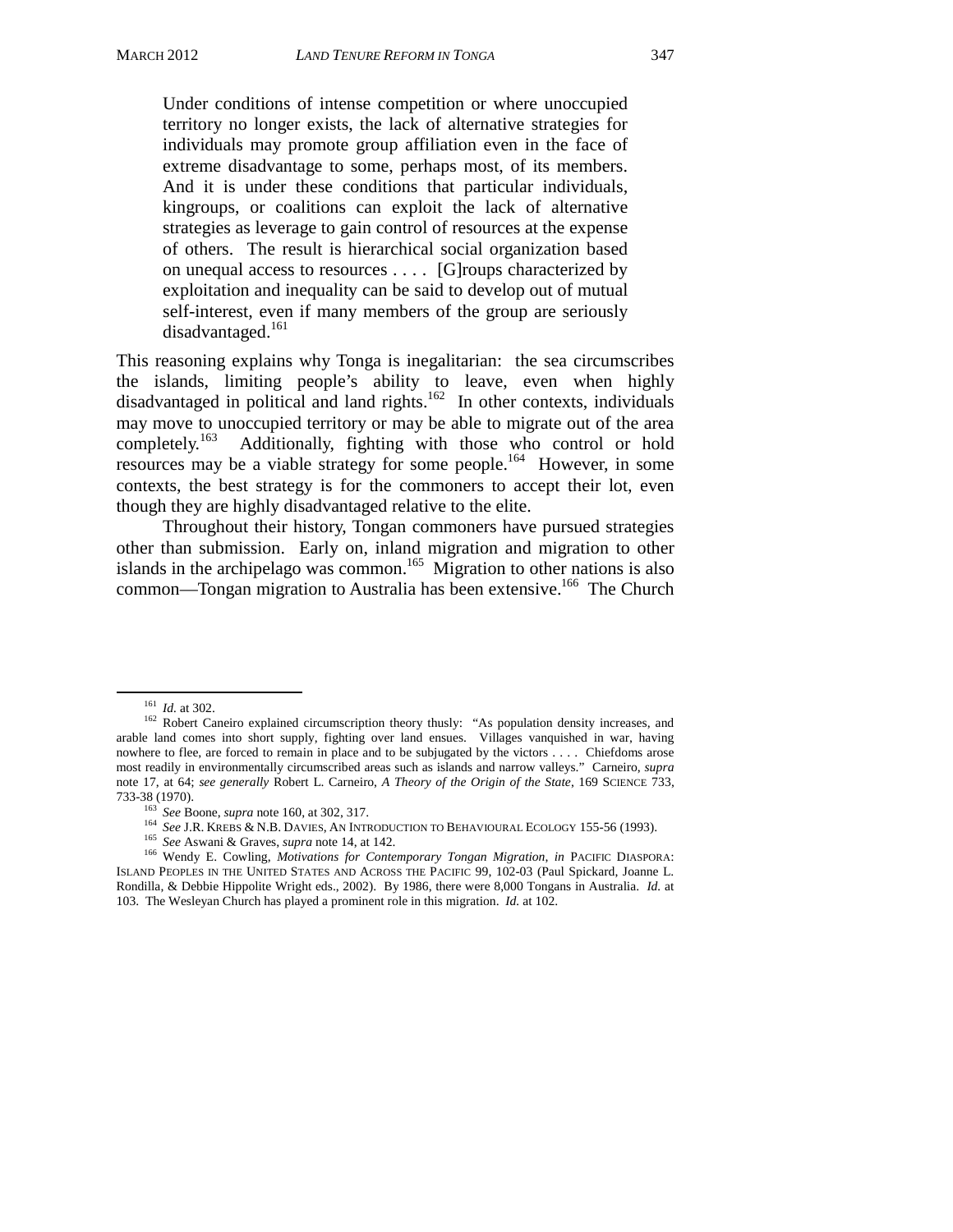Under conditions of intense competition or where unoccupied territory no longer exists, the lack of alternative strategies for individuals may promote group affiliation even in the face of extreme disadvantage to some, perhaps most, of its members. And it is under these conditions that particular individuals, kingroups, or coalitions can exploit the lack of alternative strategies as leverage to gain control of resources at the expense of others. The result is hierarchical social organization based on unequal access to resources . . . . [G]roups characterized by exploitation and inequality can be said to develop out of mutual self-interest, even if many members of the group are seriously disadvantaged.<sup>161</sup>

This reasoning explains why Tonga is inegalitarian: the sea circumscribes the islands, limiting people's ability to leave, even when highly disadvantaged in political and land rights.162 In other contexts, individuals may move to unoccupied territory or may be able to migrate out of the area completely.<sup>163</sup> Additionally, fighting with those who control or hold Additionally, fighting with those who control or hold resources may be a viable strategy for some people.164 However, in some contexts, the best strategy is for the commoners to accept their lot, even though they are highly disadvantaged relative to the elite.

 Throughout their history, Tongan commoners have pursued strategies other than submission. Early on, inland migration and migration to other islands in the archipelago was common.<sup>165</sup> Migration to other nations is also common—Tongan migration to Australia has been extensive.<sup>166</sup> The Church

- 
- 

<sup>&</sup>lt;sup>161</sup> *Id.* at 302.<br><sup>162</sup> Robert Caneiro explained circumscription theory thusly: "As population density increases, and arable land comes into short supply, fighting over land ensues. Villages vanquished in war, having nowhere to flee, are forced to remain in place and to be subjugated by the victors . . . . Chiefdoms arose most readily in environmentally circumscribed areas such as islands and narrow valleys." Carneiro, *supra*  note 17, at 64; *see generally* Robert L. Carneiro, *A Theory of the Origin of the State*, 169 SCIENCE 733,

<sup>&</sup>lt;sup>163</sup> See Boone, *supra* note 160, at 302, 317.<br><sup>164</sup> See J.R. KREBS & N.B. DAVIES, AN INTRODUCTION TO BEHAVIOURAL ECOLOGY 155-56 (1993).<br><sup>165</sup> See Aswani & Graves, *supra* note 14, at 142.<br><sup>166</sup> Wendy E. Cowling, *Motiva* ISLAND PEOPLES IN THE UNITED STATES AND ACROSS THE PACIFIC 99, 102-03 (Paul Spickard, Joanne L. Rondilla, & Debbie Hippolite Wright eds., 2002). By 1986, there were 8,000 Tongans in Australia. *Id.* at 103. The Wesleyan Church has played a prominent role in this migration. *Id.* at 102.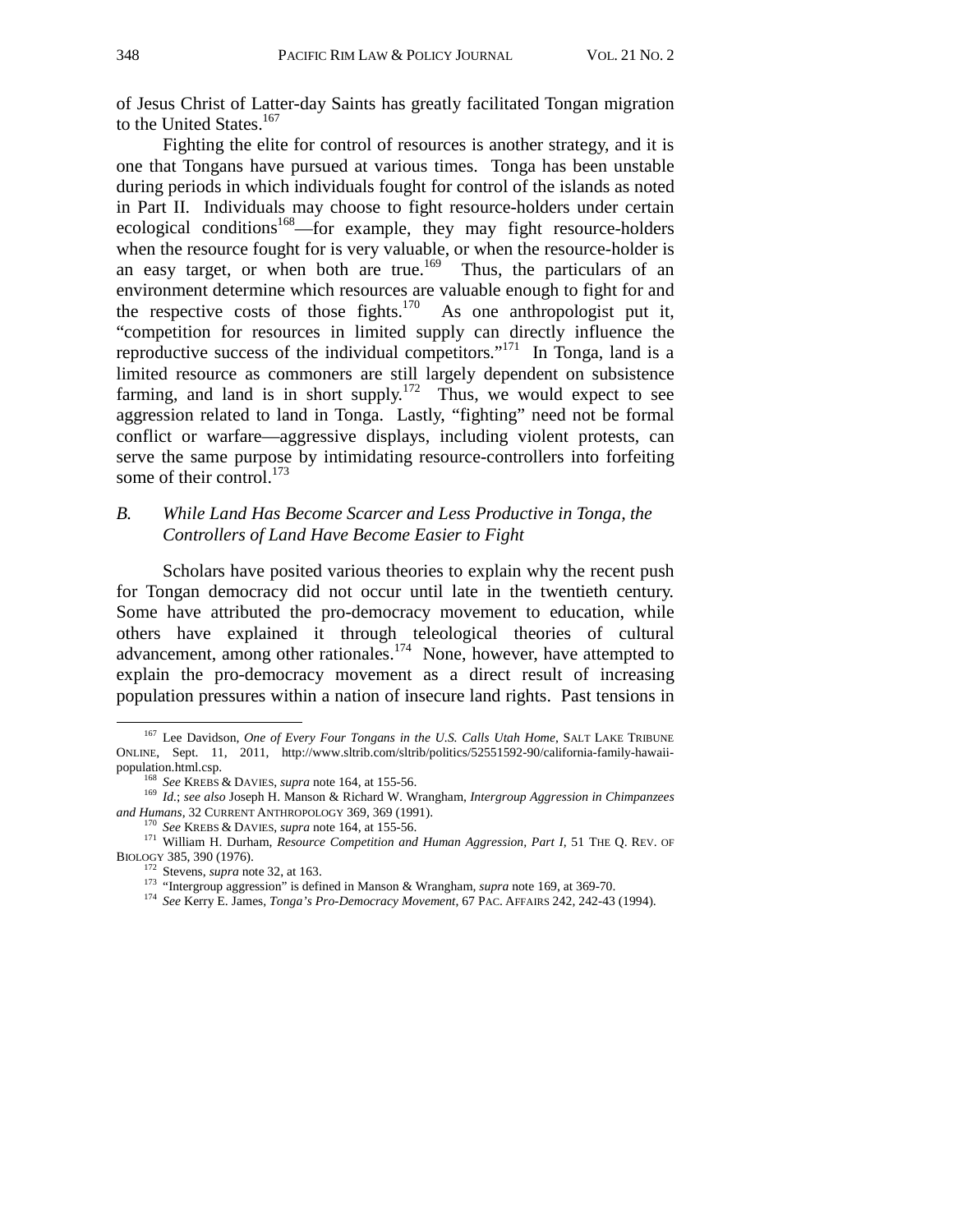of Jesus Christ of Latter-day Saints has greatly facilitated Tongan migration to the United States.<sup>167</sup>

 Fighting the elite for control of resources is another strategy, and it is one that Tongans have pursued at various times. Tonga has been unstable during periods in which individuals fought for control of the islands as noted in Part II. Individuals may choose to fight resource-holders under certain ecological conditions<sup>168</sup>—for example, they may fight resource-holders when the resource fought for is very valuable, or when the resource-holder is an easy target, or when both are true.<sup>169</sup> Thus, the particulars of an environment determine which resources are valuable enough to fight for and the respective costs of those fights.<sup>170</sup> As one anthropologist put it, "competition for resources in limited supply can directly influence the reproductive success of the individual competitors."<sup>171</sup> In Tonga, land is a limited resource as commoners are still largely dependent on subsistence farming, and land is in short supply.<sup>172</sup> Thus, we would expect to see aggression related to land in Tonga. Lastly, "fighting" need not be formal conflict or warfare—aggressive displays, including violent protests, can serve the same purpose by intimidating resource-controllers into forfeiting some of their control.<sup>173</sup>

## *B. While Land Has Become Scarcer and Less Productive in Tonga, the Controllers of Land Have Become Easier to Fight*

Scholars have posited various theories to explain why the recent push for Tongan democracy did not occur until late in the twentieth century. Some have attributed the pro-democracy movement to education, while others have explained it through teleological theories of cultural advancement, among other rationales.<sup>174</sup> None, however, have attempted to explain the pro-democracy movement as a direct result of increasing population pressures within a nation of insecure land rights. Past tensions in

<sup>&</sup>lt;sup>167</sup> Lee Davidson, *One of Every Four Tongans in the U.S. Calls Utah Home*, SALT LAKE TRIBUNE ONLINE, Sept. 11, 2011, http://www.sltrib.com/sltrib/politics/52551592-90/california-family-hawaii-

population.html.csp.<br>
<sup>168</sup> *See KREBS & DAVIES, <i>supra* note 164, at 155-56.<br>
<sup>169</sup> *Id.*; *see also* Joseph H. Manson & Richard W. Wrangham, *Intergroup Aggression in Chimpanzees*<br> *and Humans*, 32 CURRENT ANTHROPOLOGY 3

<sup>&</sup>lt;sup>170</sup> See KREBS & DAVIES, *supra* note 164, at 155-56. *<i>Auman Aggression, Part I*, 51 THE Q. REV. OF 171 William H. Durham, *Resource Competition and Human Aggression, Part I*, 51 THE Q. REV. OF BIOLOGY 385, 390 (1976).<br><sup>172</sup> Stevens, *supra* note 32, at 163.<br><sup>173</sup> "Intergroup aggression" is defined in Manson & Wrangham, *supra* note 169, at 369-70.<br><sup>174</sup> See Kerry E. James, *Tonga's Pro-Democracy Movement*, 67 PA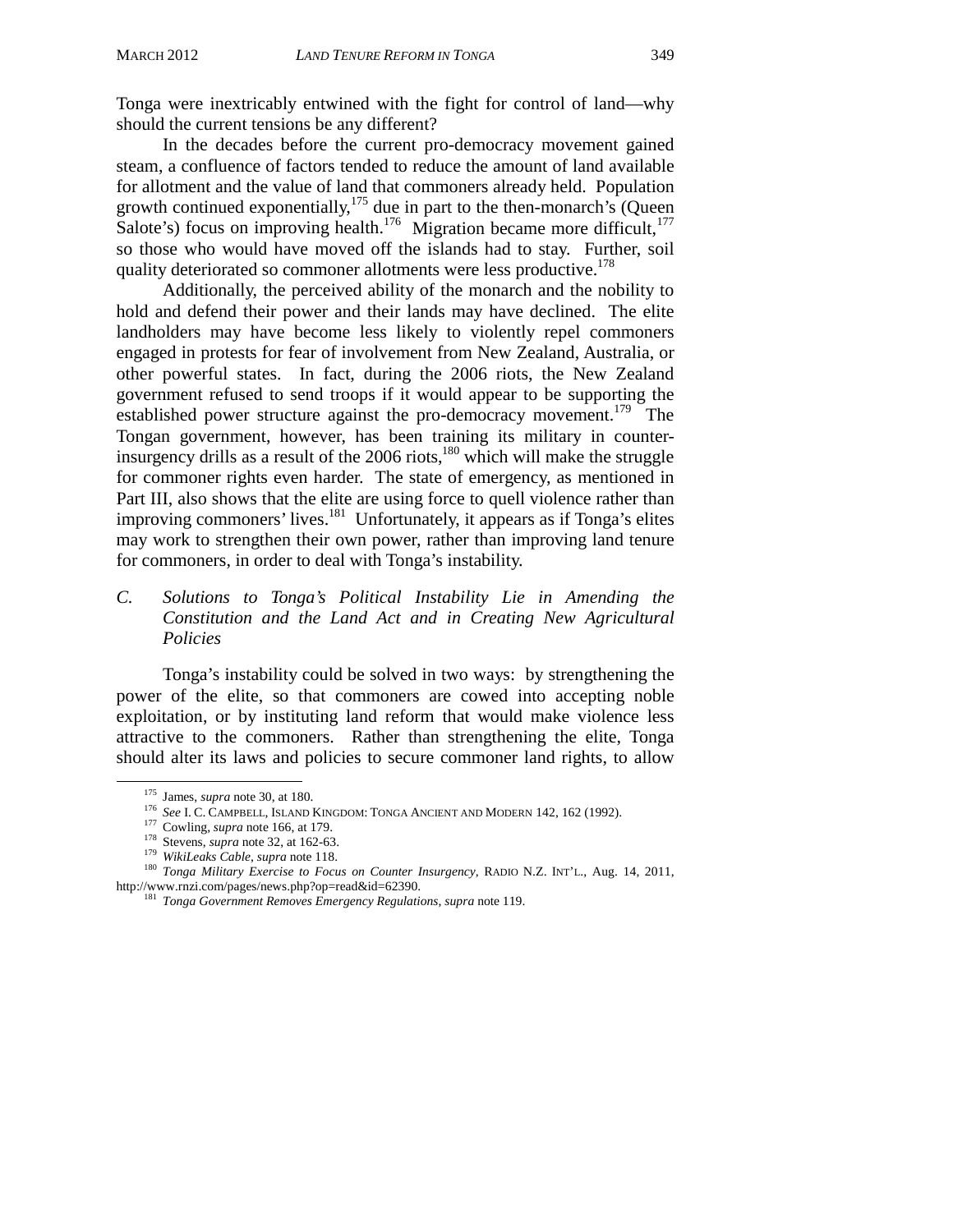Tonga were inextricably entwined with the fight for control of land—why should the current tensions be any different?

 In the decades before the current pro-democracy movement gained steam, a confluence of factors tended to reduce the amount of land available for allotment and the value of land that commoners already held. Population growth continued exponentially,  $175$  due in part to the then-monarch's (Queen Salote's) focus on improving health.<sup>176</sup> Migration became more difficult,<sup>177</sup> so those who would have moved off the islands had to stay. Further, soil quality deteriorated so commoner allotments were less productive.<sup>178</sup>

 Additionally, the perceived ability of the monarch and the nobility to hold and defend their power and their lands may have declined. The elite landholders may have become less likely to violently repel commoners engaged in protests for fear of involvement from New Zealand, Australia, or other powerful states. In fact, during the 2006 riots, the New Zealand government refused to send troops if it would appear to be supporting the established power structure against the pro-democracy movement.<sup>179</sup> The Tongan government, however, has been training its military in counterinsurgency drills as a result of the  $2006$  riots,<sup>180</sup> which will make the struggle for commoner rights even harder. The state of emergency, as mentioned in Part III, also shows that the elite are using force to quell violence rather than improving commoners' lives. $181$  Unfortunately, it appears as if Tonga's elites may work to strengthen their own power, rather than improving land tenure for commoners, in order to deal with Tonga's instability.

*C. Solutions to Tonga's Political Instability Lie in Amending the Constitution and the Land Act and in Creating New Agricultural Policies* 

 Tonga's instability could be solved in two ways: by strengthening the power of the elite, so that commoners are cowed into accepting noble exploitation, or by instituting land reform that would make violence less attractive to the commoners. Rather than strengthening the elite, Tonga should alter its laws and policies to secure commoner land rights, to allow

<sup>&</sup>lt;sup>175</sup> James, *supra* note 30, at 180.<br>
<sup>176</sup> *See* I. C. CAMPBELL, ISLAND KINGDOM: TONGA ANCIENT AND MODERN 142, 162 (1992).<br>
<sup>176</sup> *See* I. C. CAMPBELL, ISLAND KINGDOM: TONGA ANCIENT AND MODERN 142, 162 (1992).<br>
<sup>179</sup> *C* 

<sup>&</sup>lt;sup>181</sup> Tonga Government Removes Emergency Regulations, *supra* note 119.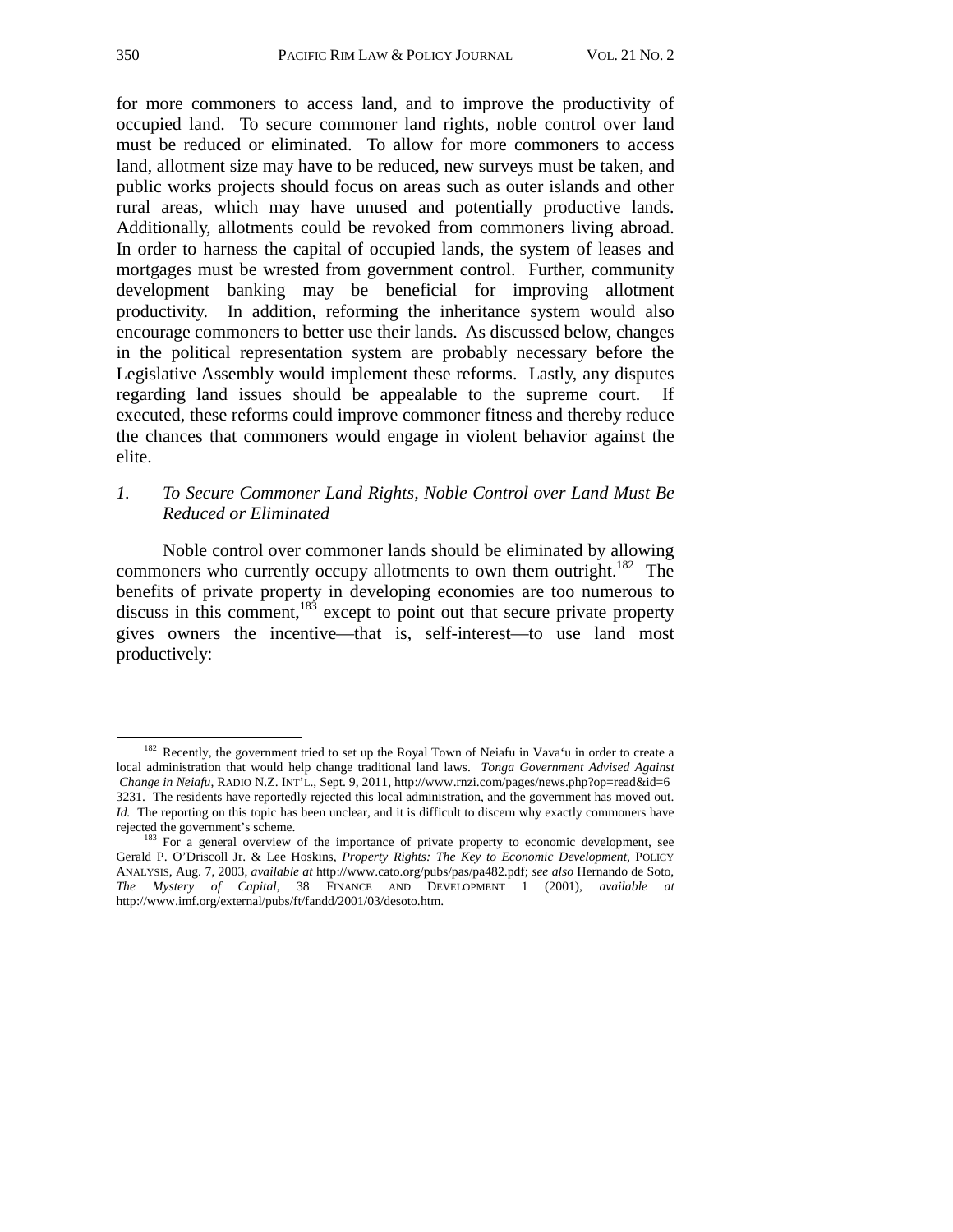for more commoners to access land, and to improve the productivity of occupied land. To secure commoner land rights, noble control over land must be reduced or eliminated. To allow for more commoners to access land, allotment size may have to be reduced, new surveys must be taken, and public works projects should focus on areas such as outer islands and other rural areas, which may have unused and potentially productive lands. Additionally, allotments could be revoked from commoners living abroad. In order to harness the capital of occupied lands, the system of leases and mortgages must be wrested from government control. Further, community development banking may be beneficial for improving allotment productivity. In addition, reforming the inheritance system would also encourage commoners to better use their lands. As discussed below, changes in the political representation system are probably necessary before the Legislative Assembly would implement these reforms. Lastly, any disputes regarding land issues should be appealable to the supreme court. If executed, these reforms could improve commoner fitness and thereby reduce the chances that commoners would engage in violent behavior against the elite.

## *1. To Secure Commoner Land Rights, Noble Control over Land Must Be Reduced or Eliminated*

 Noble control over commoner lands should be eliminated by allowing commoners who currently occupy allotments to own them outright.<sup>182</sup> The benefits of private property in developing economies are too numerous to discuss in this comment, $183$  except to point out that secure private property gives owners the incentive—that is, self-interest—to use land most productively:

<sup>&</sup>lt;sup>182</sup> Recently, the government tried to set up the Royal Town of Neiafu in Vava'u in order to create a local administration that would help change traditional land laws. *Tonga Government Advised Against Change in Neiafu*, RADIO N.Z. INT'L., Sept. 9, 2011, http://www.rnzi.com/pages/news.php?op=read&id=6 3231. The residents have reportedly rejected this local administration, and the government has moved out. *Id.* The reporting on this topic has been unclear, and it is difficult to discern why exactly commoners have rejected the government's scheme.

<sup>&</sup>lt;sup>183</sup> For a general overview of the importance of private property to economic development, see Gerald P. O'Driscoll Jr. & Lee Hoskins, *Property Rights: The Key to Economic Development*, POLICY ANALYSIS, Aug. 7, 2003, *available at* http://www.cato.org/pubs/pas/pa482.pdf; *see also* Hernando de Soto, *The Mystery of Capital*, 38 FINANCE AND DEVELOPMENT 1 (2001), *available at* http://www.imf.org/external/pubs/ft/fandd/2001/03/desoto.htm.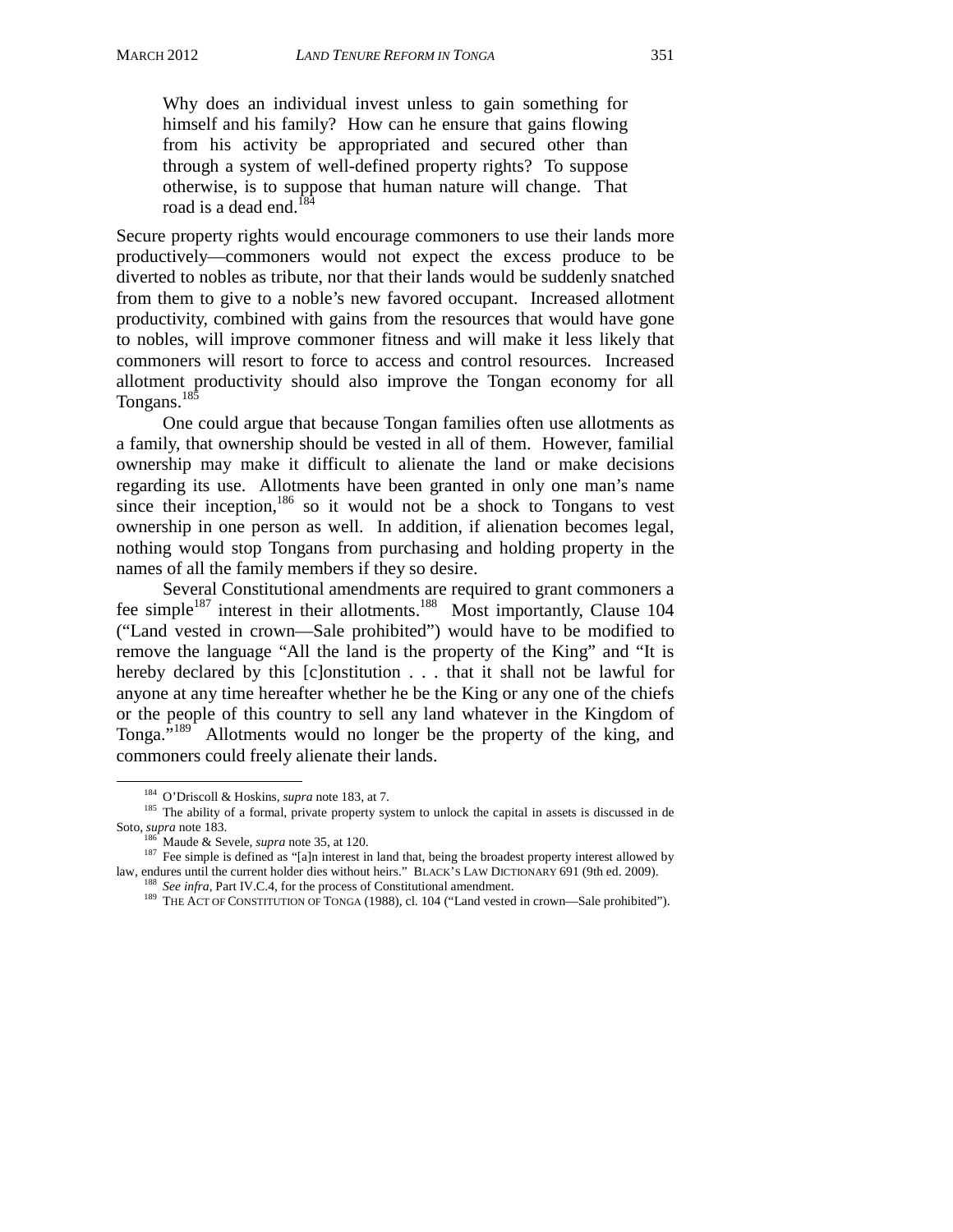Why does an individual invest unless to gain something for himself and his family? How can he ensure that gains flowing from his activity be appropriated and secured other than through a system of well-defined property rights? To suppose otherwise, is to suppose that human nature will change. That road is a dead end.<sup>184</sup>

Secure property rights would encourage commoners to use their lands more productively—commoners would not expect the excess produce to be diverted to nobles as tribute, nor that their lands would be suddenly snatched from them to give to a noble's new favored occupant. Increased allotment productivity, combined with gains from the resources that would have gone to nobles, will improve commoner fitness and will make it less likely that commoners will resort to force to access and control resources. Increased allotment productivity should also improve the Tongan economy for all Tongans.<sup>185</sup>

 One could argue that because Tongan families often use allotments as a family, that ownership should be vested in all of them. However, familial ownership may make it difficult to alienate the land or make decisions regarding its use. Allotments have been granted in only one man's name since their inception, $186$  so it would not be a shock to Tongans to vest ownership in one person as well. In addition, if alienation becomes legal, nothing would stop Tongans from purchasing and holding property in the names of all the family members if they so desire.

Several Constitutional amendments are required to grant commoners a fee simple<sup>187</sup> interest in their allotments.<sup>188</sup> Most importantly, Clause 104 ("Land vested in crown—Sale prohibited") would have to be modified to remove the language "All the land is the property of the King" and "It is hereby declared by this [c]onstitution . . . that it shall not be lawful for anyone at any time hereafter whether he be the King or any one of the chiefs or the people of this country to sell any land whatever in the Kingdom of Tonga."189 Allotments would no longer be the property of the king, and commoners could freely alienate their lands.

<sup>&</sup>lt;sup>184</sup> O'Driscoll & Hoskins, *supra* note 183, at 7.<br><sup>185</sup> The ability of a formal, private property system to unlock the capital in assets is discussed in de<br>Soto, *supra* note 183.

<sup>&</sup>lt;sup>186</sup> Maude & Sevele, *supra* note 35, at 120.<br><sup>187</sup> Fee simple is defined as "[a]n interest in land that, being the broadest property interest allowed by<br>law, endures until the current holder dies without heirs." BLACK'S

<sup>&</sup>lt;sup>188</sup> See infra, Part IV.C.4, for the process of Constitutional amendment.<br><sup>189</sup> THE ACT OF CONSTITUTION OF TONGA (1988), cl. 104 ("Land vested in crown—Sale prohibited").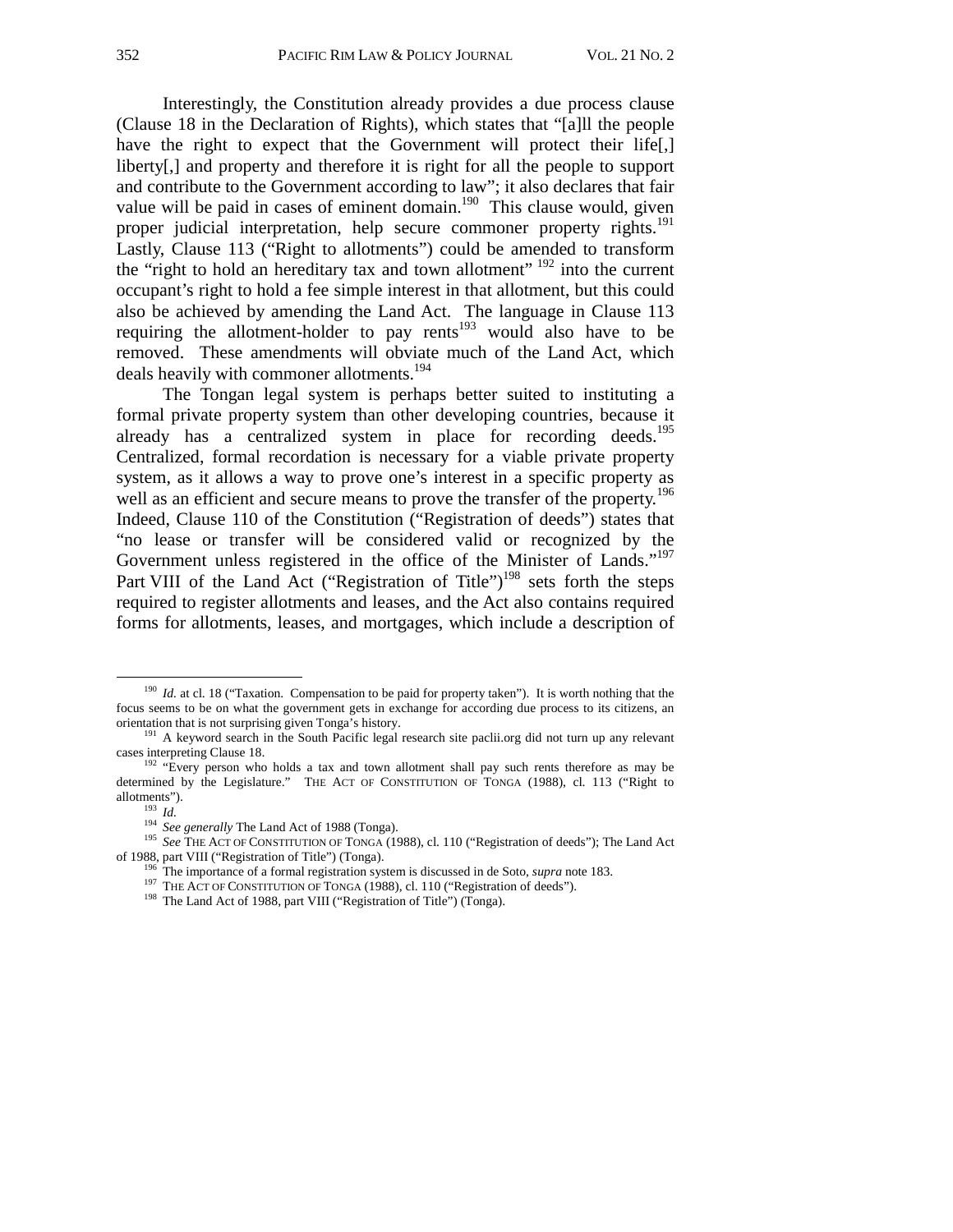Interestingly, the Constitution already provides a due process clause (Clause 18 in the Declaration of Rights), which states that "[a]ll the people have the right to expect that the Government will protect their life[,] liberty[,] and property and therefore it is right for all the people to support and contribute to the Government according to law"; it also declares that fair value will be paid in cases of eminent domain.<sup>190</sup> This clause would, given proper judicial interpretation, help secure commoner property rights.<sup>191</sup> Lastly, Clause 113 ("Right to allotments") could be amended to transform the "right to hold an hereditary tax and town allotment"  $192$  into the current occupant's right to hold a fee simple interest in that allotment, but this could also be achieved by amending the Land Act. The language in Clause 113 requiring the allotment-holder to pay rents<sup>193</sup> would also have to be removed. These amendments will obviate much of the Land Act, which deals heavily with commoner allotments.<sup>194</sup>

The Tongan legal system is perhaps better suited to instituting a formal private property system than other developing countries, because it already has a centralized system in place for recording deeds.<sup>195</sup> Centralized, formal recordation is necessary for a viable private property system, as it allows a way to prove one's interest in a specific property as well as an efficient and secure means to prove the transfer of the property.<sup>196</sup> Indeed, Clause 110 of the Constitution ("Registration of deeds") states that "no lease or transfer will be considered valid or recognized by the Government unless registered in the office of the Minister of Lands."<sup>197</sup> Part VIII of the Land Act ("Registration of Title")<sup>198</sup> sets forth the steps required to register allotments and leases, and the Act also contains required forms for allotments, leases, and mortgages, which include a description of

<sup>&</sup>lt;sup>190</sup> *Id.* at cl. 18 ("Taxation. Compensation to be paid for property taken"). It is worth nothing that the focus seems to be on what the government gets in exchange for according due process to its citizens, an

orientation that is not surprising given Tonga's history.<br><sup>191</sup> A keyword search in the South Pacific legal research site paclii.org did not turn up any relevant cases interpreting Clause 18.

<sup>&</sup>lt;sup>192</sup> "Every person who holds a tax and town allotment shall pay such rents therefore as may be determined by the Legislature." THE ACT OF CONSTITUTION OF TONGA (1988), cl. 113 ("Right to allotments").

<sup>193</sup> *Id.* 194<br><sup>194</sup> *See generally* The Land Act of 1988 (Tonga). <sup>194</sup> *See THE ACT OF CONSTITUTION OF TONGA (1988), cl. 110 ("Registration of deeds"); The Land Act* of 1988, part VIII ("Registration of Title") (Tonga).

<sup>&</sup>lt;sup>196</sup> The importance of a formal registration system is discussed in de Soto, *supra* note 183.<br><sup>197</sup> THE ACT OF CONSTITUTION OF TONGA (1988), cl. 110 ("Registration of deeds").<br><sup>198</sup> The Land Act of 1988, part VIII ("Reg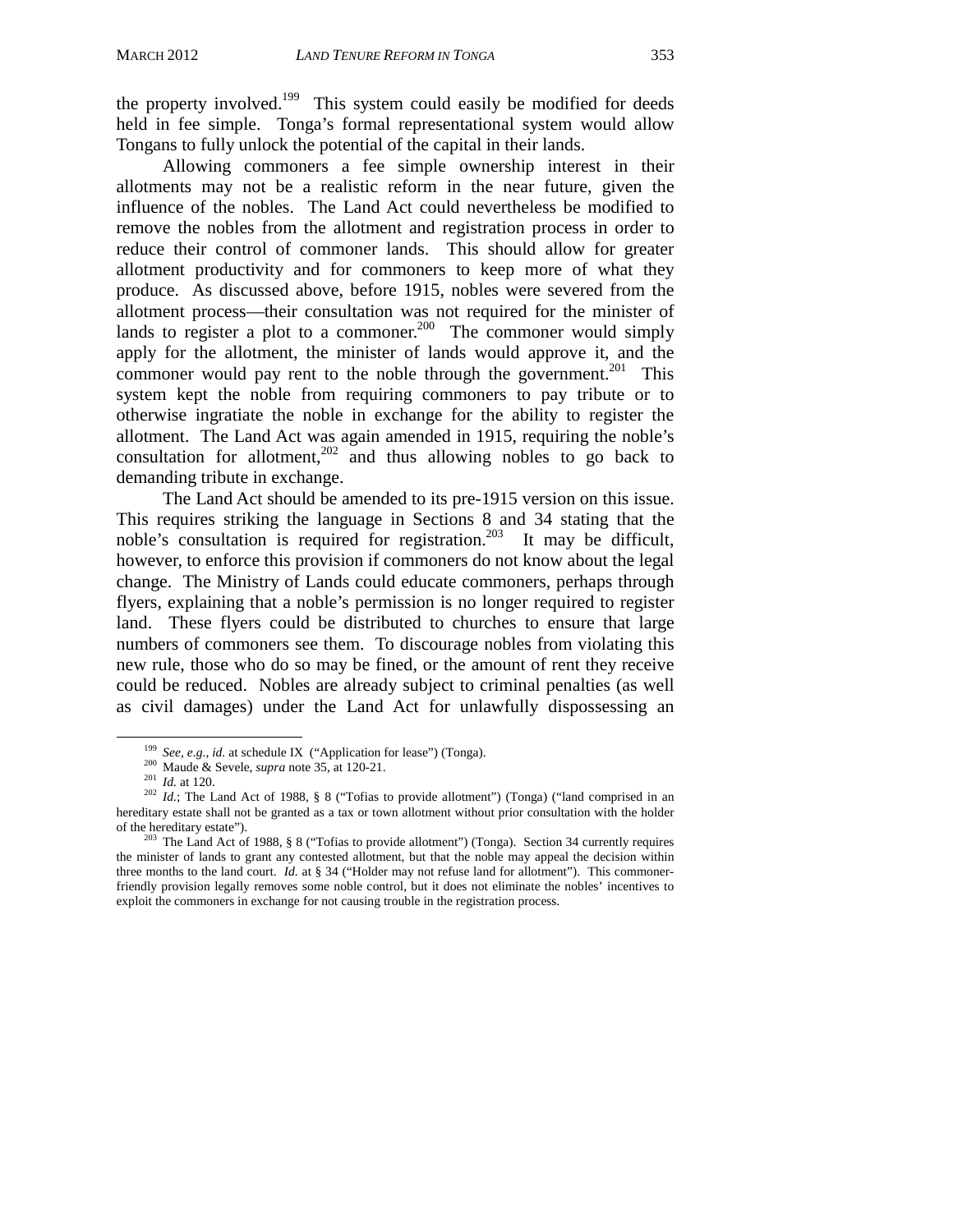the property involved.<sup>199</sup> This system could easily be modified for deeds held in fee simple. Tonga's formal representational system would allow Tongans to fully unlock the potential of the capital in their lands.

 Allowing commoners a fee simple ownership interest in their allotments may not be a realistic reform in the near future, given the influence of the nobles. The Land Act could nevertheless be modified to remove the nobles from the allotment and registration process in order to reduce their control of commoner lands. This should allow for greater allotment productivity and for commoners to keep more of what they produce. As discussed above, before 1915, nobles were severed from the allotment process—their consultation was not required for the minister of lands to register a plot to a commoner.<sup>200</sup> The commoner would simply apply for the allotment, the minister of lands would approve it, and the commoner would pay rent to the noble through the government.<sup>201</sup> This system kept the noble from requiring commoners to pay tribute or to otherwise ingratiate the noble in exchange for the ability to register the allotment. The Land Act was again amended in 1915, requiring the noble's consultation for allotment,<sup>202</sup> and thus allowing nobles to go back to demanding tribute in exchange.

The Land Act should be amended to its pre-1915 version on this issue. This requires striking the language in Sections 8 and 34 stating that the noble's consultation is required for registration.<sup>203</sup> It may be difficult, however, to enforce this provision if commoners do not know about the legal change. The Ministry of Lands could educate commoners, perhaps through flyers, explaining that a noble's permission is no longer required to register land. These flyers could be distributed to churches to ensure that large numbers of commoners see them. To discourage nobles from violating this new rule, those who do so may be fined, or the amount of rent they receive could be reduced. Nobles are already subject to criminal penalties (as well as civil damages) under the Land Act for unlawfully dispossessing an

<sup>&</sup>lt;sup>199</sup> See, e.g., id. at schedule IX ("Application for lease") (Tonga).<br><sup>200</sup> Maude & Sevele, *supra* note 35, at 120-21.<br><sup>201</sup> Id. at 120.<br><sup>202</sup> Id.; The Land Act of 1988, § 8 ("Tofias to provide allotment") (Tonga) ("lan hereditary estate shall not be granted as a tax or town allotment without prior consultation with the holder of the hereditary estate").<br><sup>203</sup> The Land Act of 1988, § 8 ("Tofias to provide allotment") (Tonga). Section 34 currently requires

the minister of lands to grant any contested allotment, but that the noble may appeal the decision within three months to the land court. *Id.* at § 34 ("Holder may not refuse land for allotment"). This commonerfriendly provision legally removes some noble control, but it does not eliminate the nobles' incentives to exploit the commoners in exchange for not causing trouble in the registration process.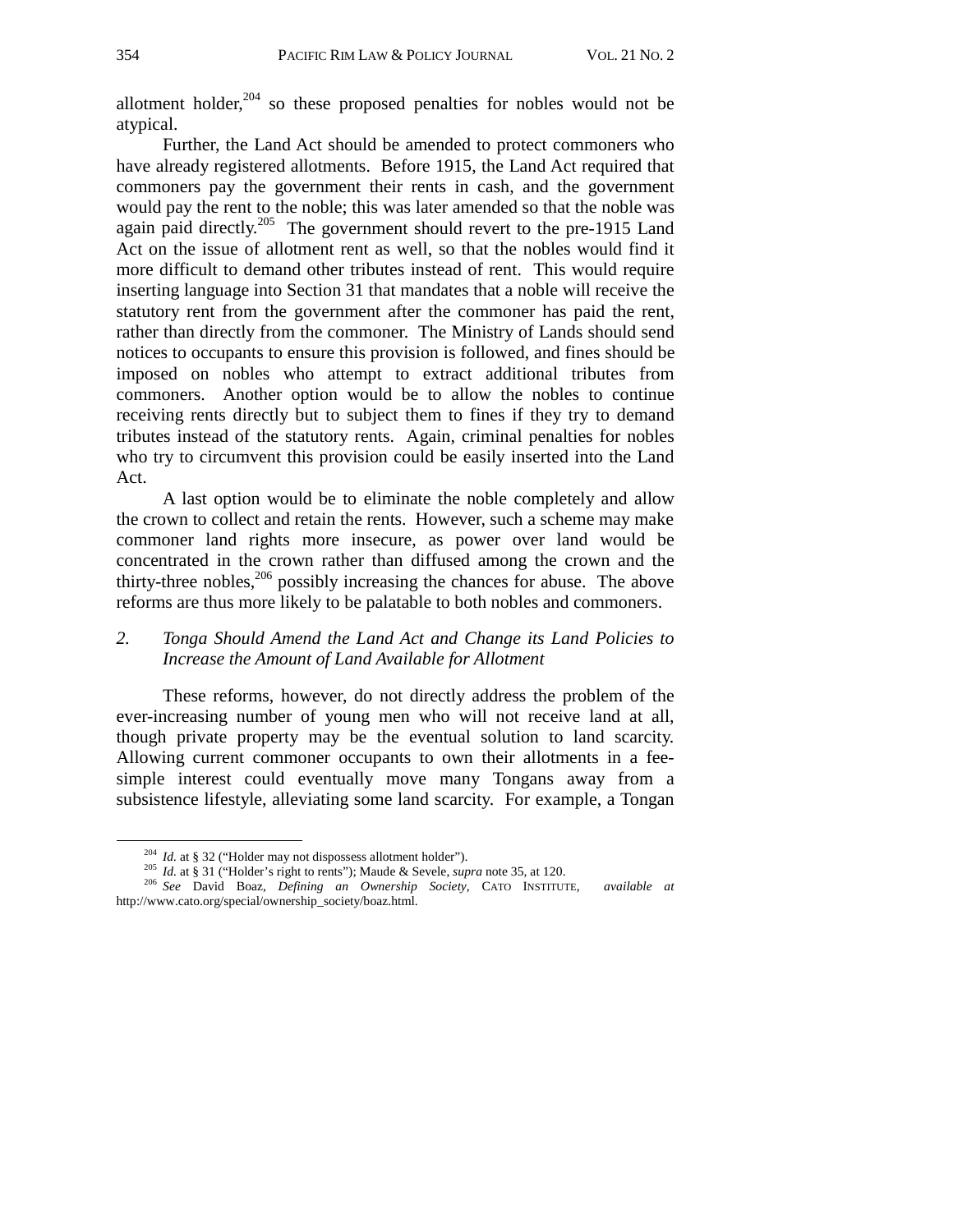allotment holder, $^{204}$  so these proposed penalties for nobles would not be atypical.

 Further, the Land Act should be amended to protect commoners who have already registered allotments. Before 1915, the Land Act required that commoners pay the government their rents in cash, and the government would pay the rent to the noble; this was later amended so that the noble was again paid directly.<sup>205</sup> The government should revert to the pre-1915 Land Act on the issue of allotment rent as well, so that the nobles would find it more difficult to demand other tributes instead of rent. This would require inserting language into Section 31 that mandates that a noble will receive the statutory rent from the government after the commoner has paid the rent, rather than directly from the commoner. The Ministry of Lands should send notices to occupants to ensure this provision is followed, and fines should be imposed on nobles who attempt to extract additional tributes from commoners. Another option would be to allow the nobles to continue receiving rents directly but to subject them to fines if they try to demand tributes instead of the statutory rents. Again, criminal penalties for nobles who try to circumvent this provision could be easily inserted into the Land Act.

A last option would be to eliminate the noble completely and allow the crown to collect and retain the rents. However, such a scheme may make commoner land rights more insecure, as power over land would be concentrated in the crown rather than diffused among the crown and the thirty-three nobles,<sup>206</sup> possibly increasing the chances for abuse. The above reforms are thus more likely to be palatable to both nobles and commoners.

## *2. Tonga Should Amend the Land Act and Change its Land Policies to Increase the Amount of Land Available for Allotment*

 These reforms, however, do not directly address the problem of the ever-increasing number of young men who will not receive land at all, though private property may be the eventual solution to land scarcity. Allowing current commoner occupants to own their allotments in a feesimple interest could eventually move many Tongans away from a subsistence lifestyle, alleviating some land scarcity. For example, a Tongan

<sup>&</sup>lt;sup>204</sup> *Id.* at § 32 ("Holder may not dispossess allotment holder").<br><sup>205</sup> *Id.* at § 31 ("Holder's right to rents"); Maude & Sevele, *supra* note 35, at 120.<br><sup>206</sup> *See* David Boaz, *Defining an Ownership Society*, CATO I http://www.cato.org/special/ownership\_society/boaz.html.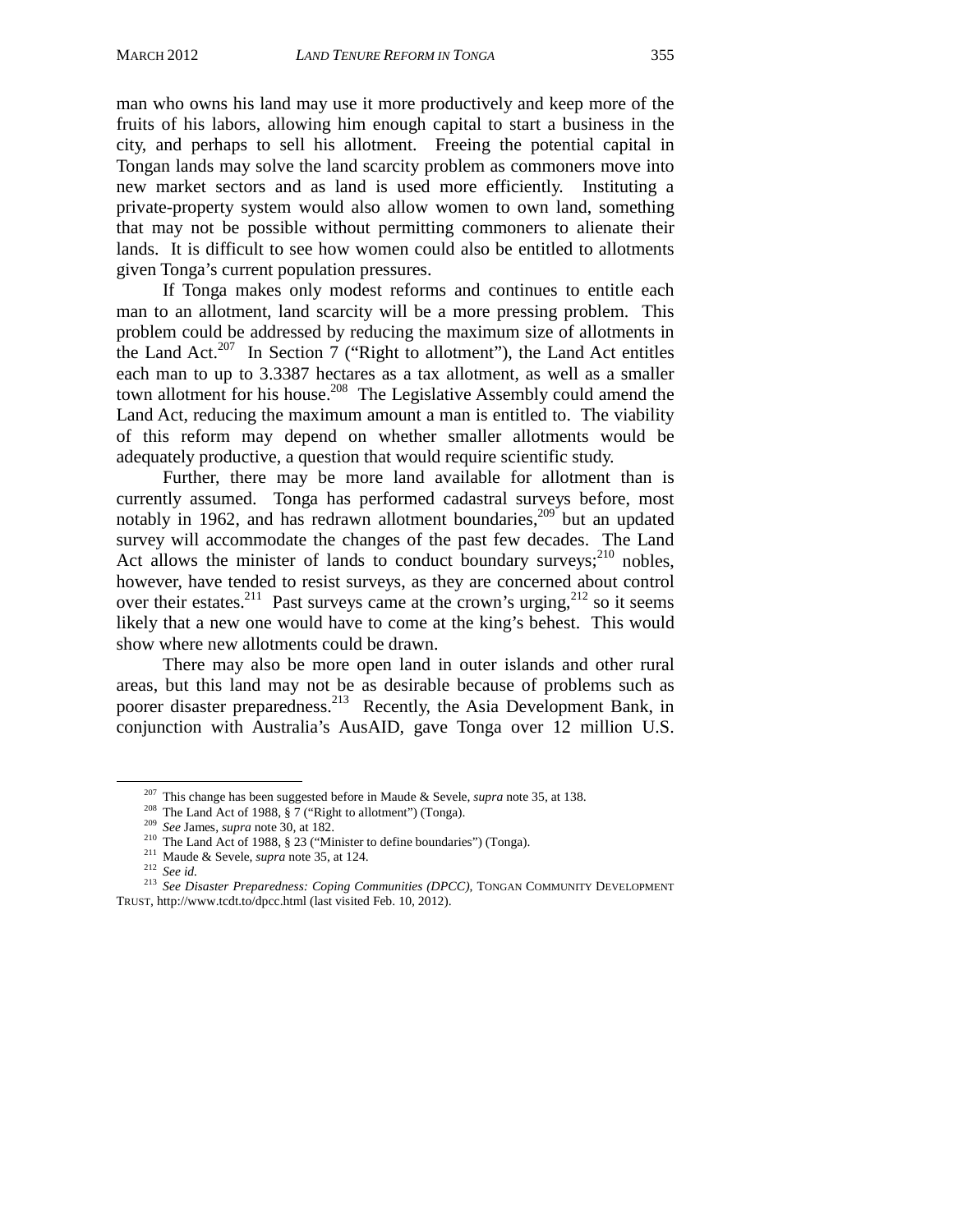man who owns his land may use it more productively and keep more of the fruits of his labors, allowing him enough capital to start a business in the city, and perhaps to sell his allotment. Freeing the potential capital in Tongan lands may solve the land scarcity problem as commoners move into new market sectors and as land is used more efficiently. Instituting a private-property system would also allow women to own land, something that may not be possible without permitting commoners to alienate their lands. It is difficult to see how women could also be entitled to allotments given Tonga's current population pressures.

If Tonga makes only modest reforms and continues to entitle each man to an allotment, land scarcity will be a more pressing problem. This problem could be addressed by reducing the maximum size of allotments in the Land Act.<sup>207</sup> In Section 7 ("Right to allotment"), the Land Act entitles each man to up to 3.3387 hectares as a tax allotment, as well as a smaller town allotment for his house.208 The Legislative Assembly could amend the Land Act, reducing the maximum amount a man is entitled to. The viability of this reform may depend on whether smaller allotments would be adequately productive, a question that would require scientific study.

Further, there may be more land available for allotment than is currently assumed. Tonga has performed cadastral surveys before, most notably in 1962, and has redrawn allotment boundaries,<sup>209</sup> but an updated survey will accommodate the changes of the past few decades. The Land Act allows the minister of lands to conduct boundary surveys;  $^{210}$  nobles, however, have tended to resist surveys, as they are concerned about control over their estates.<sup>211</sup> Past surveys came at the crown's urging,<sup>212</sup> so it seems likely that a new one would have to come at the king's behest. This would show where new allotments could be drawn.

There may also be more open land in outer islands and other rural areas, but this land may not be as desirable because of problems such as poorer disaster preparedness.<sup>213</sup> Recently, the Asia Development Bank, in conjunction with Australia's AusAID, gave Tonga over 12 million U.S.

<sup>&</sup>lt;sup>207</sup> This change has been suggested before in Maude & Sevele, *supra* note 35, at 138.<br><sup>208</sup> The Land Act of 1988, § 7 ("Right to allotment") (Tonga).<br><sup>209</sup> See James, *supra* note 30, at 182.<br><sup>210</sup> The Land Act of 1988, TRUST, http://www.tcdt.to/dpcc.html (last visited Feb. 10, 2012).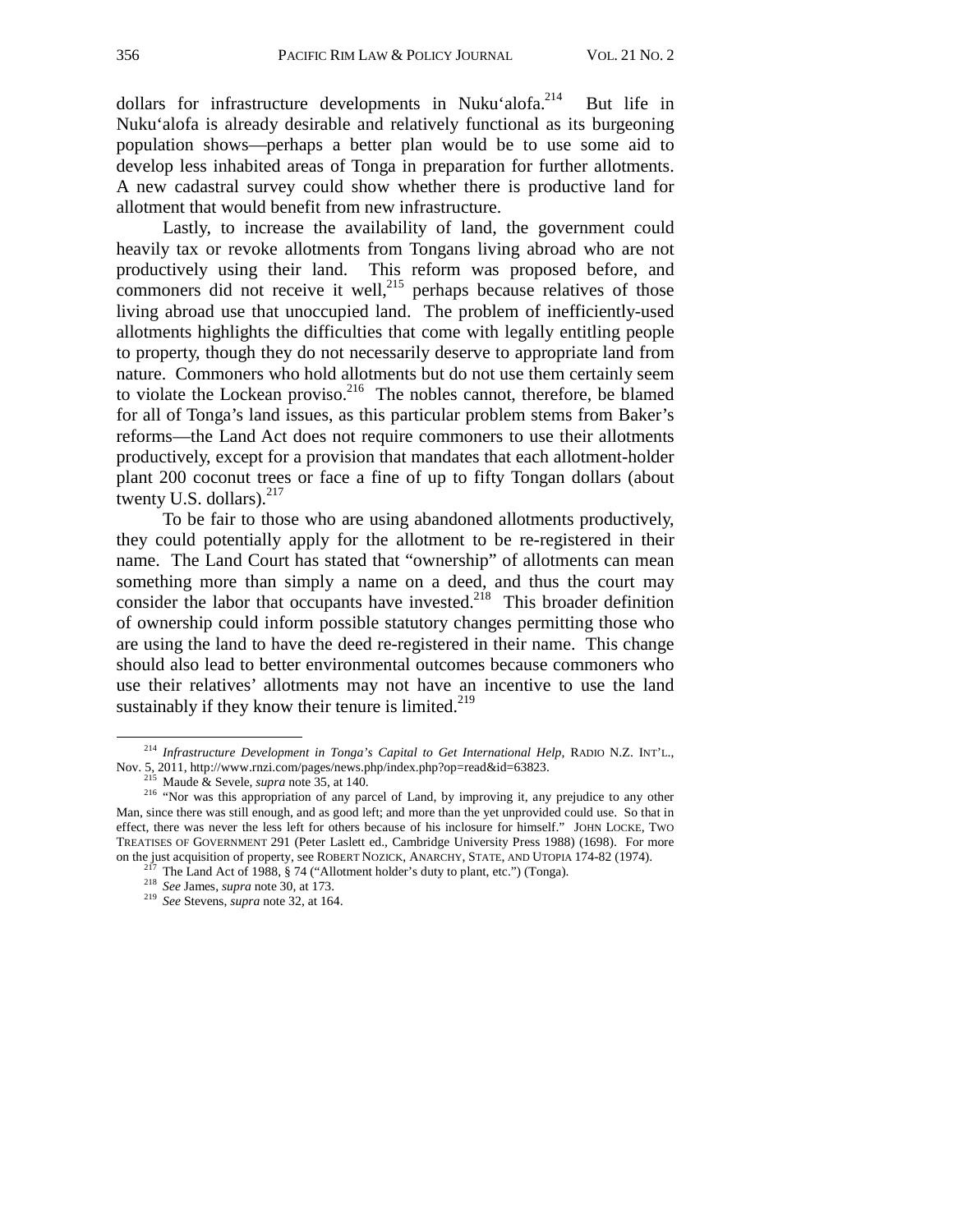dollars for infrastructure developments in Nuku'alofa.<sup>214</sup> But life in Nuku'alofa is already desirable and relatively functional as its burgeoning population shows—perhaps a better plan would be to use some aid to develop less inhabited areas of Tonga in preparation for further allotments. A new cadastral survey could show whether there is productive land for allotment that would benefit from new infrastructure.

Lastly, to increase the availability of land, the government could heavily tax or revoke allotments from Tongans living abroad who are not productively using their land. This reform was proposed before, and commoners did not receive it well, $^{215}$  perhaps because relatives of those living abroad use that unoccupied land. The problem of inefficiently-used allotments highlights the difficulties that come with legally entitling people to property, though they do not necessarily deserve to appropriate land from nature. Commoners who hold allotments but do not use them certainly seem to violate the Lockean proviso.<sup>216</sup> The nobles cannot, therefore, be blamed for all of Tonga's land issues, as this particular problem stems from Baker's reforms—the Land Act does not require commoners to use their allotments productively, except for a provision that mandates that each allotment-holder plant 200 coconut trees or face a fine of up to fifty Tongan dollars (about twenty U.S. dollars). $217$ 

To be fair to those who are using abandoned allotments productively, they could potentially apply for the allotment to be re-registered in their name. The Land Court has stated that "ownership" of allotments can mean something more than simply a name on a deed, and thus the court may consider the labor that occupants have invested.<sup>218</sup> This broader definition of ownership could inform possible statutory changes permitting those who are using the land to have the deed re-registered in their name. This change should also lead to better environmental outcomes because commoners who use their relatives' allotments may not have an incentive to use the land sustainably if they know their tenure is limited. $2^{19}$ 

<sup>&</sup>lt;sup>214</sup> *Infrastructure Development in Tonga's Capital to Get International Help*, RADIO N.Z. INT'L.,<br>Nov. 5, 2011, http://www.rnzi.com/pages/news.php/index.php?op=read&id=63823.

<sup>&</sup>lt;sup>215</sup> Maude & Sevele, *supra* note 35, at 140.<br><sup>216</sup> "Nor was this appropriation of any parcel of Land, by improving it, any prejudice to any other Man, since there was still enough, and as good left; and more than the yet unprovided could use. So that in effect, there was never the less left for others because of his inclosure for himself." JOHN LOCKE, TWO TREATISES OF GOVERNMENT 291 (Peter Laslett ed., Cambridge University Press 1988) (1698). For more on the just acquisition of property, see ROBERT NOZICK, ANARCHY, STATE, AND UTOPIA 174-82 (1974).<br><sup>217</sup> The Land Act of 1988, § 74 ("Allotment holder's duty to plant, etc.") (Tonga).<br><sup>218</sup> *See* James, *supra* note 30, at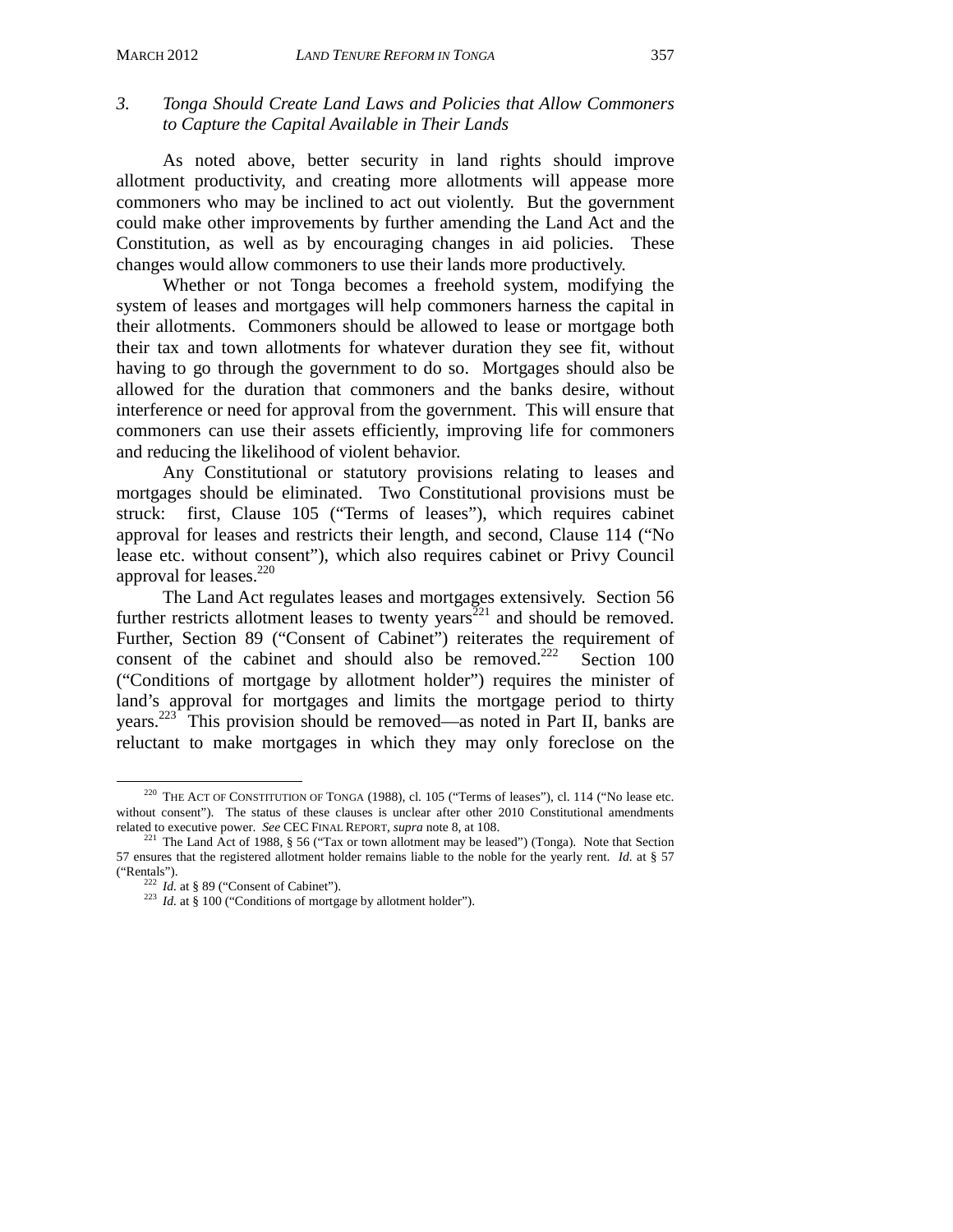## *3. Tonga Should Create Land Laws and Policies that Allow Commoners to Capture the Capital Available in Their Lands*

 As noted above, better security in land rights should improve allotment productivity, and creating more allotments will appease more commoners who may be inclined to act out violently. But the government could make other improvements by further amending the Land Act and the Constitution, as well as by encouraging changes in aid policies. These changes would allow commoners to use their lands more productively.

Whether or not Tonga becomes a freehold system, modifying the system of leases and mortgages will help commoners harness the capital in their allotments. Commoners should be allowed to lease or mortgage both their tax and town allotments for whatever duration they see fit, without having to go through the government to do so. Mortgages should also be allowed for the duration that commoners and the banks desire, without interference or need for approval from the government. This will ensure that commoners can use their assets efficiently, improving life for commoners and reducing the likelihood of violent behavior.

Any Constitutional or statutory provisions relating to leases and mortgages should be eliminated. Two Constitutional provisions must be struck: first, Clause 105 ("Terms of leases"), which requires cabinet approval for leases and restricts their length, and second, Clause 114 ("No lease etc. without consent"), which also requires cabinet or Privy Council approval for leases.<sup>220</sup>

The Land Act regulates leases and mortgages extensively. Section 56 further restricts allotment leases to twenty years<sup>221</sup> and should be removed. Further, Section 89 ("Consent of Cabinet") reiterates the requirement of consent of the cabinet and should also be removed.<sup>222</sup> Section 100 ("Conditions of mortgage by allotment holder") requires the minister of land's approval for mortgages and limits the mortgage period to thirty years.223 This provision should be removed—as noted in Part II, banks are reluctant to make mortgages in which they may only foreclose on the

 <sup>220</sup> THE ACT OF CONSTITUTION OF TONGA (1988), cl. 105 ("Terms of leases"), cl. 114 ("No lease etc. without consent"). The status of these clauses is unclear after other 2010 Constitutional amendments related to executive power. See CEC FINAL REPORT, supra note 8, at  $108$ .

<sup>&</sup>lt;sup>221</sup> The Land Act of 1988, § 56 ("Tax or town allotment may be leased") (Tonga). Note that Section 57 ensures that the registered allotment holder remains liable to the noble for the yearly rent. *Id.* at § 57

<sup>&</sup>lt;sup>222</sup> *Id.* at § 89 ("Consent of Cabinet").<br><sup>223</sup> *Id.* at § 100 ("Conditions of mortgage by allotment holder").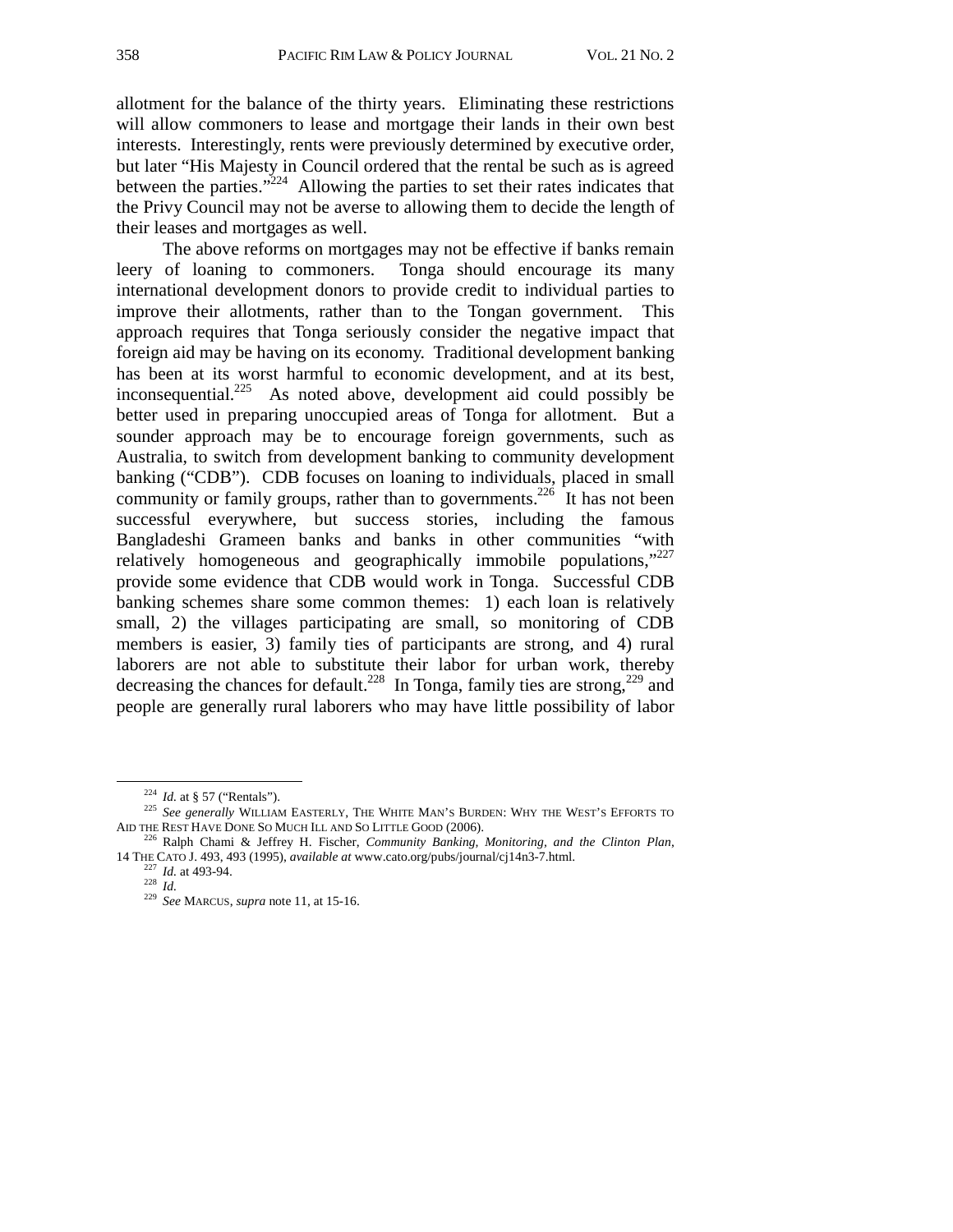allotment for the balance of the thirty years. Eliminating these restrictions will allow commoners to lease and mortgage their lands in their own best interests. Interestingly, rents were previously determined by executive order, but later "His Majesty in Council ordered that the rental be such as is agreed between the parties."<sup>224</sup> Allowing the parties to set their rates indicates that the Privy Council may not be averse to allowing them to decide the length of their leases and mortgages as well.

The above reforms on mortgages may not be effective if banks remain leery of loaning to commoners. Tonga should encourage its many international development donors to provide credit to individual parties to improve their allotments, rather than to the Tongan government. This approach requires that Tonga seriously consider the negative impact that foreign aid may be having on its economy. Traditional development banking has been at its worst harmful to economic development, and at its best, inconsequential.<sup>225</sup> As noted above, development aid could possibly be better used in preparing unoccupied areas of Tonga for allotment. But a sounder approach may be to encourage foreign governments, such as Australia, to switch from development banking to community development banking ("CDB"). CDB focuses on loaning to individuals, placed in small community or family groups, rather than to governments.<sup>226</sup> It has not been successful everywhere, but success stories, including the famous Bangladeshi Grameen banks and banks in other communities "with relatively homogeneous and geographically immobile populations,"<sup>227</sup> provide some evidence that CDB would work in Tonga. Successful CDB banking schemes share some common themes: 1) each loan is relatively small, 2) the villages participating are small, so monitoring of CDB members is easier, 3) family ties of participants are strong, and 4) rural laborers are not able to substitute their labor for urban work, thereby decreasing the chances for default.<sup>228</sup> In Tonga, family ties are strong,<sup>229</sup> and people are generally rural laborers who may have little possibility of labor

<sup>&</sup>lt;sup>224</sup> *Id.* at § 57 ("Rentals").<br><sup>225</sup> *See generally* WILLIAM EASTERLY, THE WHITE MAN'S BURDEN: WHY THE WEST'S EFFORTS TO<br>AID THE REST HAVE DONE SO MUCH ILL AND SO LITTLE GOOD (2006).

<sup>&</sup>lt;sup>226</sup> Ralph Chami & Jeffrey H. Fischer, *Community Banking, Monitoring, and the Clinton Plan,* 14 THE CATO J. 493, 493 (1995), *available at* www.cato.org/pubs/journal/cj14n3-7.html. 227 *Id.* at 493-94. 228 *Id.* <sup>229</sup>*See* MARCUS, *supra* note 11, at 15-16.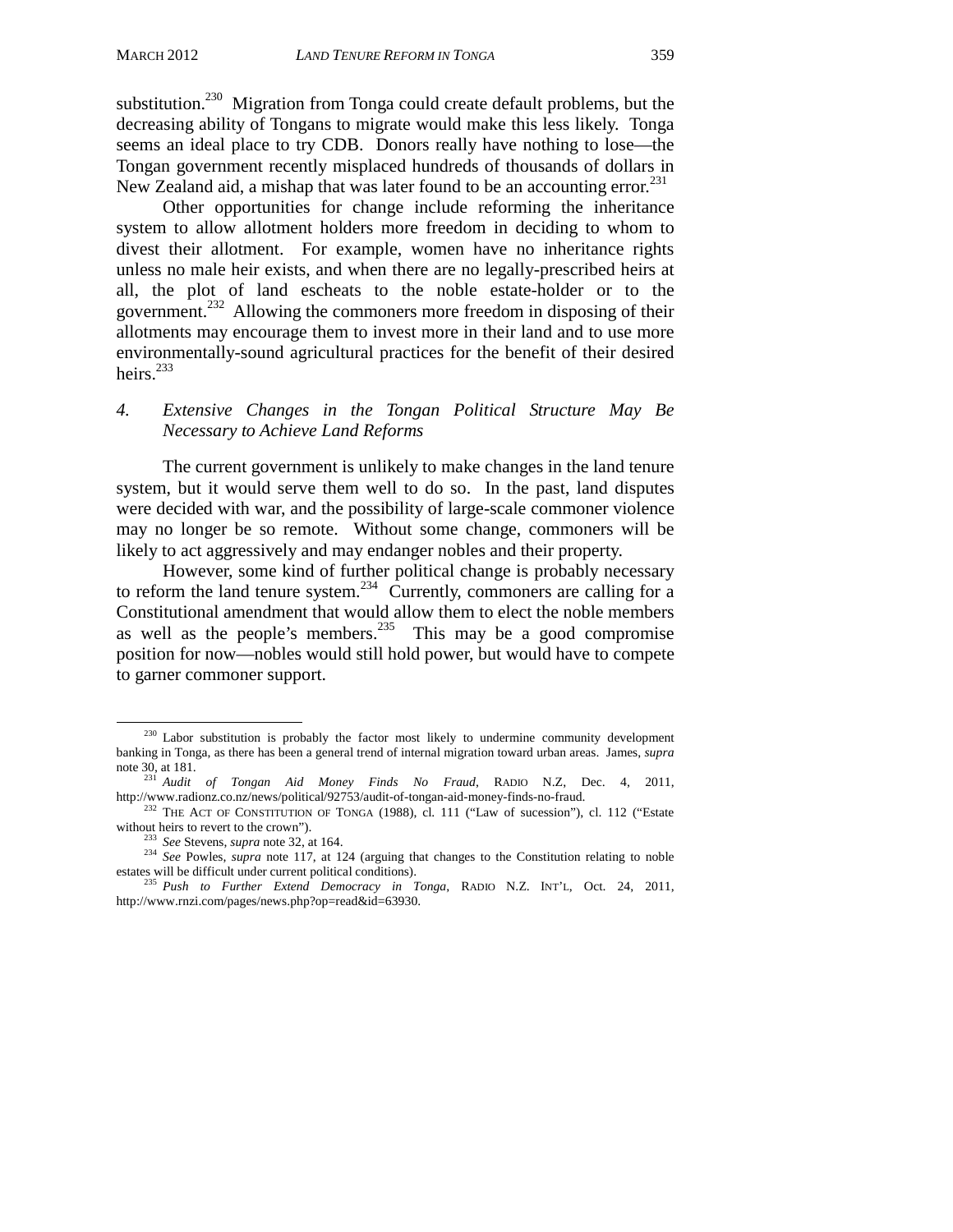substitution.<sup>230</sup> Migration from Tonga could create default problems, but the decreasing ability of Tongans to migrate would make this less likely. Tonga seems an ideal place to try CDB. Donors really have nothing to lose—the Tongan government recently misplaced hundreds of thousands of dollars in New Zealand aid, a mishap that was later found to be an accounting error.<sup>231</sup>

Other opportunities for change include reforming the inheritance system to allow allotment holders more freedom in deciding to whom to divest their allotment. For example, women have no inheritance rights unless no male heir exists, and when there are no legally-prescribed heirs at all, the plot of land escheats to the noble estate-holder or to the government.232 Allowing the commoners more freedom in disposing of their allotments may encourage them to invest more in their land and to use more environmentally-sound agricultural practices for the benefit of their desired heirs.<sup>233</sup>

## *4. Extensive Changes in the Tongan Political Structure May Be Necessary to Achieve Land Reforms*

The current government is unlikely to make changes in the land tenure system, but it would serve them well to do so. In the past, land disputes were decided with war, and the possibility of large-scale commoner violence may no longer be so remote. Without some change, commoners will be likely to act aggressively and may endanger nobles and their property.

However, some kind of further political change is probably necessary to reform the land tenure system.<sup>234</sup> Currently, commoners are calling for a Constitutional amendment that would allow them to elect the noble members as well as the people's members.<sup>235</sup> This may be a good compromise position for now—nobles would still hold power, but would have to compete to garner commoner support.

<sup>&</sup>lt;sup>230</sup> Labor substitution is probably the factor most likely to undermine community development banking in Tonga, as there has been a general trend of internal migration toward urban areas. James, *supra* 

note 30, at 181.<br><sup>231</sup> *Audit of Tongan Aid Money Finds No Fraud*, RADIO N.Z, Dec. 4, 2011,<br>http://www.radionz.co.nz/news/political/92753/audit-of-tongan-aid-money-finds-no-fraud.

<sup>&</sup>lt;sup>232</sup> THE ACT OF CONSTITUTION OF TONGA (1988), cl. 111 ("Law of sucession"), cl. 112 ("Estate without heirs to revert to the crown").

<sup>&</sup>lt;sup>233</sup> *See* Stevens, *supra* note 32, at 164. 234 *See* Powles, *supra* note 117, at 124 (arguing that changes to the Constitution relating to noble estates will be difficult under current political conditions).

<sup>&</sup>lt;sup>235</sup> Push to Further Extend Democracy in Tonga, RADIO N.Z. INT'L, Oct. 24, 2011, http://www.rnzi.com/pages/news.php?op=read&id=63930.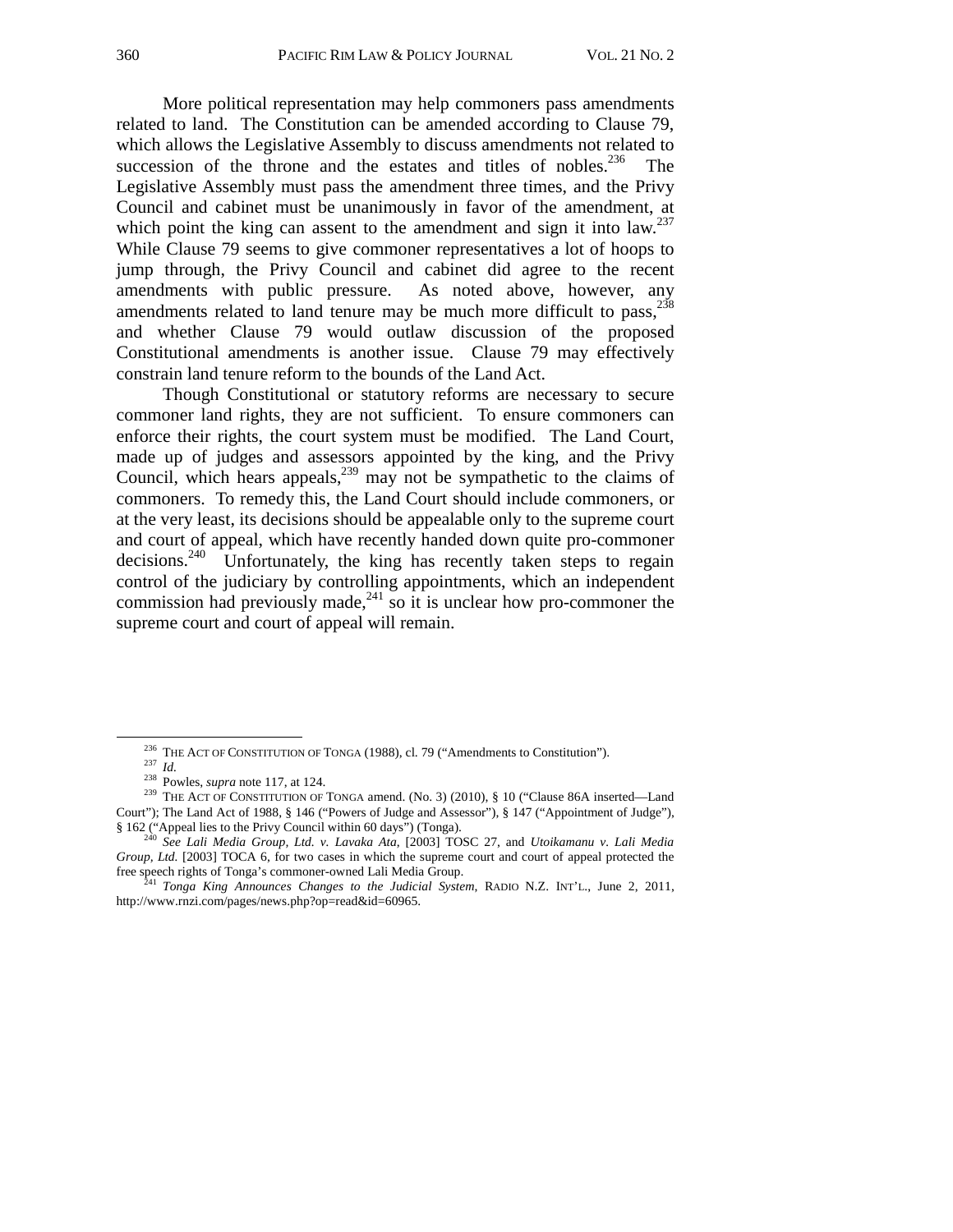More political representation may help commoners pass amendments related to land. The Constitution can be amended according to Clause 79, which allows the Legislative Assembly to discuss amendments not related to succession of the throne and the estates and titles of nobles. $236$  The Legislative Assembly must pass the amendment three times, and the Privy Council and cabinet must be unanimously in favor of the amendment, at which point the king can assent to the amendment and sign it into  $law$ <sup>237</sup> While Clause 79 seems to give commoner representatives a lot of hoops to jump through, the Privy Council and cabinet did agree to the recent amendments with public pressure. As noted above, however, any amendments related to land tenure may be much more difficult to  $pass<sub>1</sub><sup>238</sup>$ and whether Clause 79 would outlaw discussion of the proposed Constitutional amendments is another issue. Clause 79 may effectively constrain land tenure reform to the bounds of the Land Act.

Though Constitutional or statutory reforms are necessary to secure commoner land rights, they are not sufficient. To ensure commoners can enforce their rights, the court system must be modified. The Land Court, made up of judges and assessors appointed by the king, and the Privy Council, which hears appeals,  $239$  may not be sympathetic to the claims of commoners. To remedy this, the Land Court should include commoners, or at the very least, its decisions should be appealable only to the supreme court and court of appeal, which have recently handed down quite pro-commoner decisions.<sup>240</sup> Unfortunately, the king has recently taken steps to regain control of the judiciary by controlling appointments, which an independent commission had previously made, $241$  so it is unclear how pro-commoner the supreme court and court of appeal will remain.

<sup>&</sup>lt;sup>236</sup> THE ACT OF CONSTITUTION OF TONGA (1988), cl. 79 ("Amendments to Constitution").<br><sup>237</sup> Id.<br><sup>238</sup> Powles, *supra* note 117, at 124.<br><sup>239</sup> THE ACT OF CONSTITUTION OF TONGA amend. (No. 3) (2010), § 10 ("Clause 86A inser Court"); The Land Act of 1988, § 146 ("Powers of Judge and Assessor"), § 147 ("Appointment of Judge"), § 162 ("Appeal lies to the Privy Council within 60 days") (Tonga).

<sup>§ 162 (&</sup>quot;Appeal lies to the Privy Council within 60 days") (Tonga). 240 *See Lali Media Group, Ltd. v. Lavaka Ata*, [2003] TOSC 27, and *Utoikamanu v. Lali Media Group, Ltd.* [2003] TOCA 6, for two cases in which the supreme court and court of appeal protected the free speech rights of Tonga's commoner-owned Lali Media Group. 241 *Tonga King Announces Changes to the Judicial System*, RADIO N.Z. INT'L., June 2, 2011,

http://www.rnzi.com/pages/news.php?op=read&id=60965.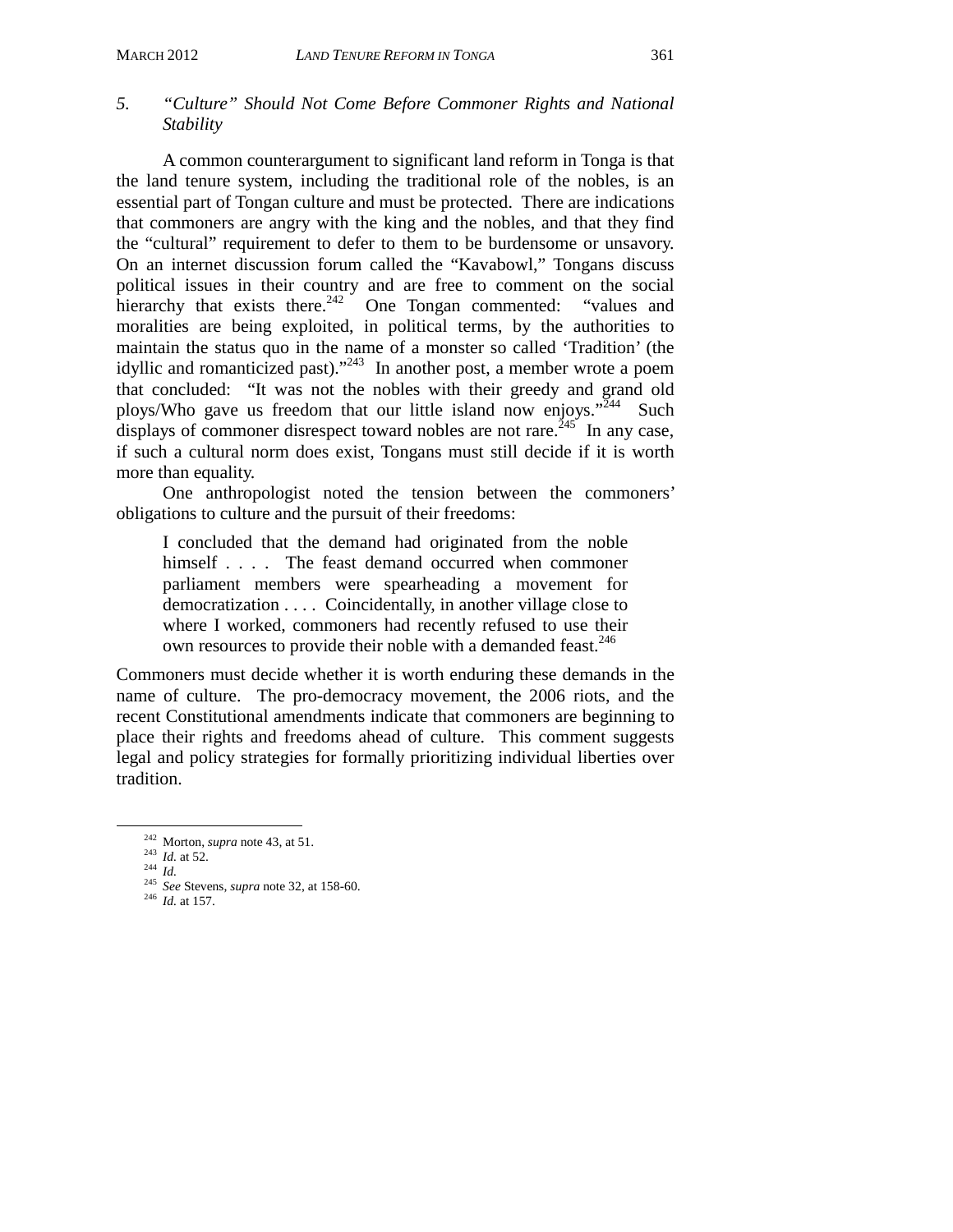#### *5. "Culture" Should Not Come Before Commoner Rights and National Stability*

 A common counterargument to significant land reform in Tonga is that the land tenure system, including the traditional role of the nobles, is an essential part of Tongan culture and must be protected. There are indications that commoners are angry with the king and the nobles, and that they find the "cultural" requirement to defer to them to be burdensome or unsavory. On an internet discussion forum called the "Kavabowl," Tongans discuss political issues in their country and are free to comment on the social hierarchy that exists there.<sup>242</sup> One Tongan commented: "values and moralities are being exploited, in political terms, by the authorities to maintain the status quo in the name of a monster so called 'Tradition' (the idyllic and romanticized past)."<sup>243</sup> In another post, a member wrote a poem that concluded: "It was not the nobles with their greedy and grand old ploys/Who gave us freedom that our little island now enjoys."  $244$  Such displays of commoner disrespect toward nobles are not rare.<sup>245</sup> In any case, if such a cultural norm does exist, Tongans must still decide if it is worth more than equality.

 One anthropologist noted the tension between the commoners' obligations to culture and the pursuit of their freedoms:

I concluded that the demand had originated from the noble himself . . . . The feast demand occurred when commoner parliament members were spearheading a movement for democratization . . . . Coincidentally, in another village close to where I worked, commoners had recently refused to use their own resources to provide their noble with a demanded feast.<sup>246</sup>

Commoners must decide whether it is worth enduring these demands in the name of culture. The pro-democracy movement, the 2006 riots, and the recent Constitutional amendments indicate that commoners are beginning to place their rights and freedoms ahead of culture. This comment suggests legal and policy strategies for formally prioritizing individual liberties over tradition.

 <sup>242</sup> Morton, *supra* note 43, at 51. 243 *Id.* at 52. 244 *Id.* <sup>245</sup>*See* Stevens, *supra* note 32, at 158-60. 246 *Id.* at 157.